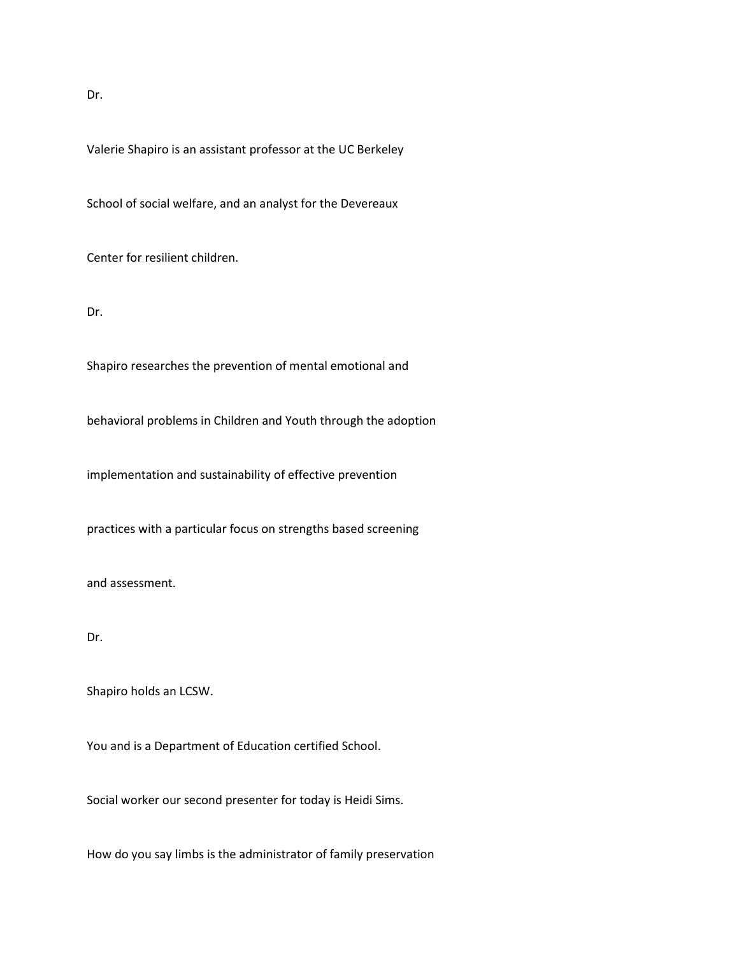Dr.

Valerie Shapiro is an assistant professor at the UC Berkeley

School of social welfare, and an analyst for the Devereaux

Center for resilient children.

Dr.

Shapiro researches the prevention of mental emotional and

behavioral problems in Children and Youth through the adoption

implementation and sustainability of effective prevention

practices with a particular focus on strengths based screening

and assessment.

Dr.

Shapiro holds an LCSW.

You and is a Department of Education certified School.

Social worker our second presenter for today is Heidi Sims.

How do you say limbs is the administrator of family preservation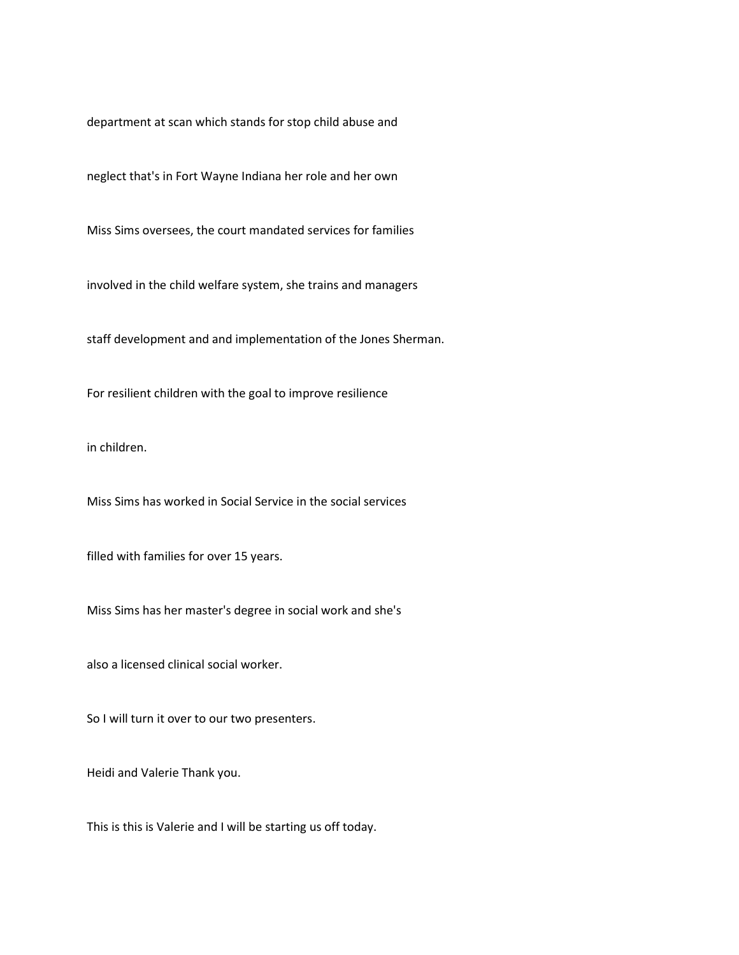department at scan which stands for stop child abuse and

neglect that's in Fort Wayne Indiana her role and her own

Miss Sims oversees, the court mandated services for families

involved in the child welfare system, she trains and managers

staff development and and implementation of the Jones Sherman.

For resilient children with the goal to improve resilience

in children.

Miss Sims has worked in Social Service in the social services

filled with families for over 15 years.

Miss Sims has her master's degree in social work and she's

also a licensed clinical social worker.

So I will turn it over to our two presenters.

Heidi and Valerie Thank you.

This is this is Valerie and I will be starting us off today.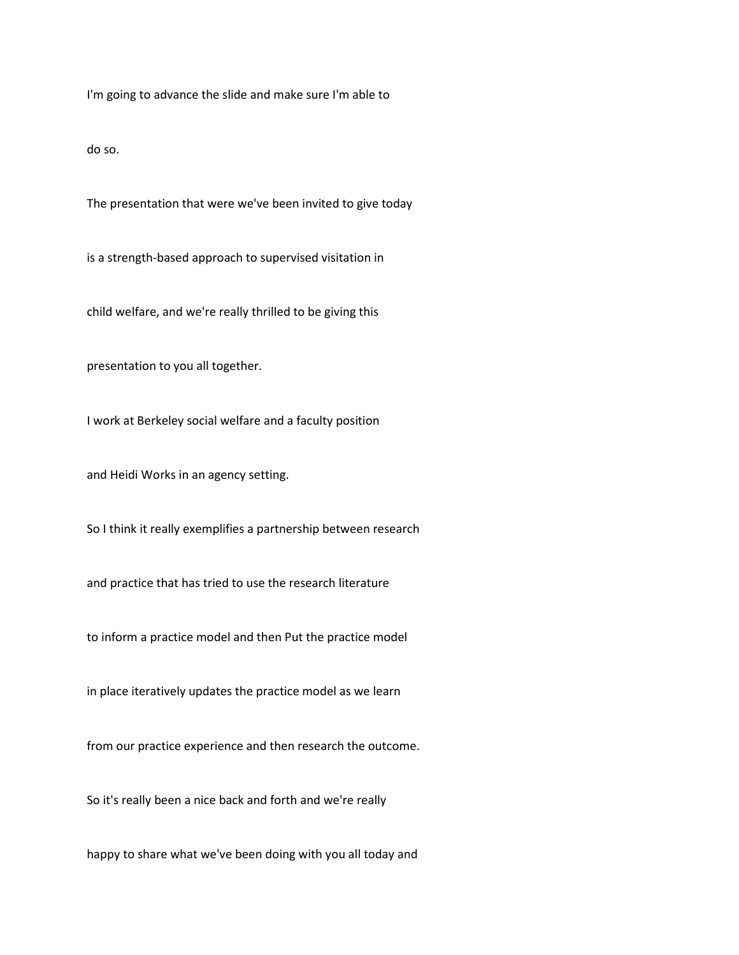I'm going to advance the slide and make sure I'm able to

do so.

The presentation that were we've been invited to give today

is a strength-based approach to supervised visitation in

child welfare, and we're really thrilled to be giving this

presentation to you all together.

I work at Berkeley social welfare and a faculty position

and Heidi Works in an agency setting.

So I think it really exemplifies a partnership between research

and practice that has tried to use the research literature

to inform a practice model and then Put the practice model

in place iteratively updates the practice model as we learn

from our practice experience and then research the outcome.

So it's really been a nice back and forth and we're really

happy to share what we've been doing with you all today and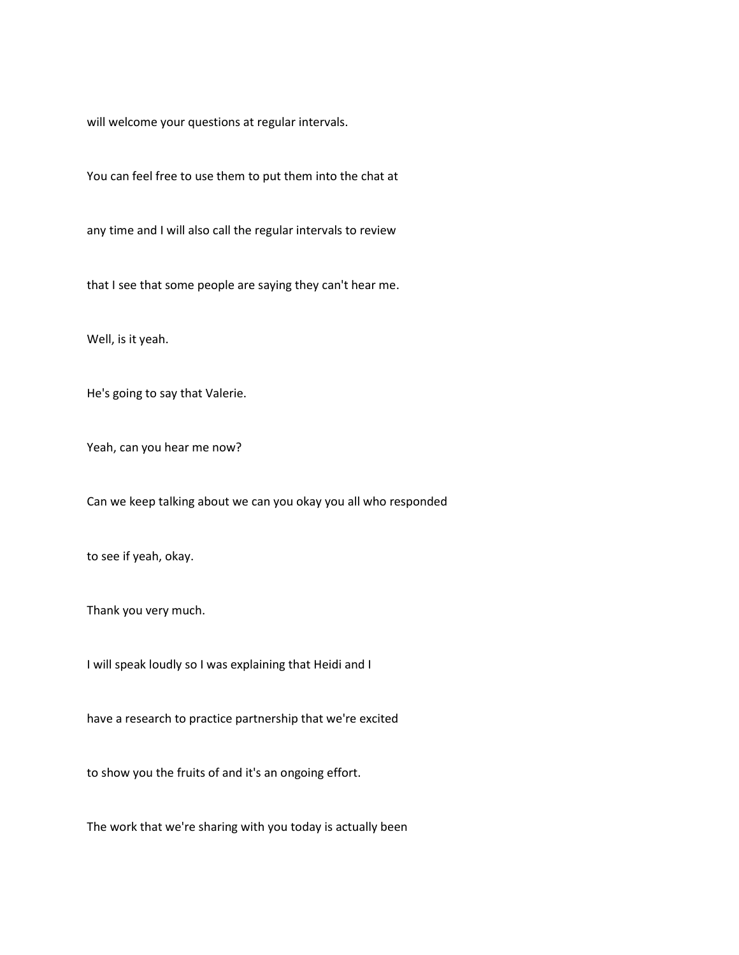will welcome your questions at regular intervals.

You can feel free to use them to put them into the chat at

any time and I will also call the regular intervals to review

that I see that some people are saying they can't hear me.

Well, is it yeah.

He's going to say that Valerie.

Yeah, can you hear me now?

Can we keep talking about we can you okay you all who responded

to see if yeah, okay.

Thank you very much.

I will speak loudly so I was explaining that Heidi and I

have a research to practice partnership that we're excited

to show you the fruits of and it's an ongoing effort.

The work that we're sharing with you today is actually been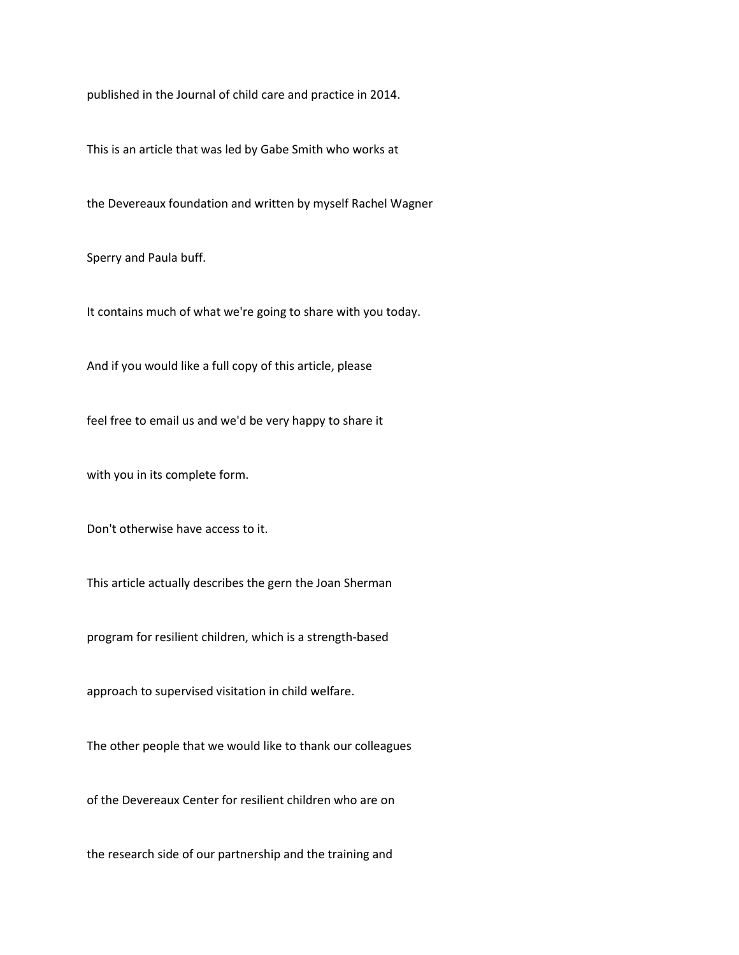published in the Journal of child care and practice in 2014.

This is an article that was led by Gabe Smith who works at

the Devereaux foundation and written by myself Rachel Wagner

Sperry and Paula buff.

It contains much of what we're going to share with you today.

And if you would like a full copy of this article, please

feel free to email us and we'd be very happy to share it

with you in its complete form.

Don't otherwise have access to it.

This article actually describes the gern the Joan Sherman

program for resilient children, which is a strength-based

approach to supervised visitation in child welfare.

The other people that we would like to thank our colleagues

of the Devereaux Center for resilient children who are on

the research side of our partnership and the training and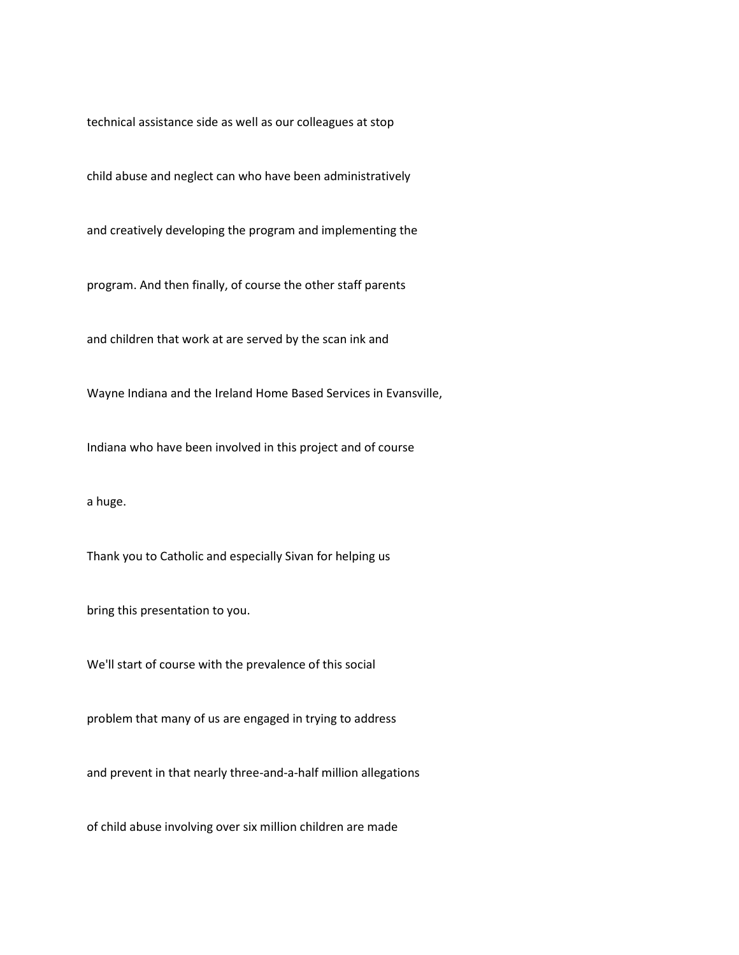technical assistance side as well as our colleagues at stop

child abuse and neglect can who have been administratively

and creatively developing the program and implementing the

program. And then finally, of course the other staff parents

and children that work at are served by the scan ink and

Wayne Indiana and the Ireland Home Based Services in Evansville,

Indiana who have been involved in this project and of course

a huge.

Thank you to Catholic and especially Sivan for helping us

bring this presentation to you.

We'll start of course with the prevalence of this social

problem that many of us are engaged in trying to address

and prevent in that nearly three-and-a-half million allegations

of child abuse involving over six million children are made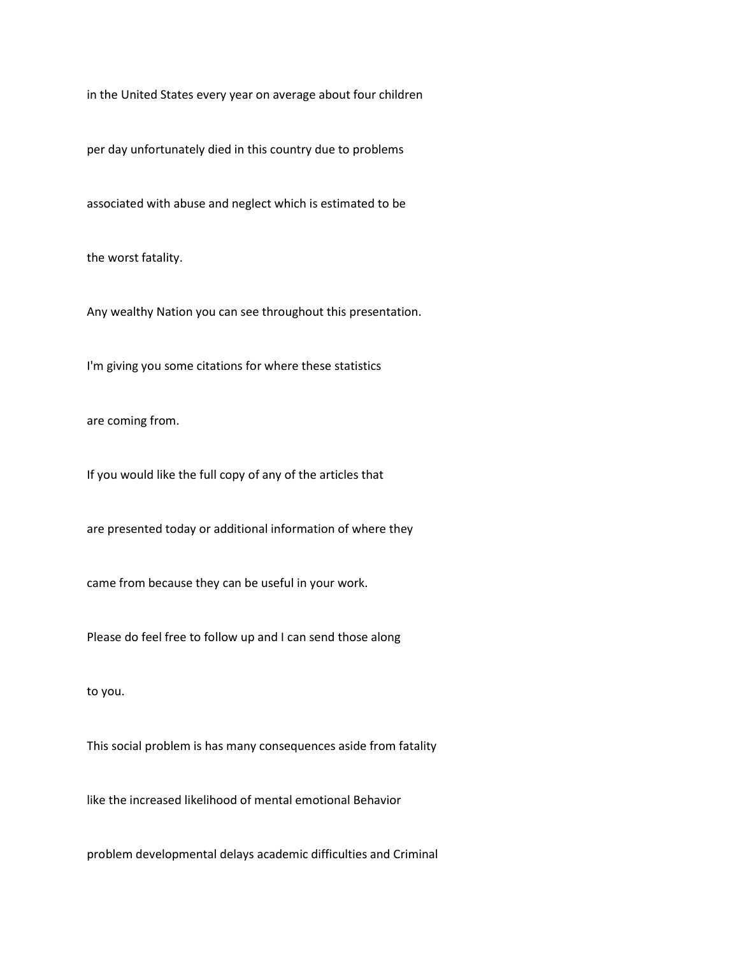in the United States every year on average about four children

per day unfortunately died in this country due to problems

associated with abuse and neglect which is estimated to be

the worst fatality.

Any wealthy Nation you can see throughout this presentation.

I'm giving you some citations for where these statistics

are coming from.

If you would like the full copy of any of the articles that

are presented today or additional information of where they

came from because they can be useful in your work.

Please do feel free to follow up and I can send those along

to you.

This social problem is has many consequences aside from fatality

like the increased likelihood of mental emotional Behavior

problem developmental delays academic difficulties and Criminal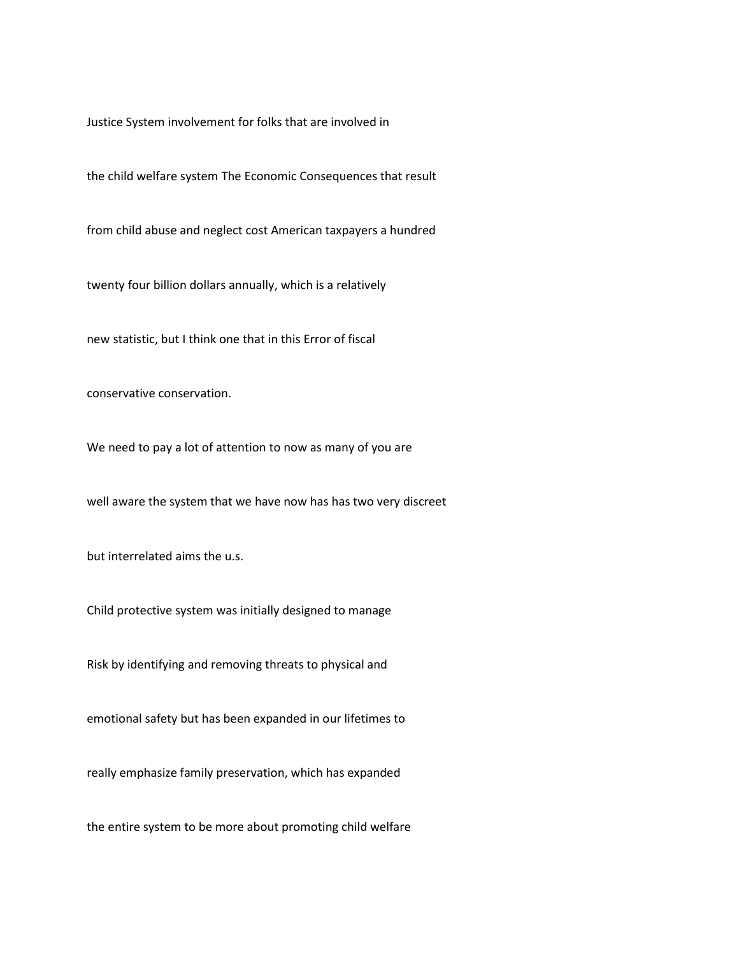Justice System involvement for folks that are involved in

the child welfare system The Economic Consequences that result

from child abuse and neglect cost American taxpayers a hundred

twenty four billion dollars annually, which is a relatively

new statistic, but I think one that in this Error of fiscal

conservative conservation.

We need to pay a lot of attention to now as many of you are

well aware the system that we have now has has two very discreet

but interrelated aims the u.s.

Child protective system was initially designed to manage

Risk by identifying and removing threats to physical and

emotional safety but has been expanded in our lifetimes to

really emphasize family preservation, which has expanded

the entire system to be more about promoting child welfare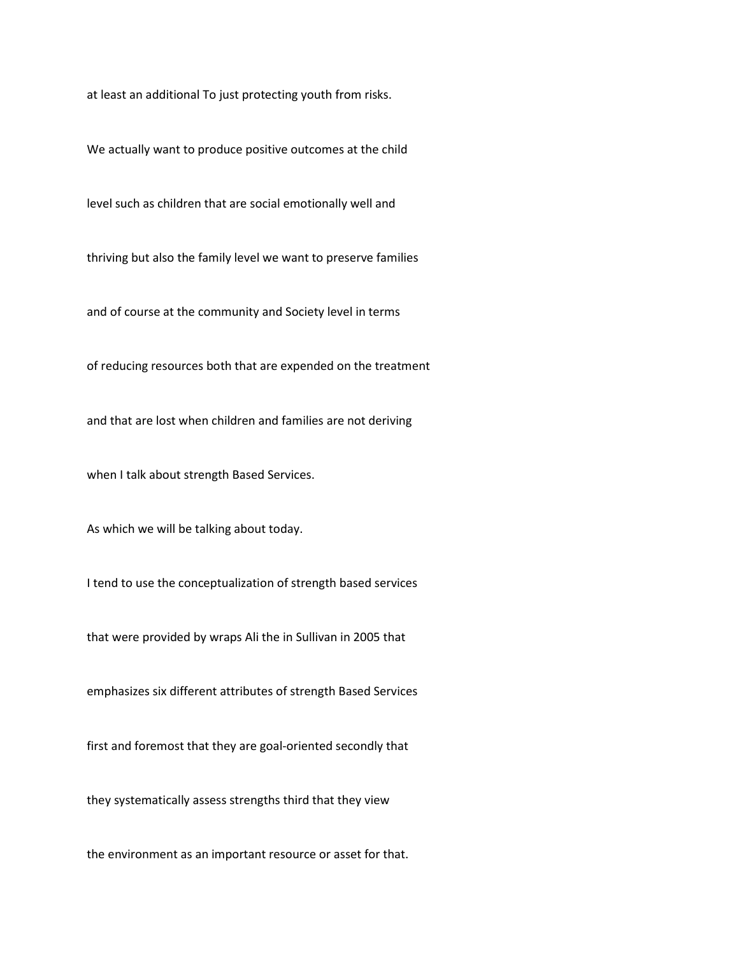at least an additional To just protecting youth from risks.

We actually want to produce positive outcomes at the child

level such as children that are social emotionally well and

thriving but also the family level we want to preserve families

and of course at the community and Society level in terms

of reducing resources both that are expended on the treatment

and that are lost when children and families are not deriving

when I talk about strength Based Services.

As which we will be talking about today.

I tend to use the conceptualization of strength based services

that were provided by wraps Ali the in Sullivan in 2005 that

emphasizes six different attributes of strength Based Services

first and foremost that they are goal-oriented secondly that

they systematically assess strengths third that they view

the environment as an important resource or asset for that.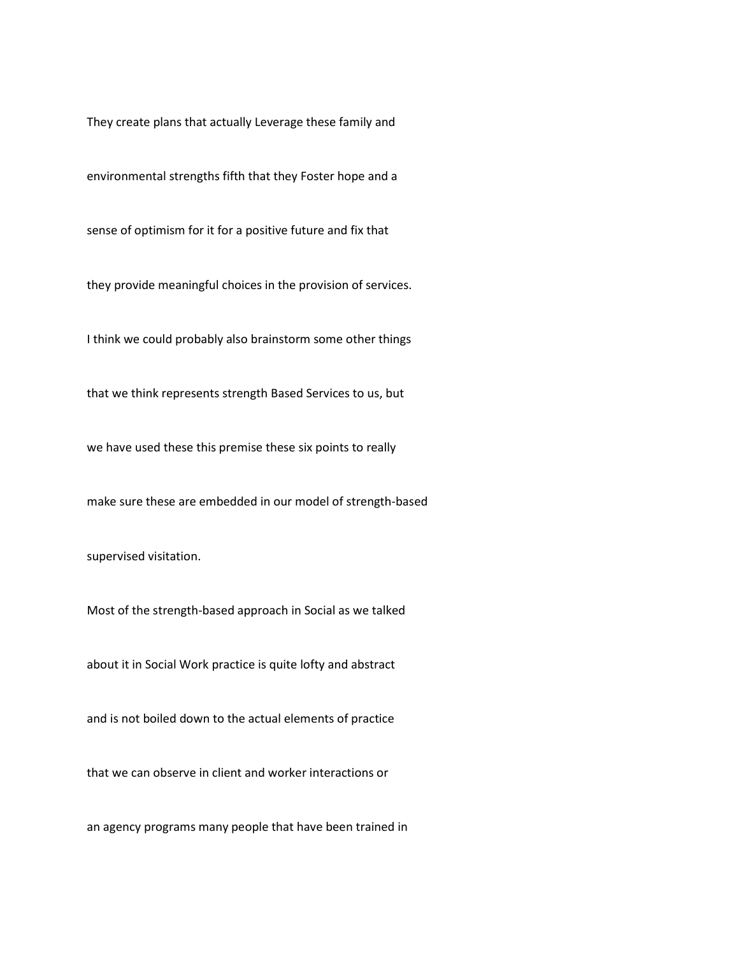They create plans that actually Leverage these family and

environmental strengths fifth that they Foster hope and a

sense of optimism for it for a positive future and fix that

they provide meaningful choices in the provision of services.

I think we could probably also brainstorm some other things

that we think represents strength Based Services to us, but

we have used these this premise these six points to really

make sure these are embedded in our model of strength-based

supervised visitation.

Most of the strength-based approach in Social as we talked

about it in Social Work practice is quite lofty and abstract

and is not boiled down to the actual elements of practice

that we can observe in client and worker interactions or

an agency programs many people that have been trained in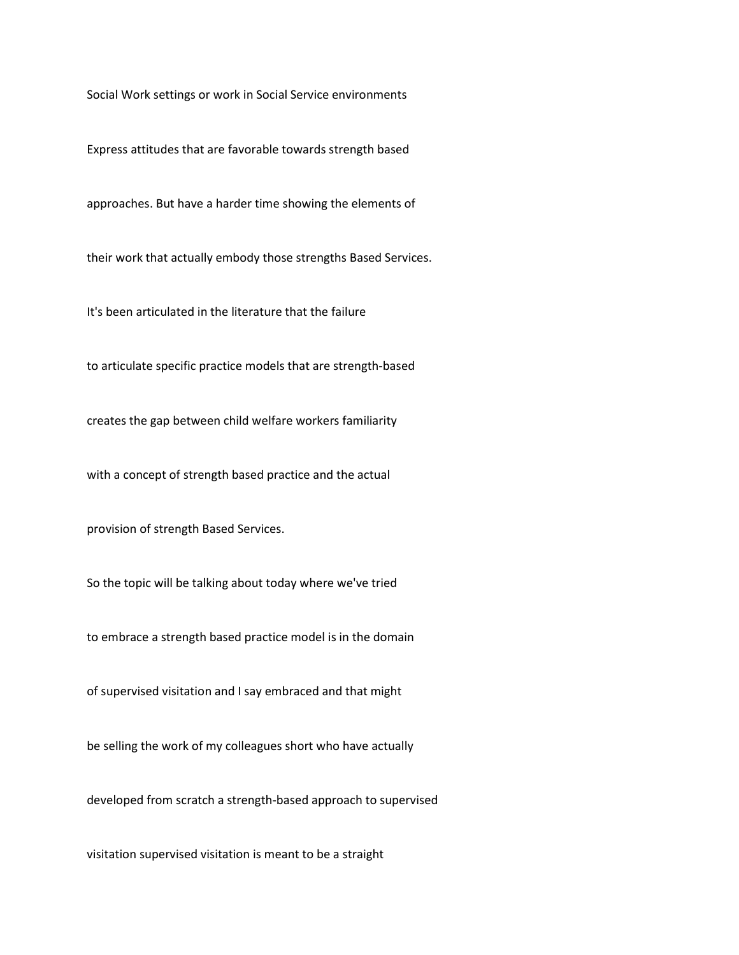Social Work settings or work in Social Service environments

Express attitudes that are favorable towards strength based

approaches. But have a harder time showing the elements of

their work that actually embody those strengths Based Services.

It's been articulated in the literature that the failure

to articulate specific practice models that are strength-based

creates the gap between child welfare workers familiarity

with a concept of strength based practice and the actual

provision of strength Based Services.

So the topic will be talking about today where we've tried

to embrace a strength based practice model is in the domain

of supervised visitation and I say embraced and that might

be selling the work of my colleagues short who have actually

developed from scratch a strength-based approach to supervised

visitation supervised visitation is meant to be a straight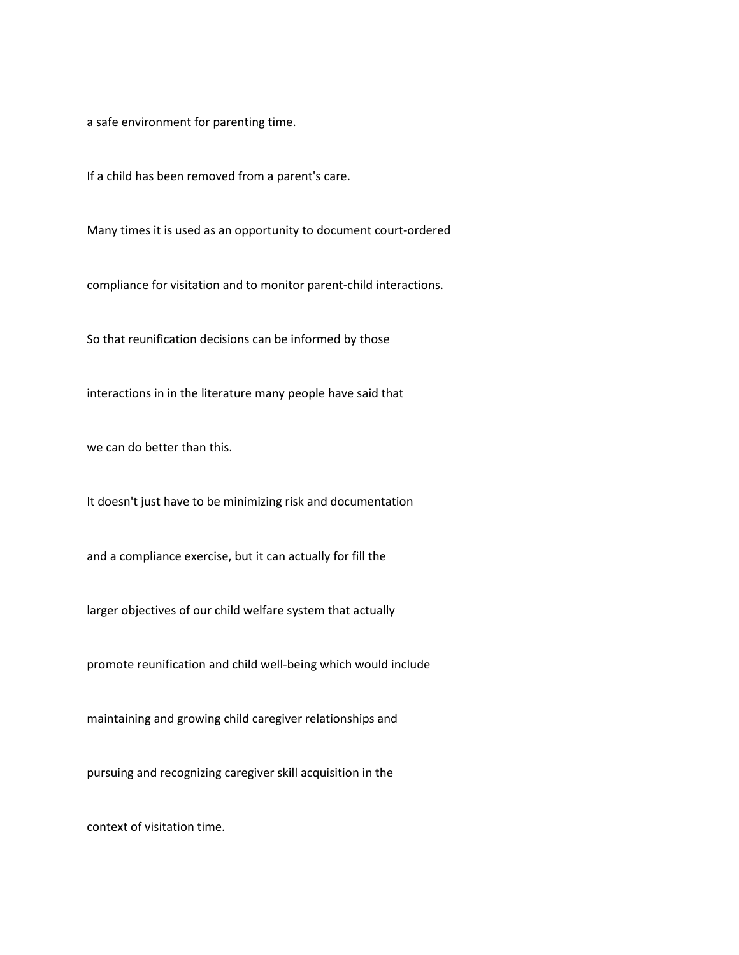a safe environment for parenting time.

If a child has been removed from a parent's care.

Many times it is used as an opportunity to document court-ordered

compliance for visitation and to monitor parent-child interactions.

So that reunification decisions can be informed by those

interactions in in the literature many people have said that

we can do better than this.

It doesn't just have to be minimizing risk and documentation

and a compliance exercise, but it can actually for fill the

larger objectives of our child welfare system that actually

promote reunification and child well-being which would include

maintaining and growing child caregiver relationships and

pursuing and recognizing caregiver skill acquisition in the

context of visitation time.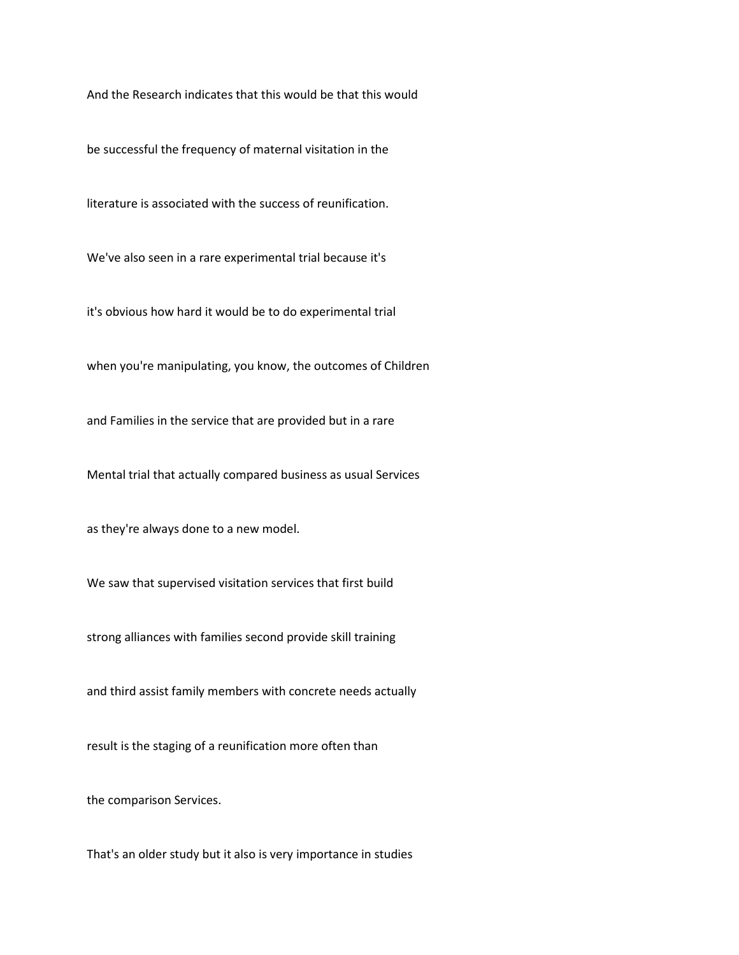And the Research indicates that this would be that this would

be successful the frequency of maternal visitation in the

literature is associated with the success of reunification.

We've also seen in a rare experimental trial because it's

it's obvious how hard it would be to do experimental trial

when you're manipulating, you know, the outcomes of Children

and Families in the service that are provided but in a rare

Mental trial that actually compared business as usual Services

as they're always done to a new model.

We saw that supervised visitation services that first build

strong alliances with families second provide skill training

and third assist family members with concrete needs actually

result is the staging of a reunification more often than

the comparison Services.

That's an older study but it also is very importance in studies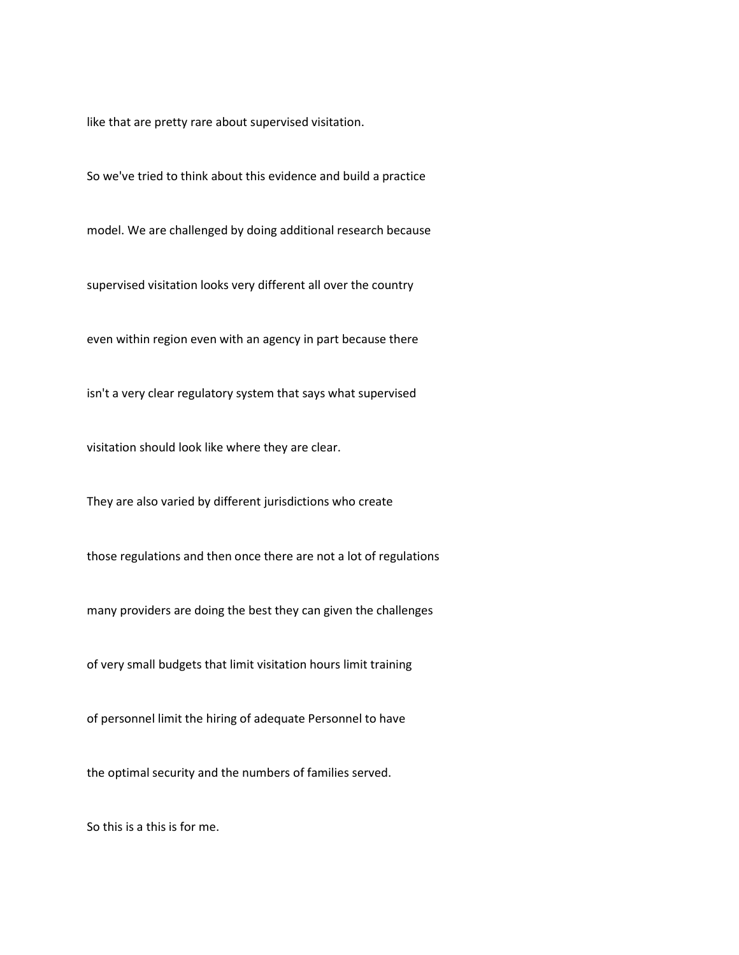like that are pretty rare about supervised visitation.

So we've tried to think about this evidence and build a practice

model. We are challenged by doing additional research because

supervised visitation looks very different all over the country

even within region even with an agency in part because there

isn't a very clear regulatory system that says what supervised

visitation should look like where they are clear.

They are also varied by different jurisdictions who create

those regulations and then once there are not a lot of regulations

many providers are doing the best they can given the challenges

of very small budgets that limit visitation hours limit training

of personnel limit the hiring of adequate Personnel to have

the optimal security and the numbers of families served.

So this is a this is for me.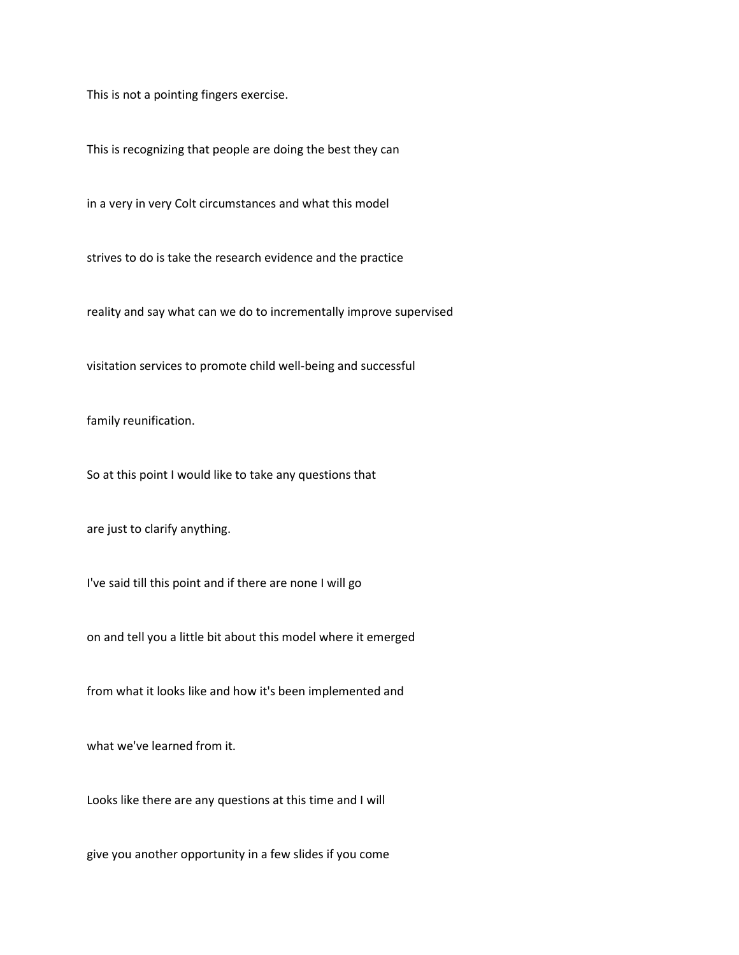This is not a pointing fingers exercise.

This is recognizing that people are doing the best they can

in a very in very Colt circumstances and what this model

strives to do is take the research evidence and the practice

reality and say what can we do to incrementally improve supervised

visitation services to promote child well-being and successful

family reunification.

So at this point I would like to take any questions that

are just to clarify anything.

I've said till this point and if there are none I will go

on and tell you a little bit about this model where it emerged

from what it looks like and how it's been implemented and

what we've learned from it.

Looks like there are any questions at this time and I will

give you another opportunity in a few slides if you come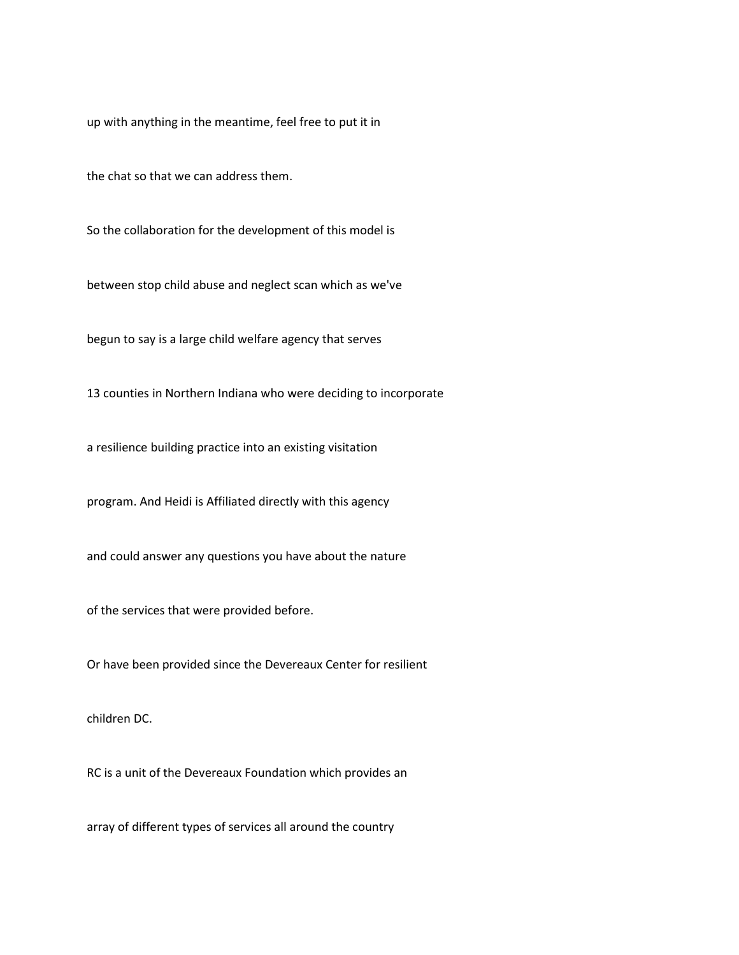up with anything in the meantime, feel free to put it in

the chat so that we can address them.

So the collaboration for the development of this model is

between stop child abuse and neglect scan which as we've

begun to say is a large child welfare agency that serves

13 counties in Northern Indiana who were deciding to incorporate

a resilience building practice into an existing visitation

program. And Heidi is Affiliated directly with this agency

and could answer any questions you have about the nature

of the services that were provided before.

Or have been provided since the Devereaux Center for resilient

children DC.

RC is a unit of the Devereaux Foundation which provides an

array of different types of services all around the country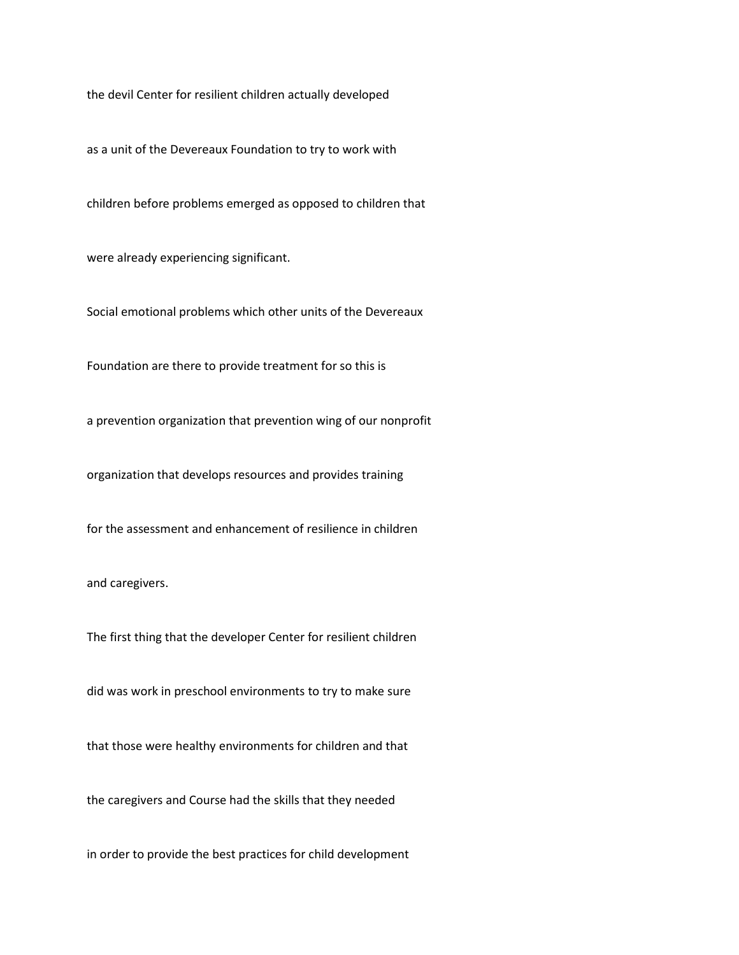the devil Center for resilient children actually developed

as a unit of the Devereaux Foundation to try to work with

children before problems emerged as opposed to children that

were already experiencing significant.

Social emotional problems which other units of the Devereaux

Foundation are there to provide treatment for so this is

a prevention organization that prevention wing of our nonprofit

organization that develops resources and provides training

for the assessment and enhancement of resilience in children

and caregivers.

The first thing that the developer Center for resilient children

did was work in preschool environments to try to make sure

that those were healthy environments for children and that

the caregivers and Course had the skills that they needed

in order to provide the best practices for child development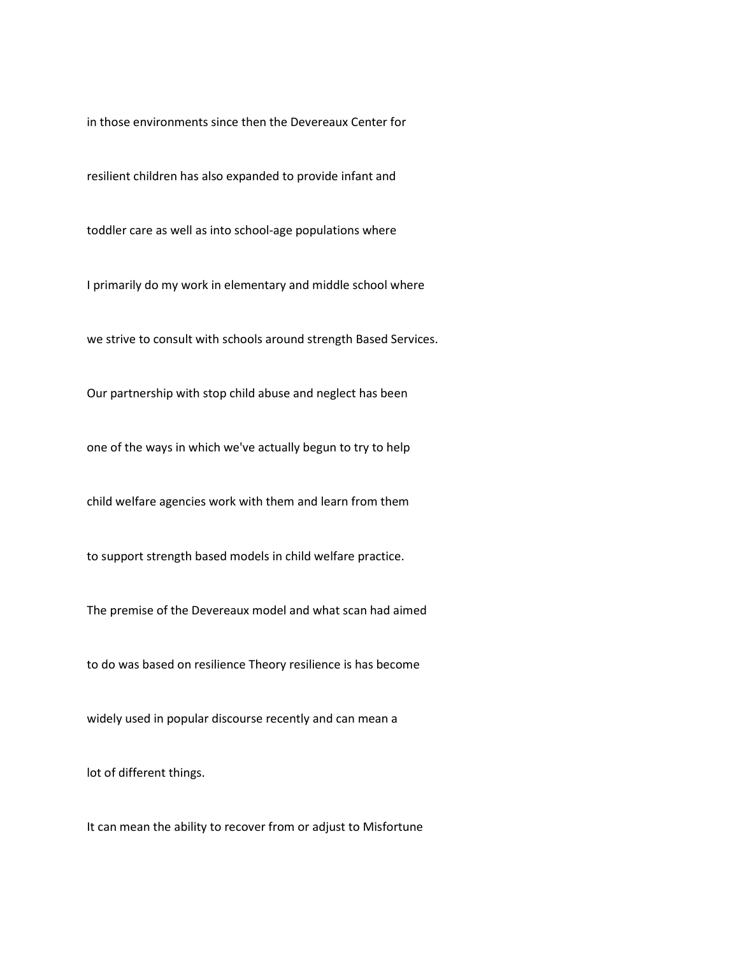in those environments since then the Devereaux Center for

resilient children has also expanded to provide infant and

toddler care as well as into school-age populations where

I primarily do my work in elementary and middle school where

we strive to consult with schools around strength Based Services.

Our partnership with stop child abuse and neglect has been

one of the ways in which we've actually begun to try to help

child welfare agencies work with them and learn from them

to support strength based models in child welfare practice.

The premise of the Devereaux model and what scan had aimed

to do was based on resilience Theory resilience is has become

widely used in popular discourse recently and can mean a

lot of different things.

It can mean the ability to recover from or adjust to Misfortune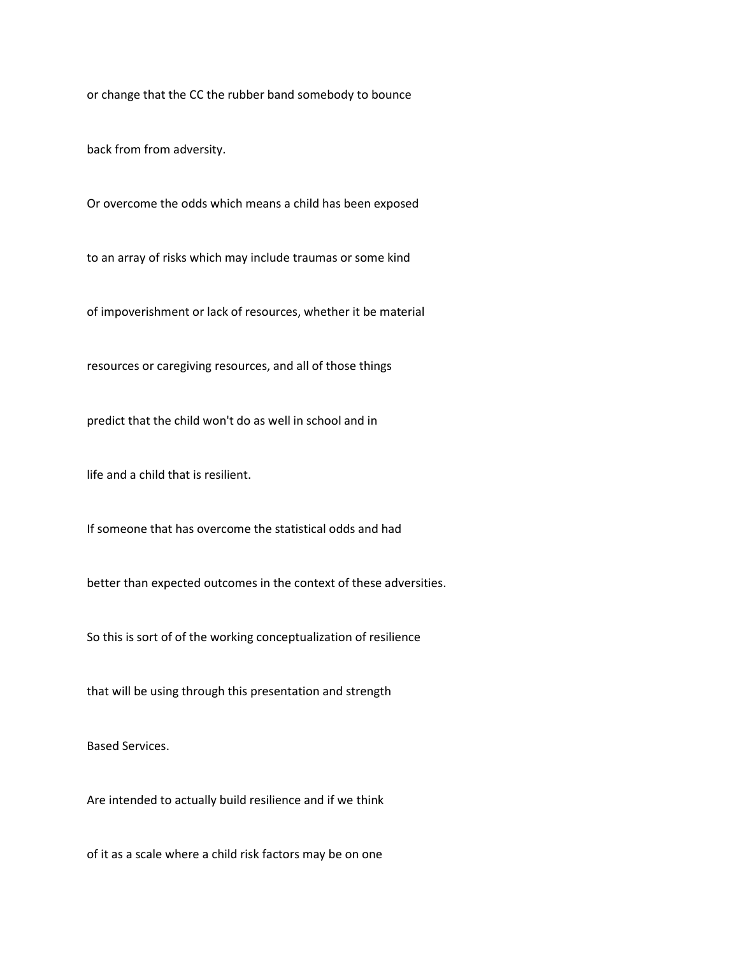or change that the CC the rubber band somebody to bounce

back from from adversity.

Or overcome the odds which means a child has been exposed

to an array of risks which may include traumas or some kind

of impoverishment or lack of resources, whether it be material

resources or caregiving resources, and all of those things

predict that the child won't do as well in school and in

life and a child that is resilient.

If someone that has overcome the statistical odds and had

better than expected outcomes in the context of these adversities.

So this is sort of of the working conceptualization of resilience

that will be using through this presentation and strength

Based Services.

Are intended to actually build resilience and if we think

of it as a scale where a child risk factors may be on one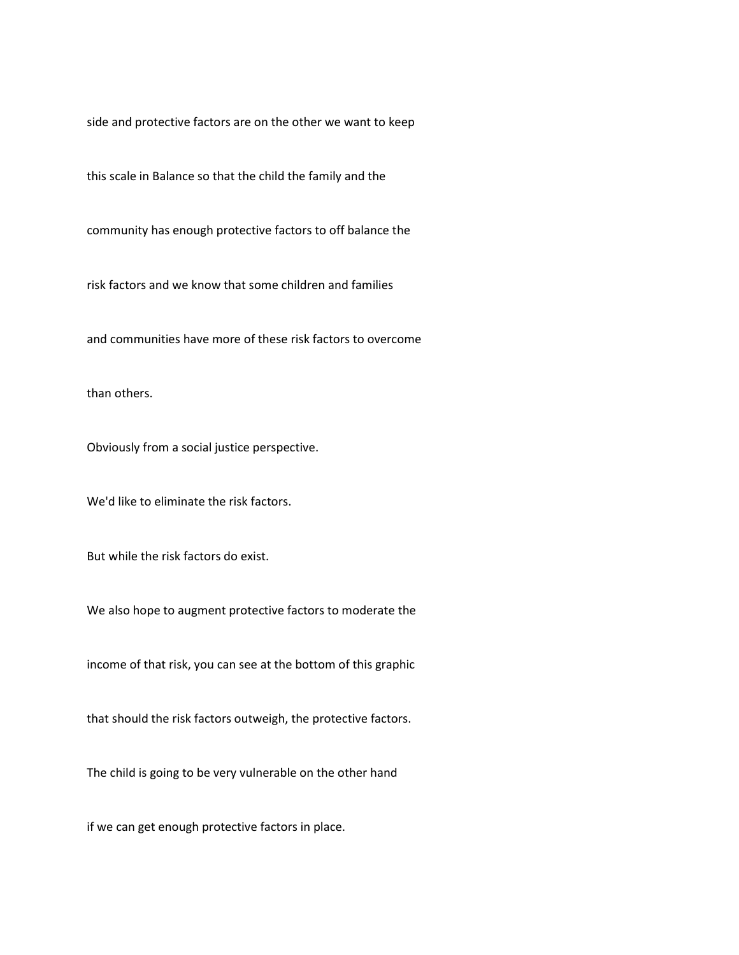side and protective factors are on the other we want to keep

this scale in Balance so that the child the family and the

community has enough protective factors to off balance the

risk factors and we know that some children and families

and communities have more of these risk factors to overcome

than others.

Obviously from a social justice perspective.

We'd like to eliminate the risk factors.

But while the risk factors do exist.

We also hope to augment protective factors to moderate the

income of that risk, you can see at the bottom of this graphic

that should the risk factors outweigh, the protective factors.

The child is going to be very vulnerable on the other hand

if we can get enough protective factors in place.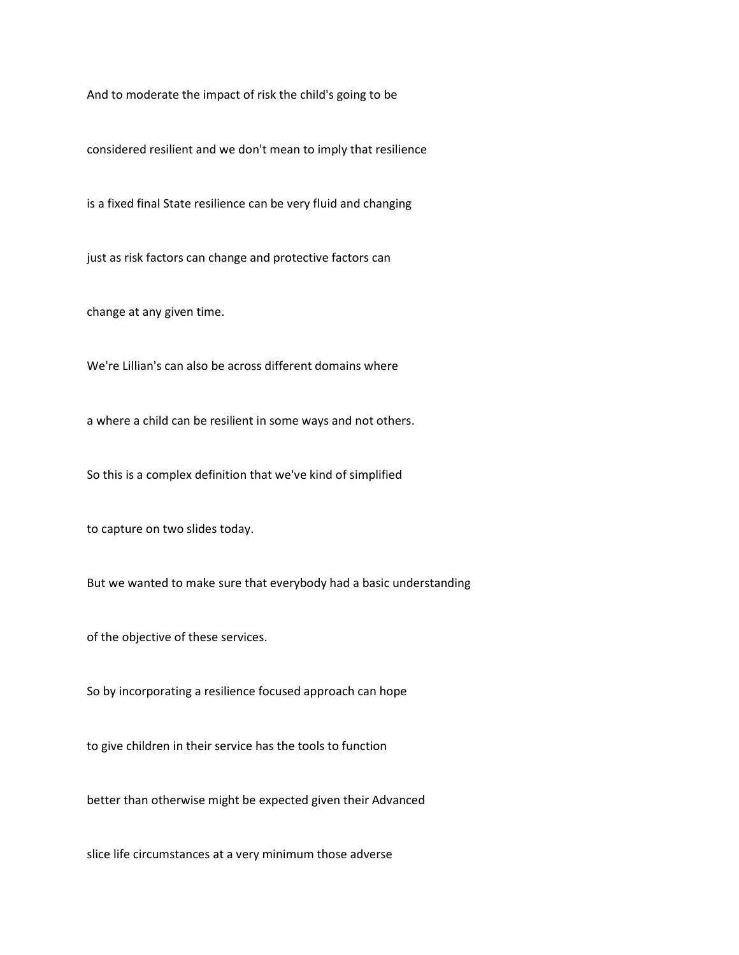And to moderate the impact of risk the child's going to be

considered resilient and we don't mean to imply that resilience

is a fixed final State resilience can be very fluid and changing

just as risk factors can change and protective factors can

change at any given time.

We're Lillian's can also be across different domains where

a where a child can be resilient in some ways and not others.

So this is a complex definition that we've kind of simplified

to capture on two slides today.

But we wanted to make sure that everybody had a basic understanding

of the objective of these services.

So by incorporating a resilience focused approach can hope

to give children in their service has the tools to function

better than otherwise might be expected given their Advanced

slice life circumstances at a very minimum those adverse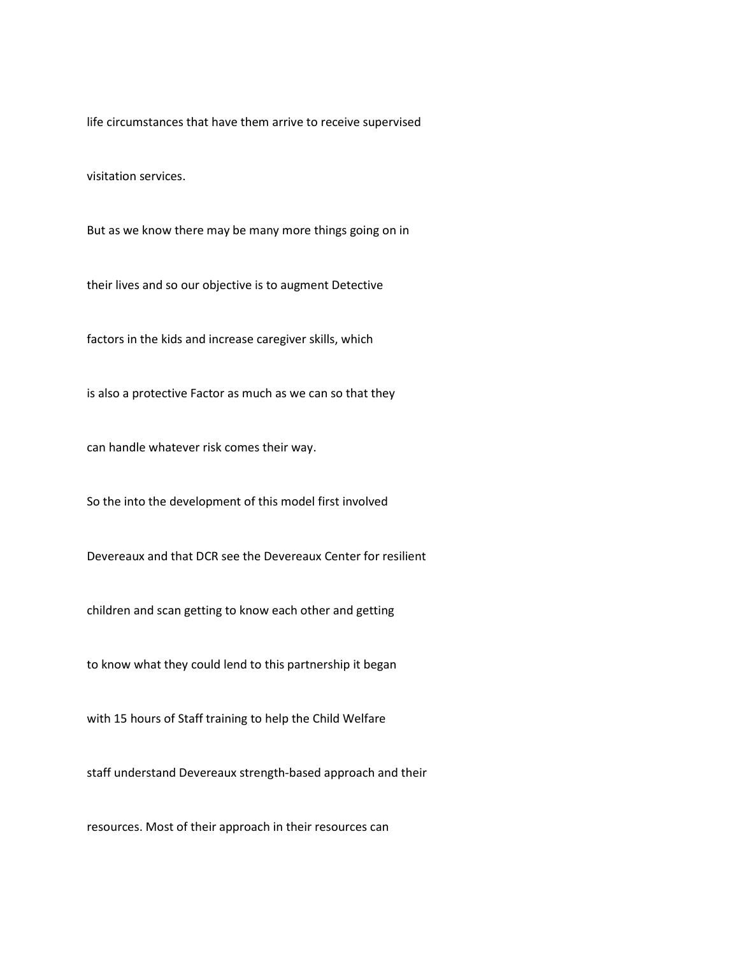life circumstances that have them arrive to receive supervised

visitation services.

But as we know there may be many more things going on in

their lives and so our objective is to augment Detective

factors in the kids and increase caregiver skills, which

is also a protective Factor as much as we can so that they

can handle whatever risk comes their way.

So the into the development of this model first involved

Devereaux and that DCR see the Devereaux Center for resilient

children and scan getting to know each other and getting

to know what they could lend to this partnership it began

with 15 hours of Staff training to help the Child Welfare

staff understand Devereaux strength-based approach and their

resources. Most of their approach in their resources can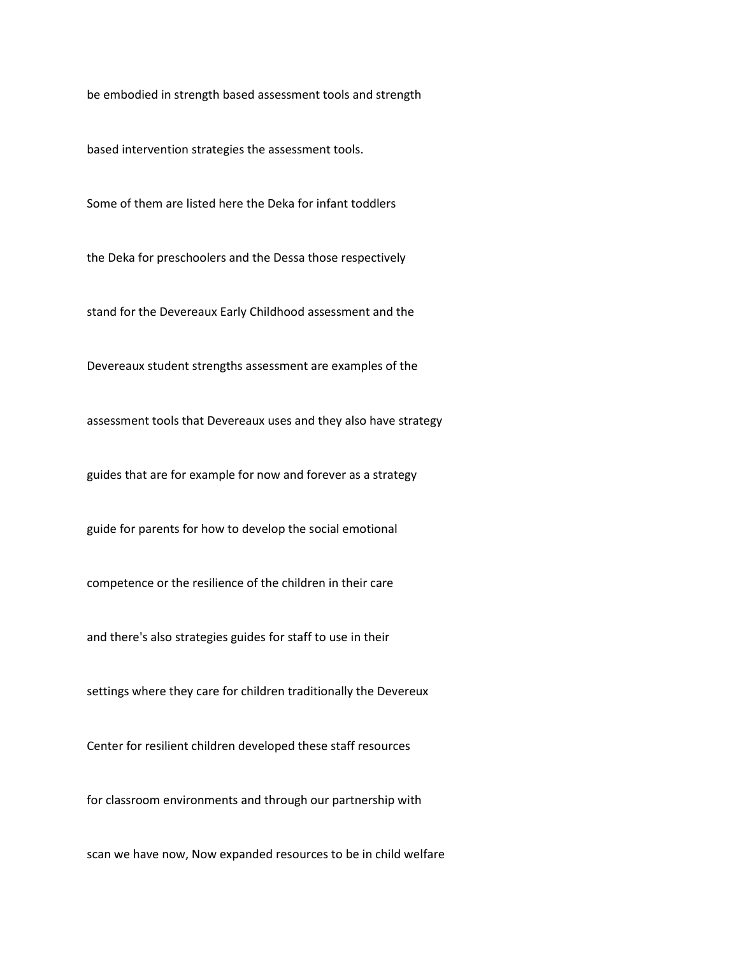be embodied in strength based assessment tools and strength

based intervention strategies the assessment tools.

Some of them are listed here the Deka for infant toddlers

the Deka for preschoolers and the Dessa those respectively

stand for the Devereaux Early Childhood assessment and the

Devereaux student strengths assessment are examples of the

assessment tools that Devereaux uses and they also have strategy

guides that are for example for now and forever as a strategy

guide for parents for how to develop the social emotional

competence or the resilience of the children in their care

and there's also strategies guides for staff to use in their

settings where they care for children traditionally the Devereux

Center for resilient children developed these staff resources

for classroom environments and through our partnership with

scan we have now, Now expanded resources to be in child welfare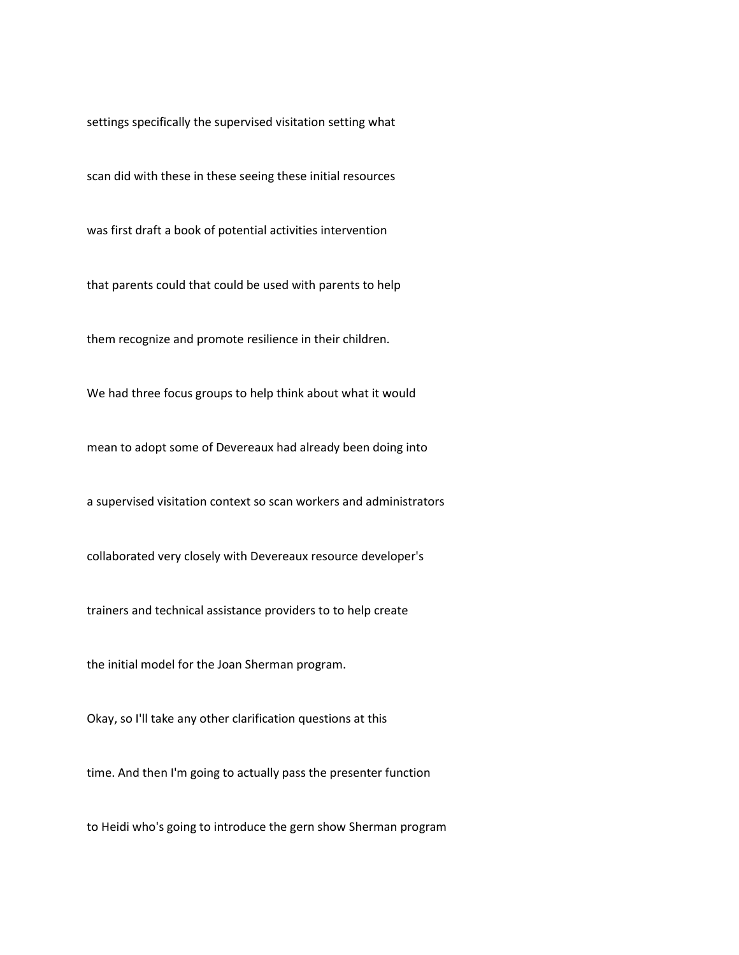settings specifically the supervised visitation setting what

scan did with these in these seeing these initial resources

was first draft a book of potential activities intervention

that parents could that could be used with parents to help

them recognize and promote resilience in their children.

We had three focus groups to help think about what it would

mean to adopt some of Devereaux had already been doing into

a supervised visitation context so scan workers and administrators

collaborated very closely with Devereaux resource developer's

trainers and technical assistance providers to to help create

the initial model for the Joan Sherman program.

Okay, so I'll take any other clarification questions at this

time. And then I'm going to actually pass the presenter function

to Heidi who's going to introduce the gern show Sherman program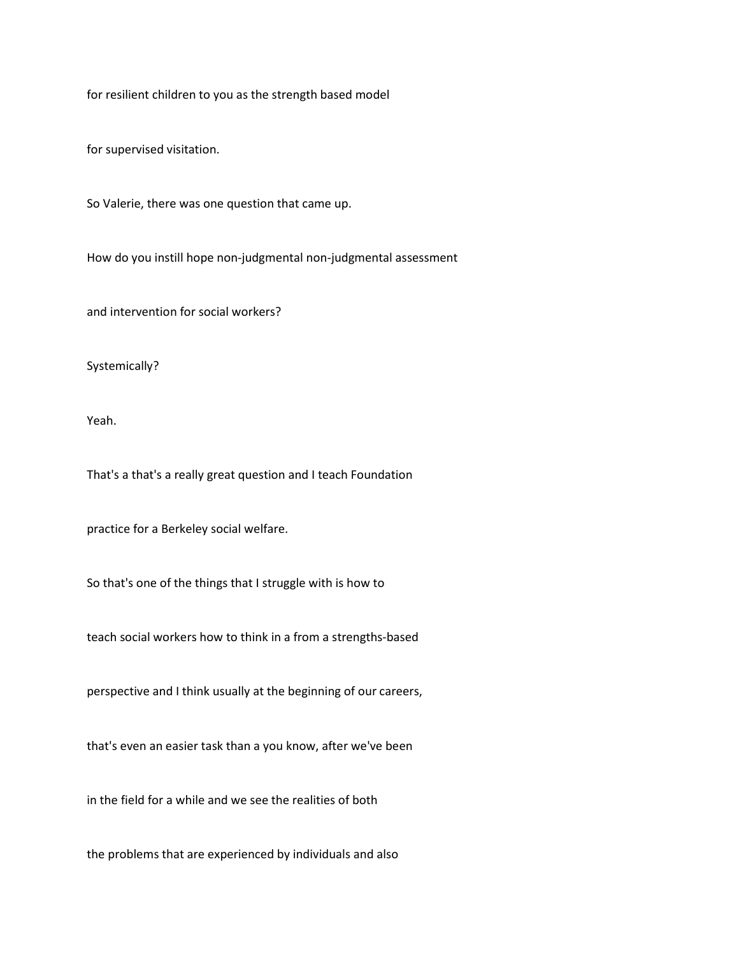for resilient children to you as the strength based model

for supervised visitation.

So Valerie, there was one question that came up.

How do you instill hope non-judgmental non-judgmental assessment

and intervention for social workers?

Systemically?

Yeah.

That's a that's a really great question and I teach Foundation

practice for a Berkeley social welfare.

So that's one of the things that I struggle with is how to

teach social workers how to think in a from a strengths-based

perspective and I think usually at the beginning of our careers,

that's even an easier task than a you know, after we've been

in the field for a while and we see the realities of both

the problems that are experienced by individuals and also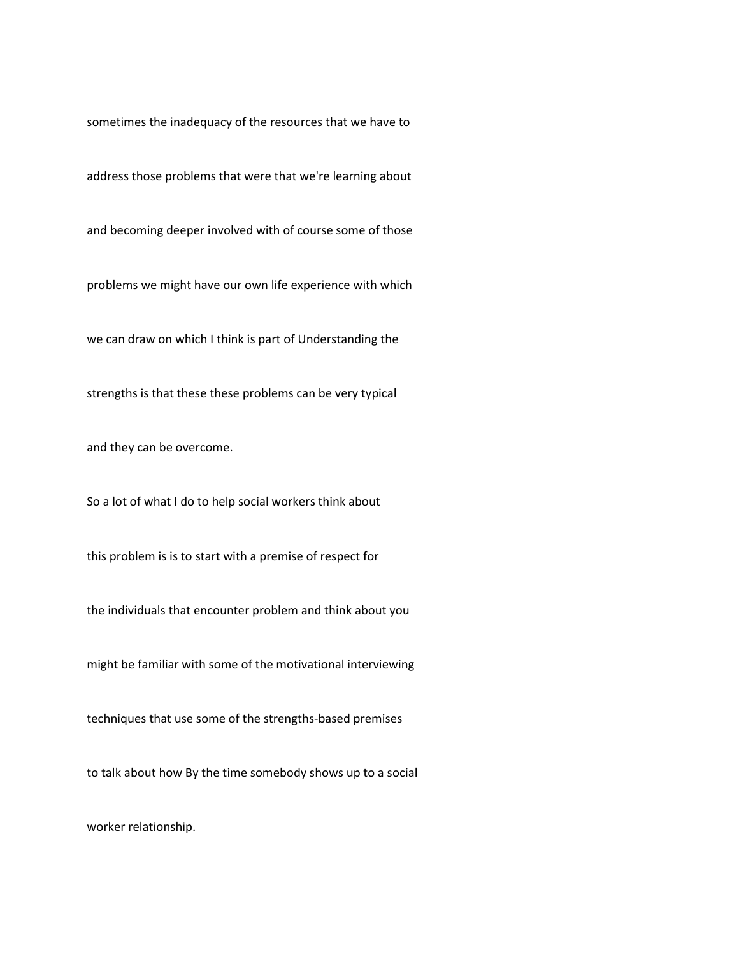sometimes the inadequacy of the resources that we have to

address those problems that were that we're learning about

and becoming deeper involved with of course some of those

problems we might have our own life experience with which

we can draw on which I think is part of Understanding the

strengths is that these these problems can be very typical

and they can be overcome.

So a lot of what I do to help social workers think about

this problem is is to start with a premise of respect for

the individuals that encounter problem and think about you

might be familiar with some of the motivational interviewing

techniques that use some of the strengths-based premises

to talk about how By the time somebody shows up to a social

worker relationship.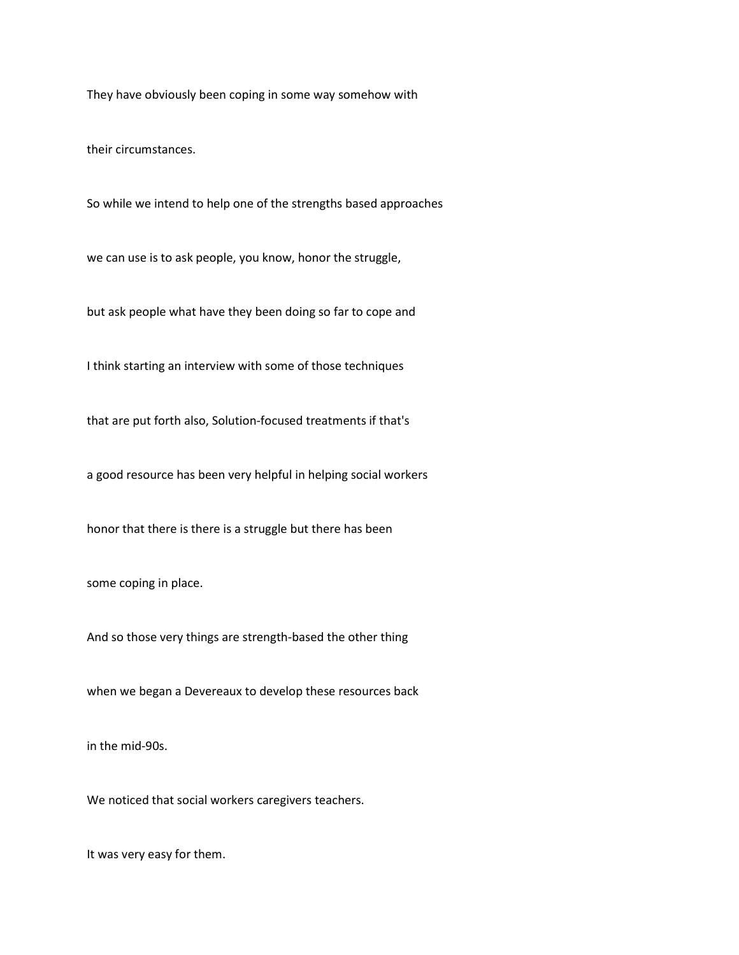They have obviously been coping in some way somehow with

their circumstances.

So while we intend to help one of the strengths based approaches

we can use is to ask people, you know, honor the struggle,

but ask people what have they been doing so far to cope and

I think starting an interview with some of those techniques

that are put forth also, Solution-focused treatments if that's

a good resource has been very helpful in helping social workers

honor that there is there is a struggle but there has been

some coping in place.

And so those very things are strength-based the other thing

when we began a Devereaux to develop these resources back

in the mid-90s.

We noticed that social workers caregivers teachers.

It was very easy for them.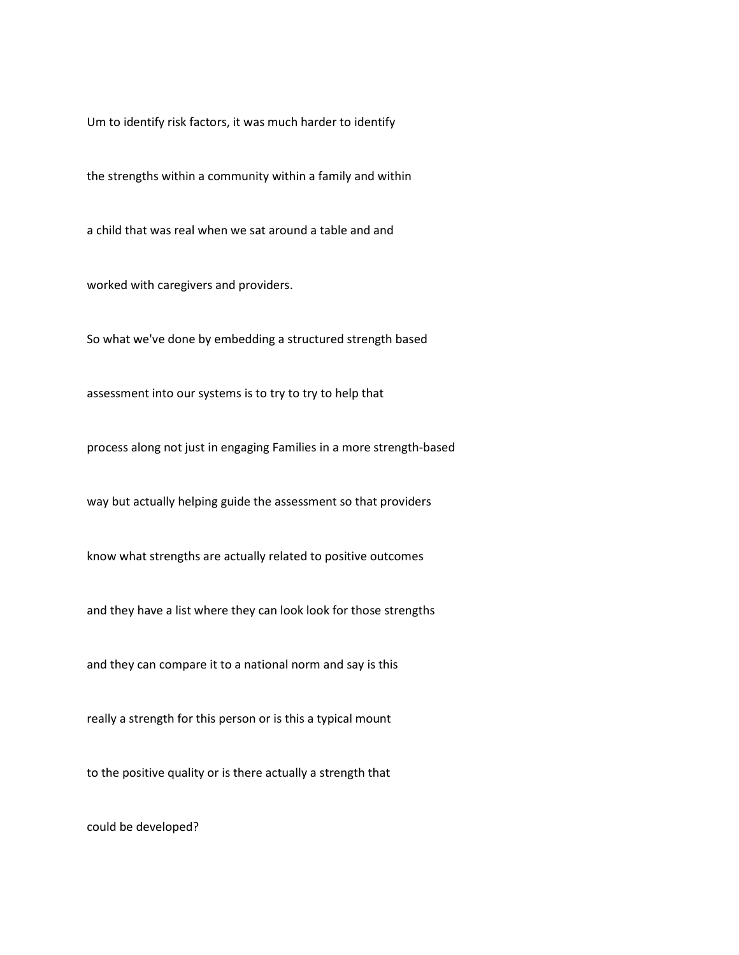Um to identify risk factors, it was much harder to identify

the strengths within a community within a family and within

a child that was real when we sat around a table and and

worked with caregivers and providers.

So what we've done by embedding a structured strength based

assessment into our systems is to try to try to help that

process along not just in engaging Families in a more strength-based

way but actually helping guide the assessment so that providers

know what strengths are actually related to positive outcomes

and they have a list where they can look look for those strengths

and they can compare it to a national norm and say is this

really a strength for this person or is this a typical mount

to the positive quality or is there actually a strength that

could be developed?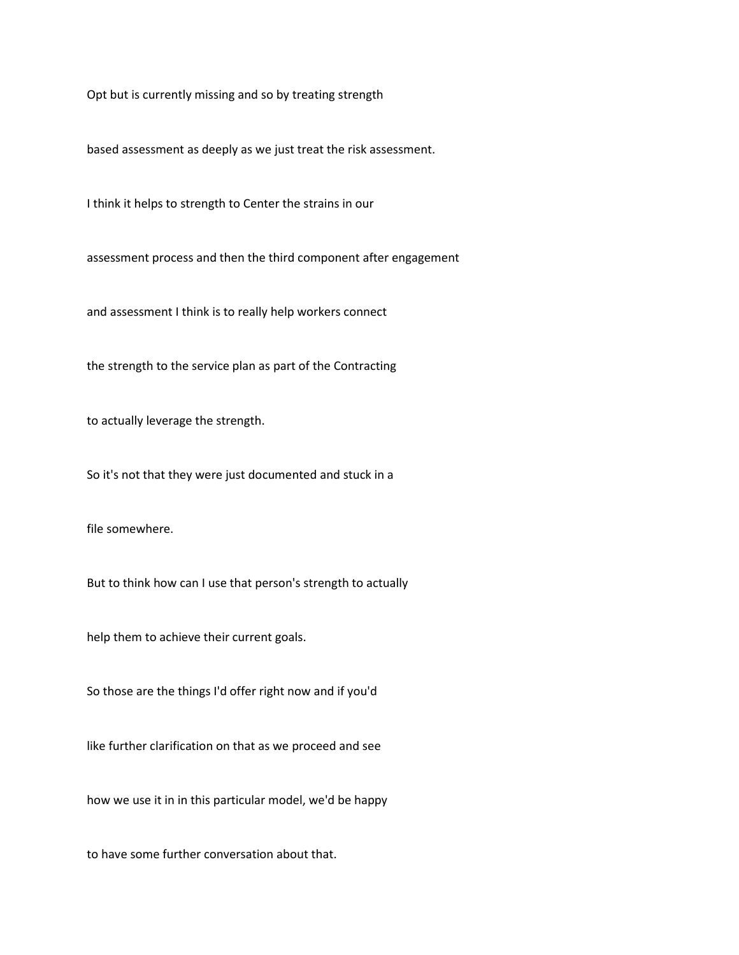Opt but is currently missing and so by treating strength

based assessment as deeply as we just treat the risk assessment.

I think it helps to strength to Center the strains in our

assessment process and then the third component after engagement

and assessment I think is to really help workers connect

the strength to the service plan as part of the Contracting

to actually leverage the strength.

So it's not that they were just documented and stuck in a

file somewhere.

But to think how can I use that person's strength to actually

help them to achieve their current goals.

So those are the things I'd offer right now and if you'd

like further clarification on that as we proceed and see

how we use it in in this particular model, we'd be happy

to have some further conversation about that.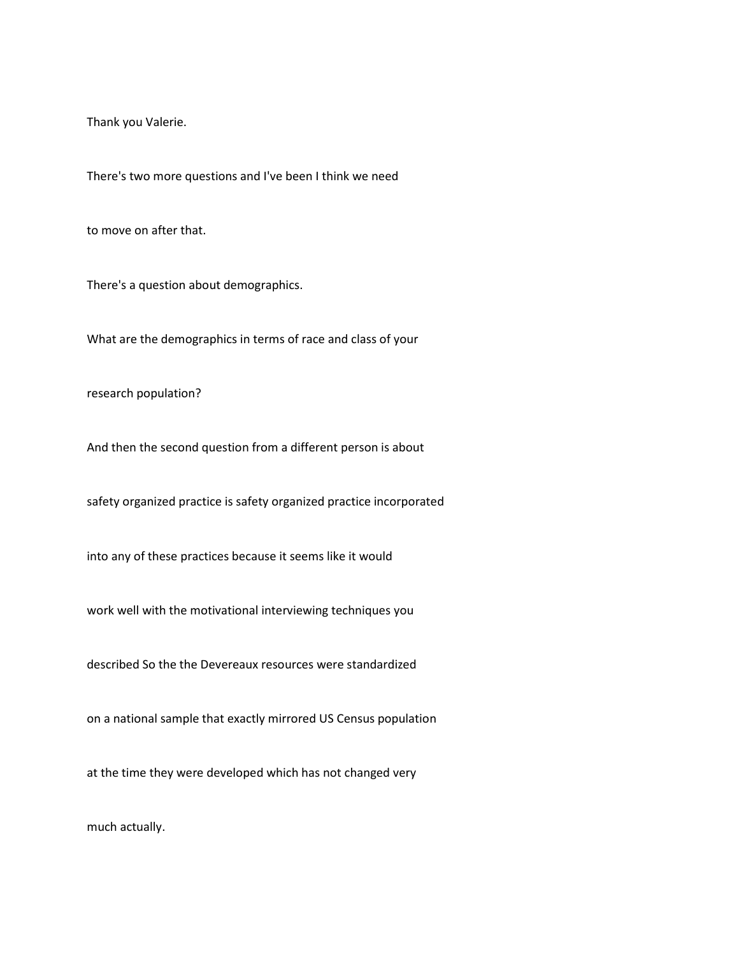Thank you Valerie.

There's two more questions and I've been I think we need

to move on after that.

There's a question about demographics.

What are the demographics in terms of race and class of your

research population?

And then the second question from a different person is about

safety organized practice is safety organized practice incorporated

into any of these practices because it seems like it would

work well with the motivational interviewing techniques you

described So the the Devereaux resources were standardized

on a national sample that exactly mirrored US Census population

at the time they were developed which has not changed very

much actually.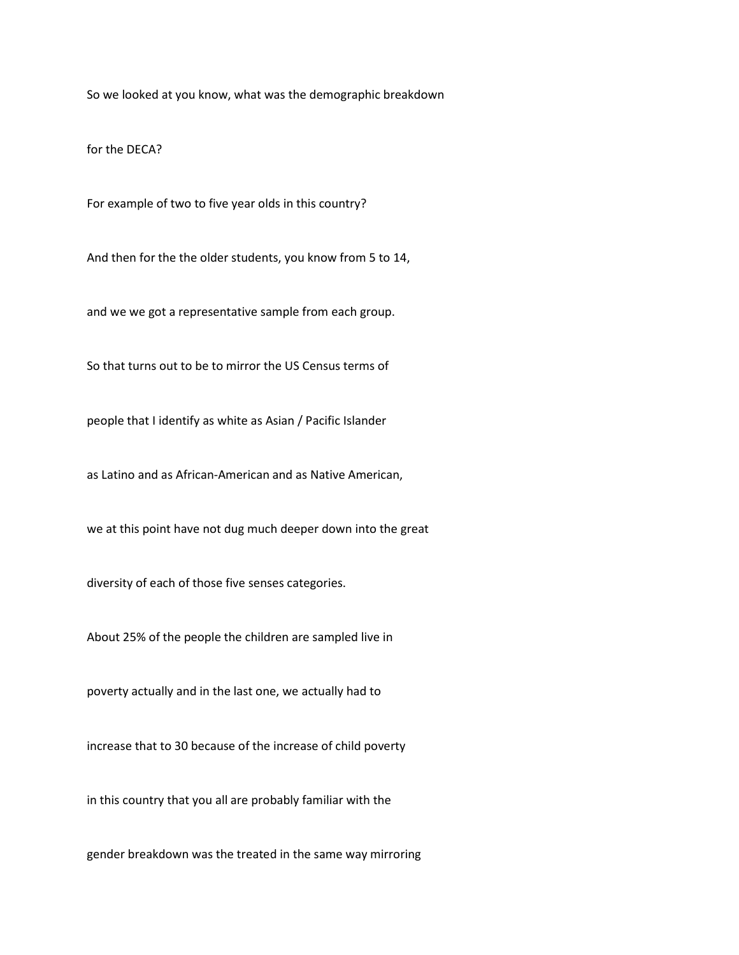So we looked at you know, what was the demographic breakdown

for the DECA?

For example of two to five year olds in this country?

And then for the the older students, you know from 5 to 14,

and we we got a representative sample from each group.

So that turns out to be to mirror the US Census terms of

people that I identify as white as Asian / Pacific Islander

as Latino and as African-American and as Native American,

we at this point have not dug much deeper down into the great

diversity of each of those five senses categories.

About 25% of the people the children are sampled live in

poverty actually and in the last one, we actually had to

increase that to 30 because of the increase of child poverty

in this country that you all are probably familiar with the

gender breakdown was the treated in the same way mirroring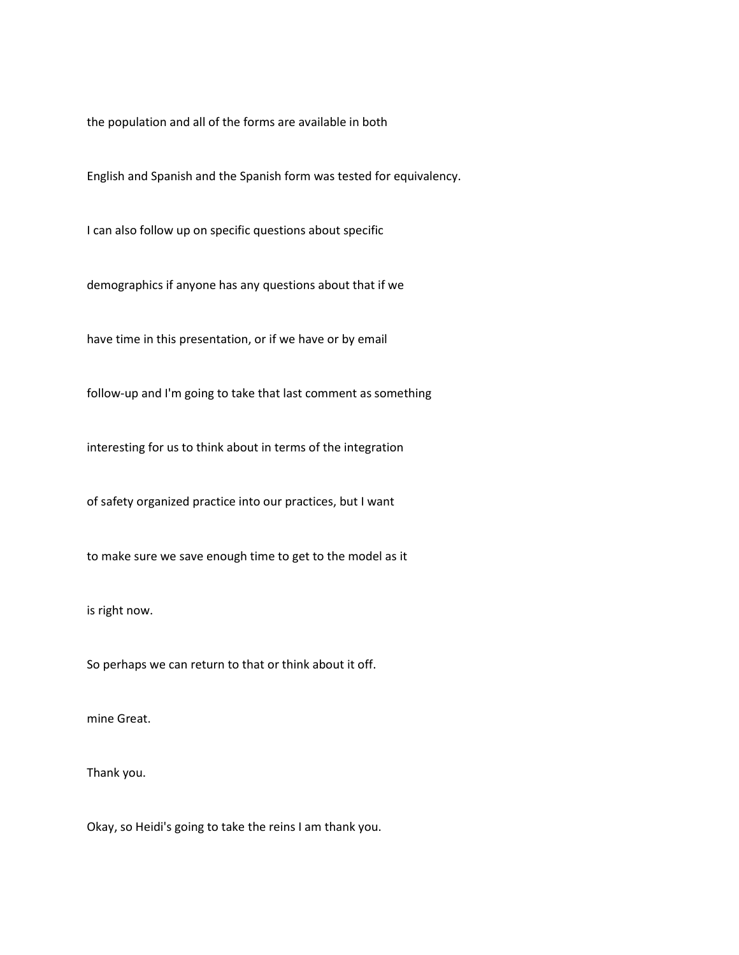the population and all of the forms are available in both

English and Spanish and the Spanish form was tested for equivalency.

I can also follow up on specific questions about specific

demographics if anyone has any questions about that if we

have time in this presentation, or if we have or by email

follow-up and I'm going to take that last comment as something

interesting for us to think about in terms of the integration

of safety organized practice into our practices, but I want

to make sure we save enough time to get to the model as it

is right now.

So perhaps we can return to that or think about it off.

mine Great.

Thank you.

Okay, so Heidi's going to take the reins I am thank you.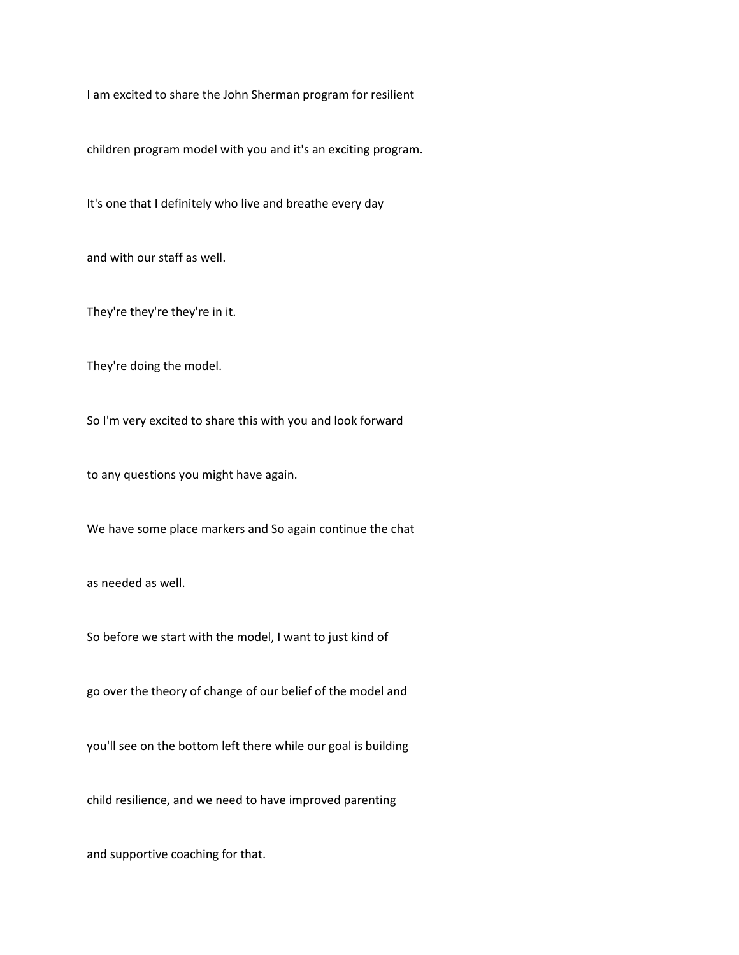I am excited to share the John Sherman program for resilient

children program model with you and it's an exciting program.

It's one that I definitely who live and breathe every day

and with our staff as well.

They're they're they're in it.

They're doing the model.

So I'm very excited to share this with you and look forward

to any questions you might have again.

We have some place markers and So again continue the chat

as needed as well.

So before we start with the model, I want to just kind of

go over the theory of change of our belief of the model and

you'll see on the bottom left there while our goal is building

child resilience, and we need to have improved parenting

and supportive coaching for that.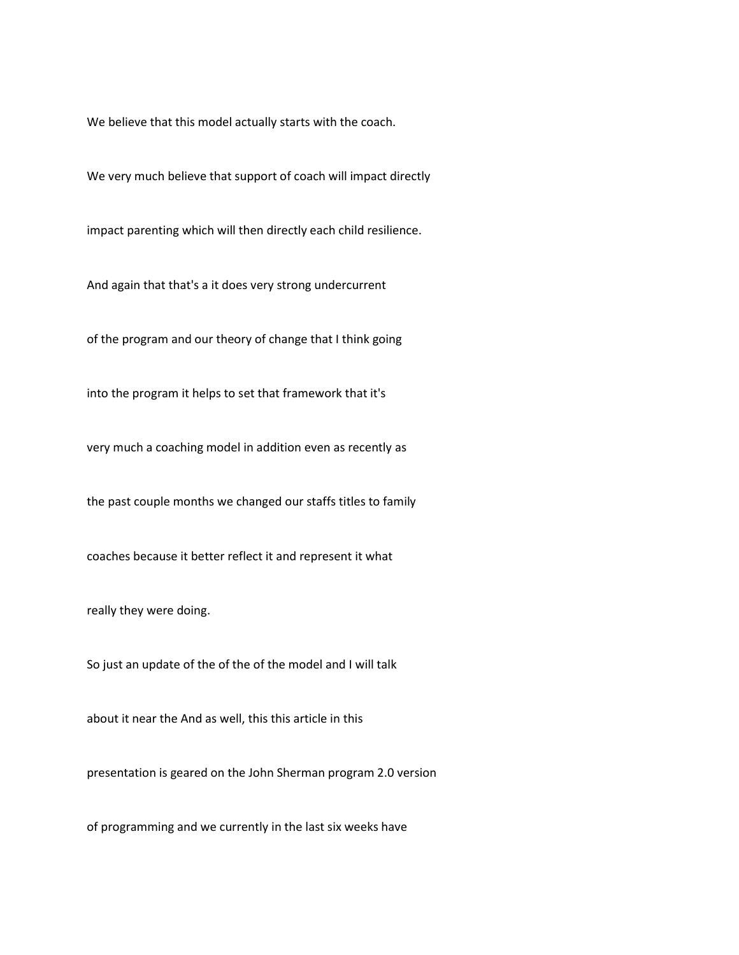We believe that this model actually starts with the coach.

We very much believe that support of coach will impact directly

impact parenting which will then directly each child resilience.

And again that that's a it does very strong undercurrent

of the program and our theory of change that I think going

into the program it helps to set that framework that it's

very much a coaching model in addition even as recently as

the past couple months we changed our staffs titles to family

coaches because it better reflect it and represent it what

really they were doing.

So just an update of the of the of the model and I will talk

about it near the And as well, this this article in this

presentation is geared on the John Sherman program 2.0 version

of programming and we currently in the last six weeks have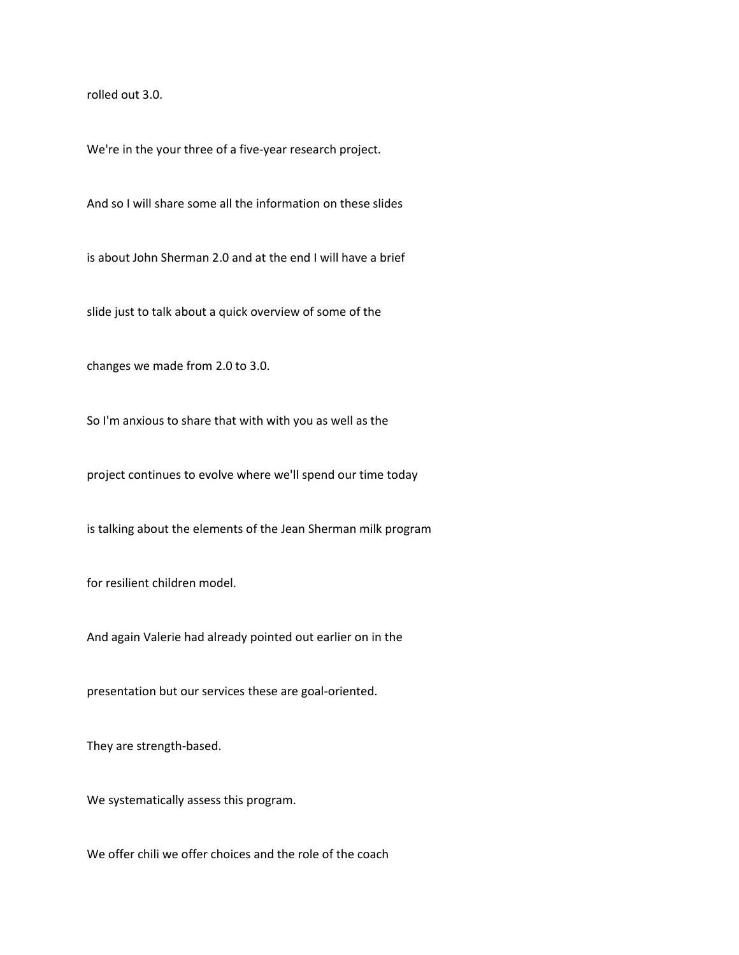rolled out 3.0.

We're in the your three of a five-year research project.

And so I will share some all the information on these slides

is about John Sherman 2.0 and at the end I will have a brief

slide just to talk about a quick overview of some of the

changes we made from 2.0 to 3.0.

So I'm anxious to share that with with you as well as the

project continues to evolve where we'll spend our time today

is talking about the elements of the Jean Sherman milk program

for resilient children model.

And again Valerie had already pointed out earlier on in the

presentation but our services these are goal-oriented.

They are strength-based.

We systematically assess this program.

We offer chili we offer choices and the role of the coach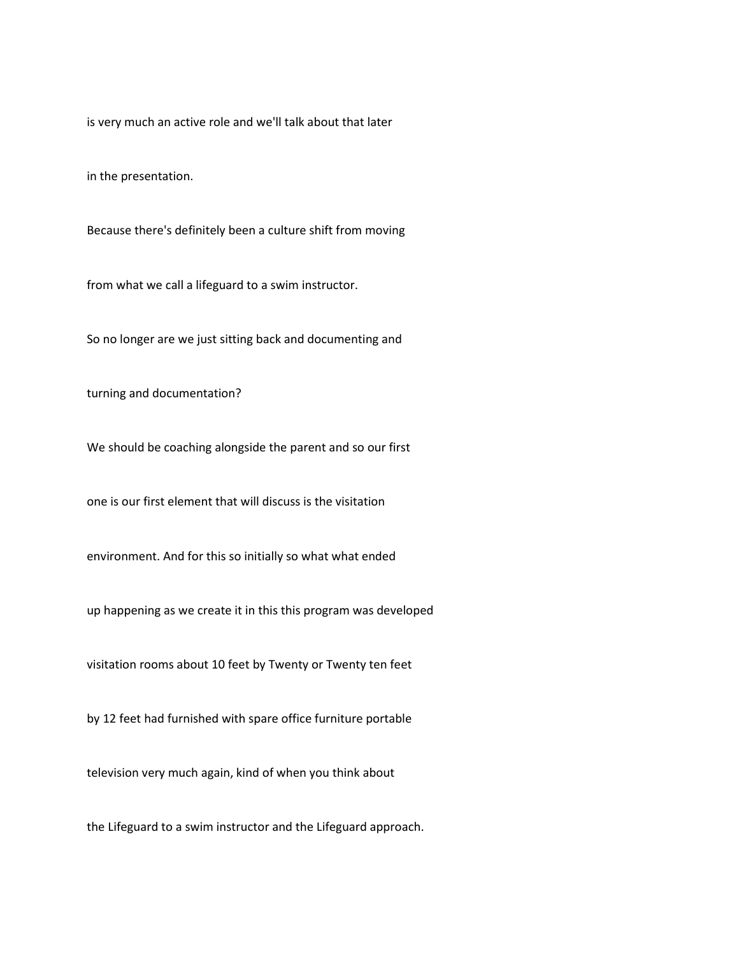is very much an active role and we'll talk about that later

in the presentation.

Because there's definitely been a culture shift from moving

from what we call a lifeguard to a swim instructor.

So no longer are we just sitting back and documenting and

turning and documentation?

We should be coaching alongside the parent and so our first

one is our first element that will discuss is the visitation

environment. And for this so initially so what what ended

up happening as we create it in this this program was developed

visitation rooms about 10 feet by Twenty or Twenty ten feet

by 12 feet had furnished with spare office furniture portable

television very much again, kind of when you think about

the Lifeguard to a swim instructor and the Lifeguard approach.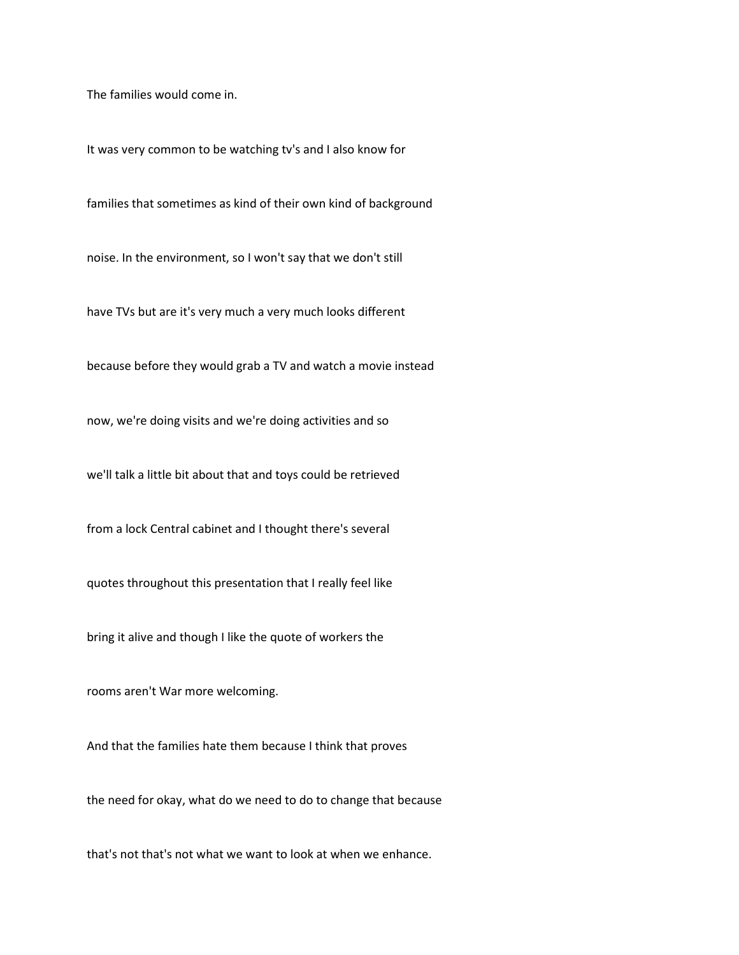The families would come in.

It was very common to be watching tv's and I also know for

families that sometimes as kind of their own kind of background

noise. In the environment, so I won't say that we don't still

have TVs but are it's very much a very much looks different

because before they would grab a TV and watch a movie instead

now, we're doing visits and we're doing activities and so

we'll talk a little bit about that and toys could be retrieved

from a lock Central cabinet and I thought there's several

quotes throughout this presentation that I really feel like

bring it alive and though I like the quote of workers the

rooms aren't War more welcoming.

And that the families hate them because I think that proves

the need for okay, what do we need to do to change that because

that's not that's not what we want to look at when we enhance.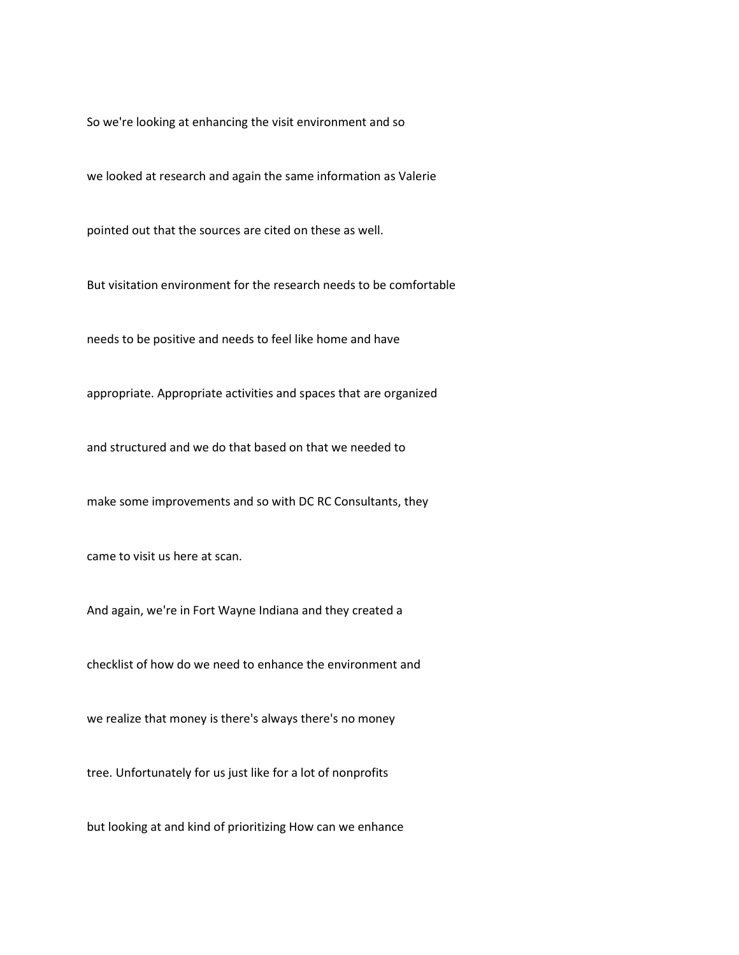So we're looking at enhancing the visit environment and so

we looked at research and again the same information as Valerie

pointed out that the sources are cited on these as well.

But visitation environment for the research needs to be comfortable

needs to be positive and needs to feel like home and have

appropriate. Appropriate activities and spaces that are organized

and structured and we do that based on that we needed to

make some improvements and so with DC RC Consultants, they

came to visit us here at scan.

And again, we're in Fort Wayne Indiana and they created a

checklist of how do we need to enhance the environment and

we realize that money is there's always there's no money

tree. Unfortunately for us just like for a lot of nonprofits

but looking at and kind of prioritizing How can we enhance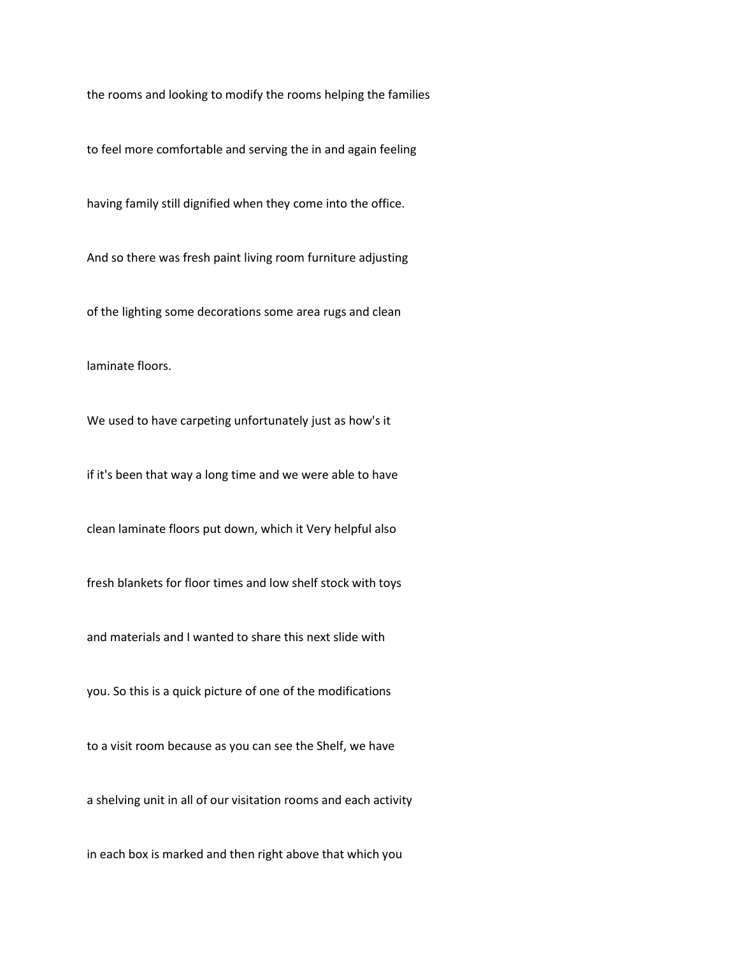the rooms and looking to modify the rooms helping the families

to feel more comfortable and serving the in and again feeling

having family still dignified when they come into the office.

And so there was fresh paint living room furniture adjusting

of the lighting some decorations some area rugs and clean

laminate floors.

We used to have carpeting unfortunately just as how's it

if it's been that way a long time and we were able to have

clean laminate floors put down, which it Very helpful also

fresh blankets for floor times and low shelf stock with toys

and materials and I wanted to share this next slide with

you. So this is a quick picture of one of the modifications

to a visit room because as you can see the Shelf, we have

a shelving unit in all of our visitation rooms and each activity

in each box is marked and then right above that which you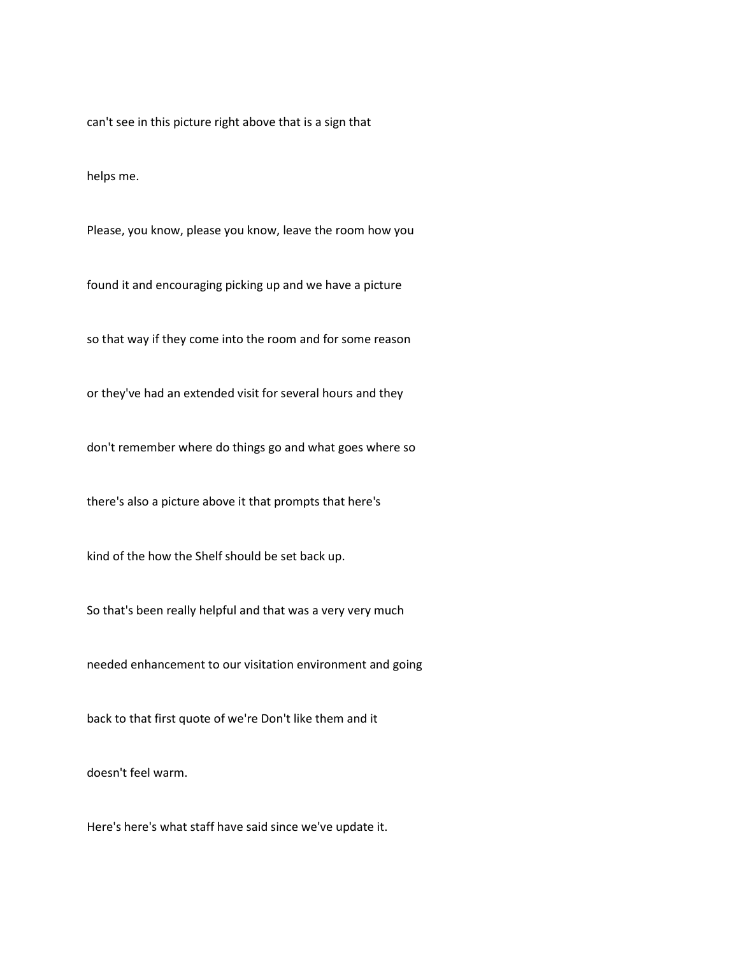can't see in this picture right above that is a sign that

helps me.

Please, you know, please you know, leave the room how you

found it and encouraging picking up and we have a picture

so that way if they come into the room and for some reason

or they've had an extended visit for several hours and they

don't remember where do things go and what goes where so

there's also a picture above it that prompts that here's

kind of the how the Shelf should be set back up.

So that's been really helpful and that was a very very much

needed enhancement to our visitation environment and going

back to that first quote of we're Don't like them and it

doesn't feel warm.

Here's here's what staff have said since we've update it.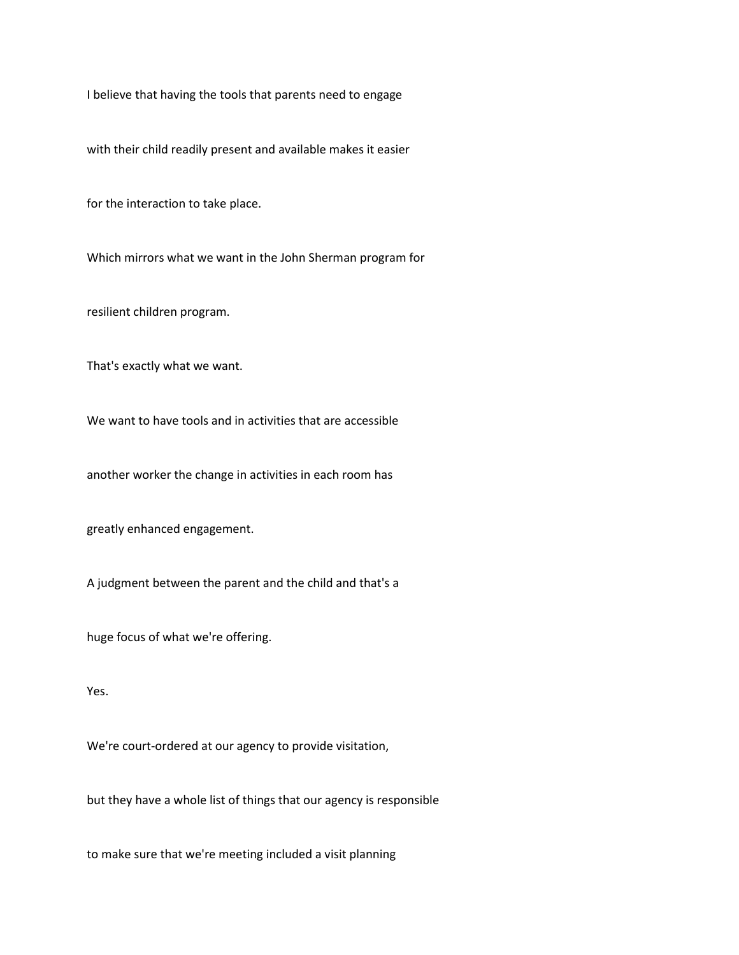I believe that having the tools that parents need to engage

with their child readily present and available makes it easier

for the interaction to take place.

Which mirrors what we want in the John Sherman program for

resilient children program.

That's exactly what we want.

We want to have tools and in activities that are accessible

another worker the change in activities in each room has

greatly enhanced engagement.

A judgment between the parent and the child and that's a

huge focus of what we're offering.

Yes.

We're court-ordered at our agency to provide visitation,

but they have a whole list of things that our agency is responsible

to make sure that we're meeting included a visit planning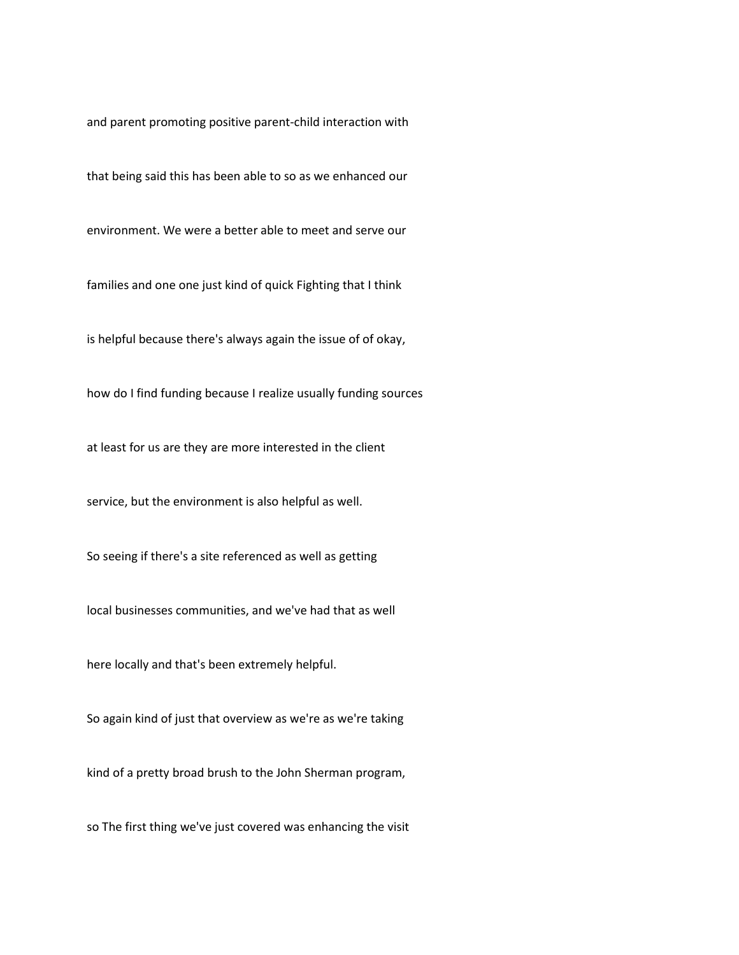and parent promoting positive parent-child interaction with

that being said this has been able to so as we enhanced our

environment. We were a better able to meet and serve our

families and one one just kind of quick Fighting that I think

is helpful because there's always again the issue of of okay,

how do I find funding because I realize usually funding sources

at least for us are they are more interested in the client

service, but the environment is also helpful as well.

So seeing if there's a site referenced as well as getting

local businesses communities, and we've had that as well

here locally and that's been extremely helpful.

So again kind of just that overview as we're as we're taking

kind of a pretty broad brush to the John Sherman program,

so The first thing we've just covered was enhancing the visit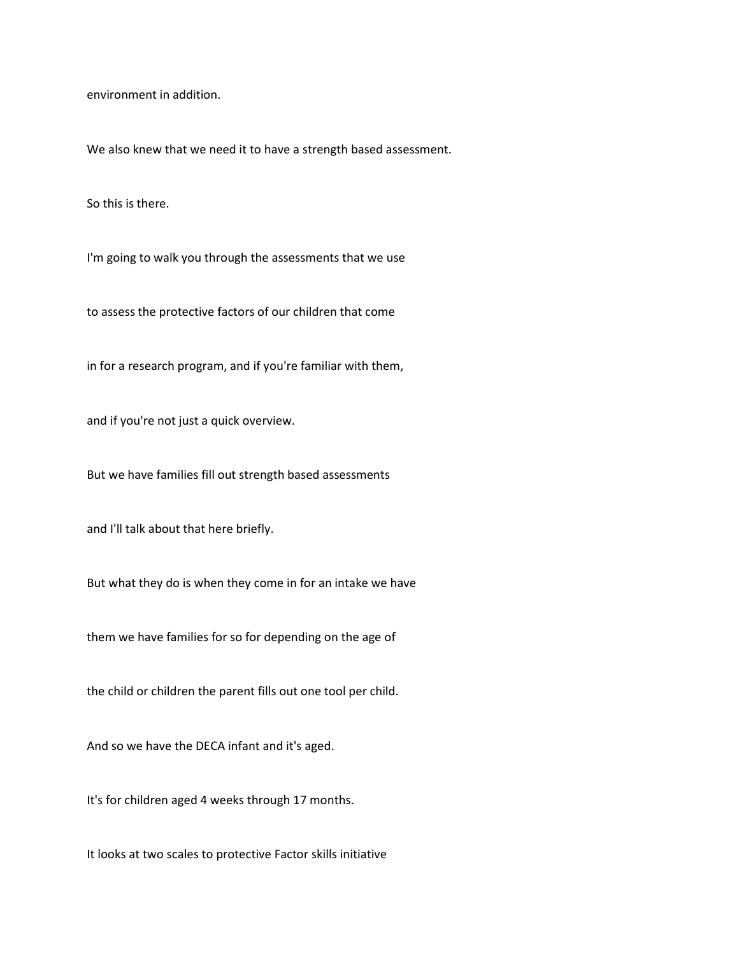environment in addition.

We also knew that we need it to have a strength based assessment.

So this is there.

I'm going to walk you through the assessments that we use

to assess the protective factors of our children that come

in for a research program, and if you're familiar with them,

and if you're not just a quick overview.

But we have families fill out strength based assessments

and I'll talk about that here briefly.

But what they do is when they come in for an intake we have

them we have families for so for depending on the age of

the child or children the parent fills out one tool per child.

And so we have the DECA infant and it's aged.

It's for children aged 4 weeks through 17 months.

It looks at two scales to protective Factor skills initiative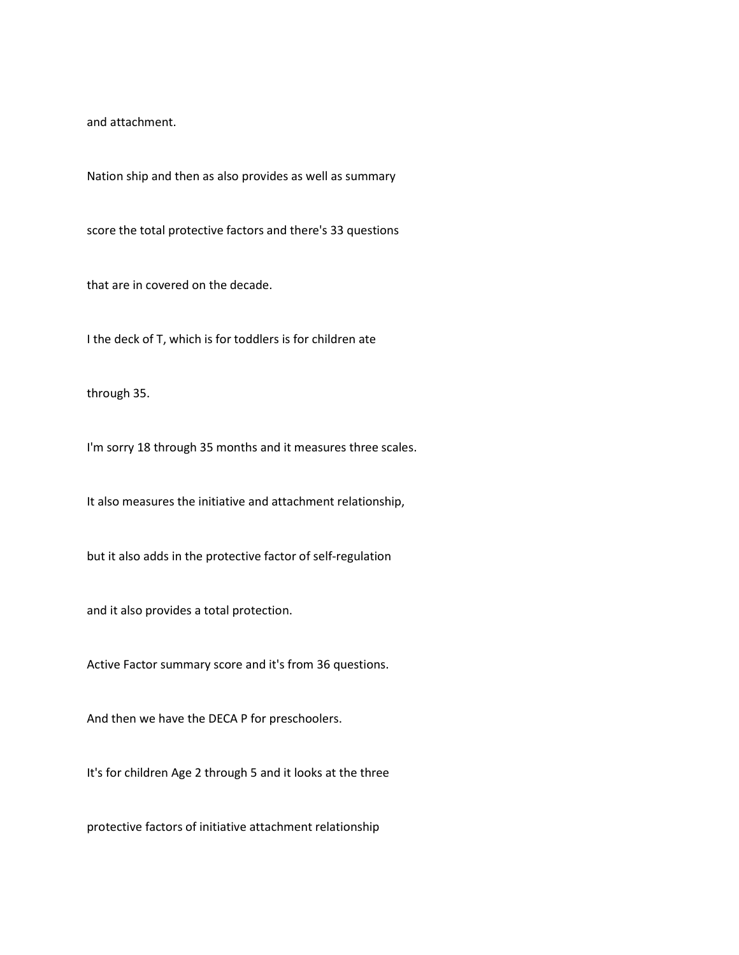and attachment.

Nation ship and then as also provides as well as summary

score the total protective factors and there's 33 questions

that are in covered on the decade.

I the deck of T, which is for toddlers is for children ate

through 35.

I'm sorry 18 through 35 months and it measures three scales.

It also measures the initiative and attachment relationship,

but it also adds in the protective factor of self-regulation

and it also provides a total protection.

Active Factor summary score and it's from 36 questions.

And then we have the DECA P for preschoolers.

It's for children Age 2 through 5 and it looks at the three

protective factors of initiative attachment relationship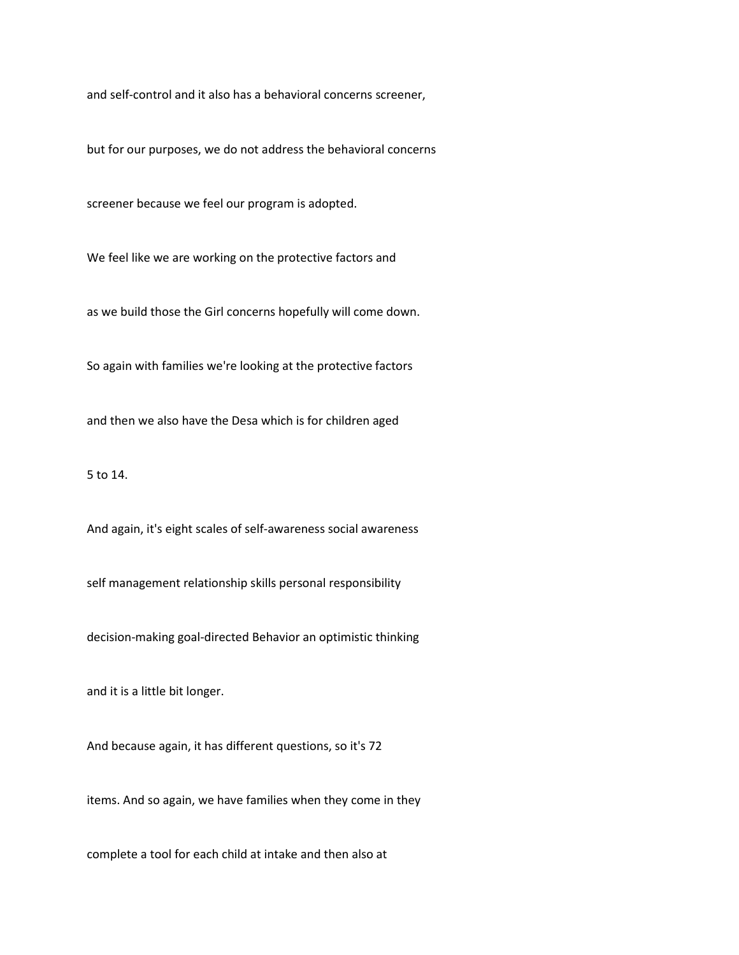and self-control and it also has a behavioral concerns screener,

but for our purposes, we do not address the behavioral concerns

screener because we feel our program is adopted.

We feel like we are working on the protective factors and

as we build those the Girl concerns hopefully will come down.

So again with families we're looking at the protective factors

and then we also have the Desa which is for children aged

5 to 14.

And again, it's eight scales of self-awareness social awareness

self management relationship skills personal responsibility

decision-making goal-directed Behavior an optimistic thinking

and it is a little bit longer.

And because again, it has different questions, so it's 72

items. And so again, we have families when they come in they

complete a tool for each child at intake and then also at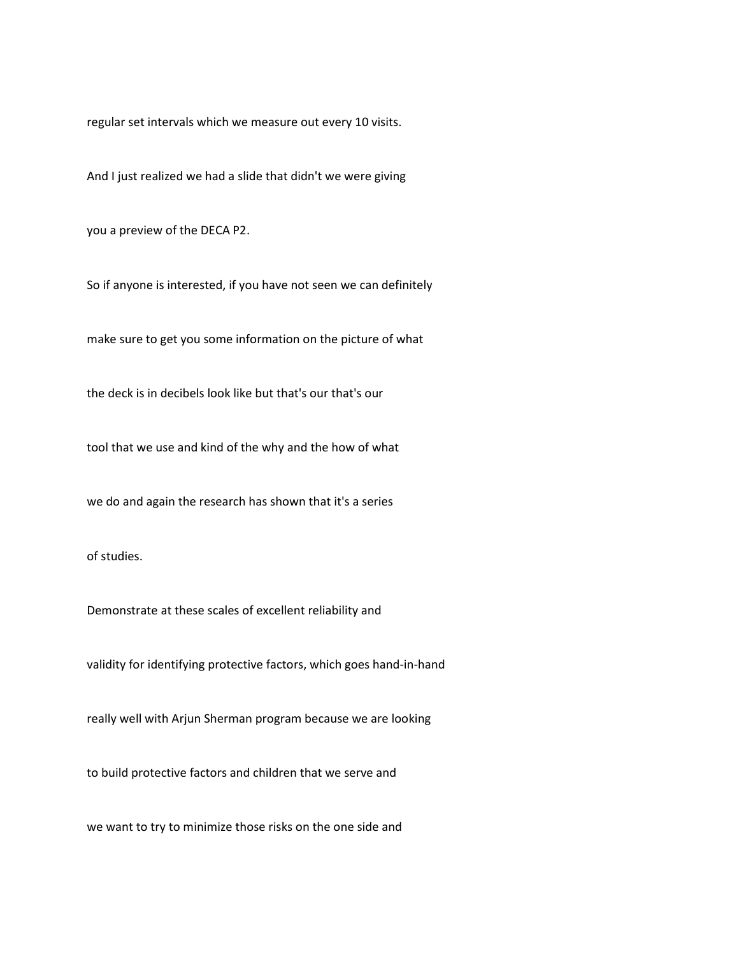regular set intervals which we measure out every 10 visits.

And I just realized we had a slide that didn't we were giving

you a preview of the DECA P2.

So if anyone is interested, if you have not seen we can definitely

make sure to get you some information on the picture of what

the deck is in decibels look like but that's our that's our

tool that we use and kind of the why and the how of what

we do and again the research has shown that it's a series

of studies.

Demonstrate at these scales of excellent reliability and

validity for identifying protective factors, which goes hand-in-hand

really well with Arjun Sherman program because we are looking

to build protective factors and children that we serve and

we want to try to minimize those risks on the one side and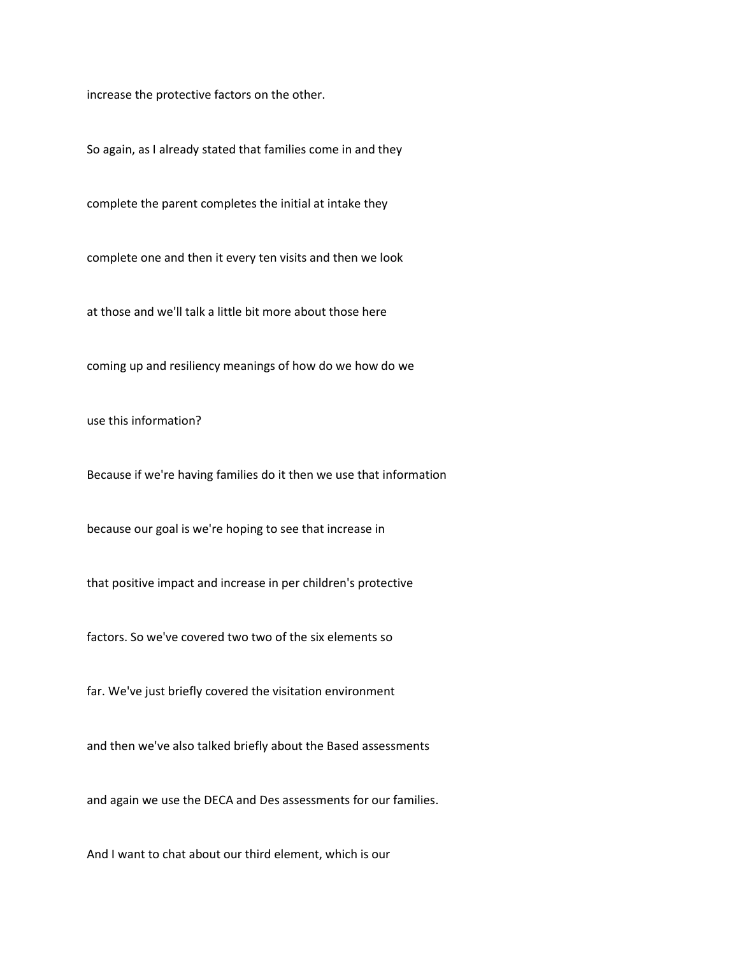increase the protective factors on the other.

So again, as I already stated that families come in and they

complete the parent completes the initial at intake they

complete one and then it every ten visits and then we look

at those and we'll talk a little bit more about those here

coming up and resiliency meanings of how do we how do we

use this information?

Because if we're having families do it then we use that information

because our goal is we're hoping to see that increase in

that positive impact and increase in per children's protective

factors. So we've covered two two of the six elements so

far. We've just briefly covered the visitation environment

and then we've also talked briefly about the Based assessments

and again we use the DECA and Des assessments for our families.

And I want to chat about our third element, which is our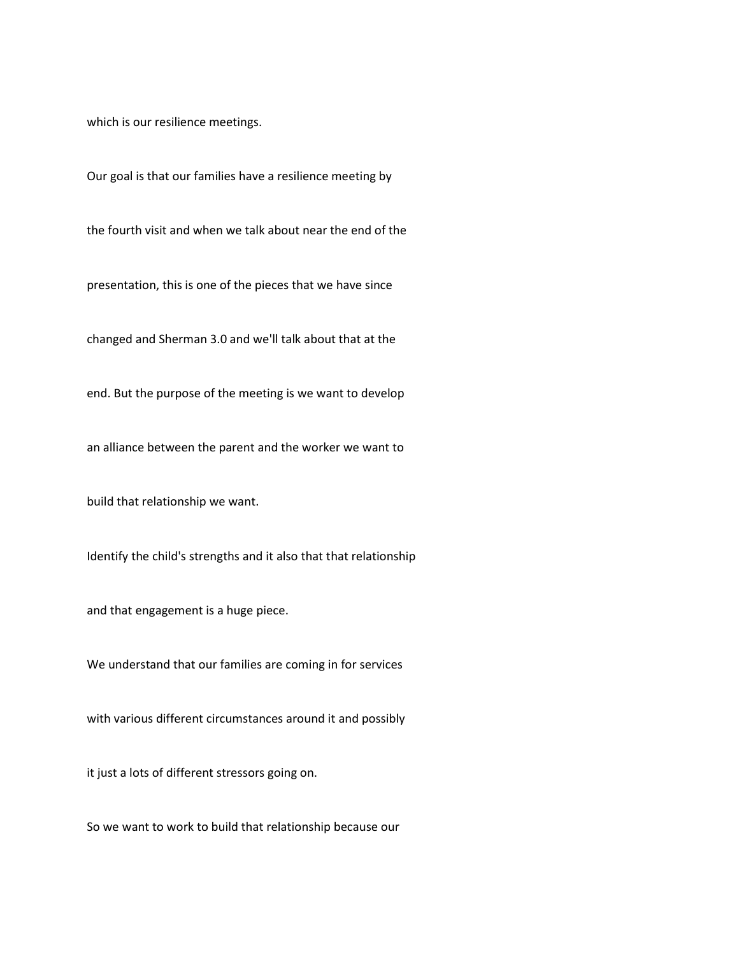which is our resilience meetings.

Our goal is that our families have a resilience meeting by

the fourth visit and when we talk about near the end of the

presentation, this is one of the pieces that we have since

changed and Sherman 3.0 and we'll talk about that at the

end. But the purpose of the meeting is we want to develop

an alliance between the parent and the worker we want to

build that relationship we want.

Identify the child's strengths and it also that that relationship

and that engagement is a huge piece.

We understand that our families are coming in for services

with various different circumstances around it and possibly

it just a lots of different stressors going on.

So we want to work to build that relationship because our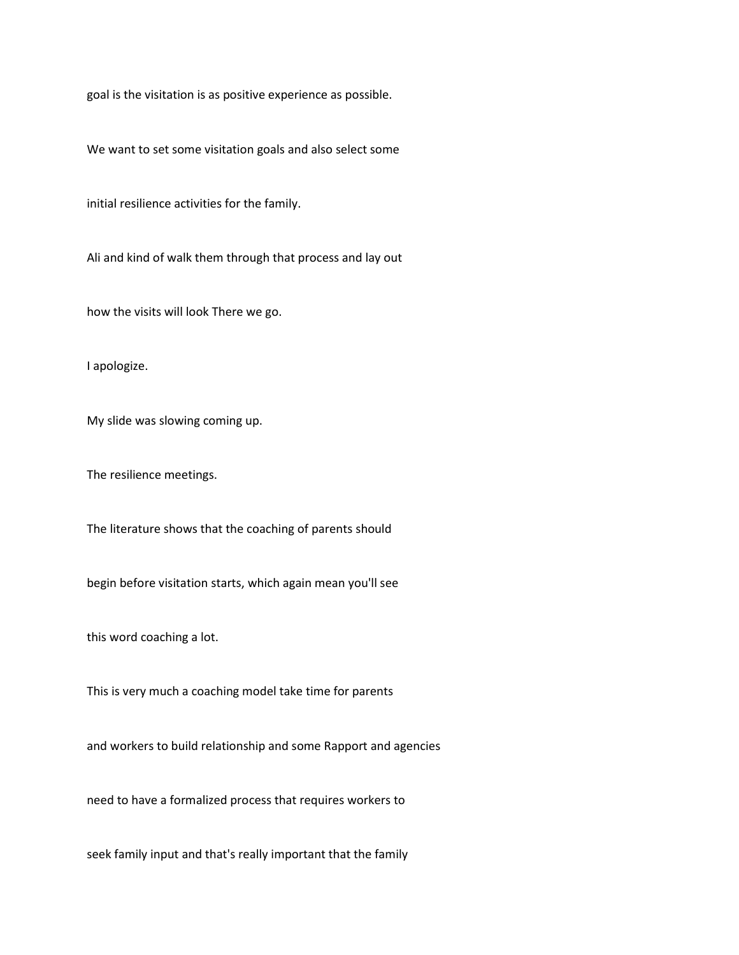goal is the visitation is as positive experience as possible.

We want to set some visitation goals and also select some

initial resilience activities for the family.

Ali and kind of walk them through that process and lay out

how the visits will look There we go.

I apologize.

My slide was slowing coming up.

The resilience meetings.

The literature shows that the coaching of parents should

begin before visitation starts, which again mean you'll see

this word coaching a lot.

This is very much a coaching model take time for parents

and workers to build relationship and some Rapport and agencies

need to have a formalized process that requires workers to

seek family input and that's really important that the family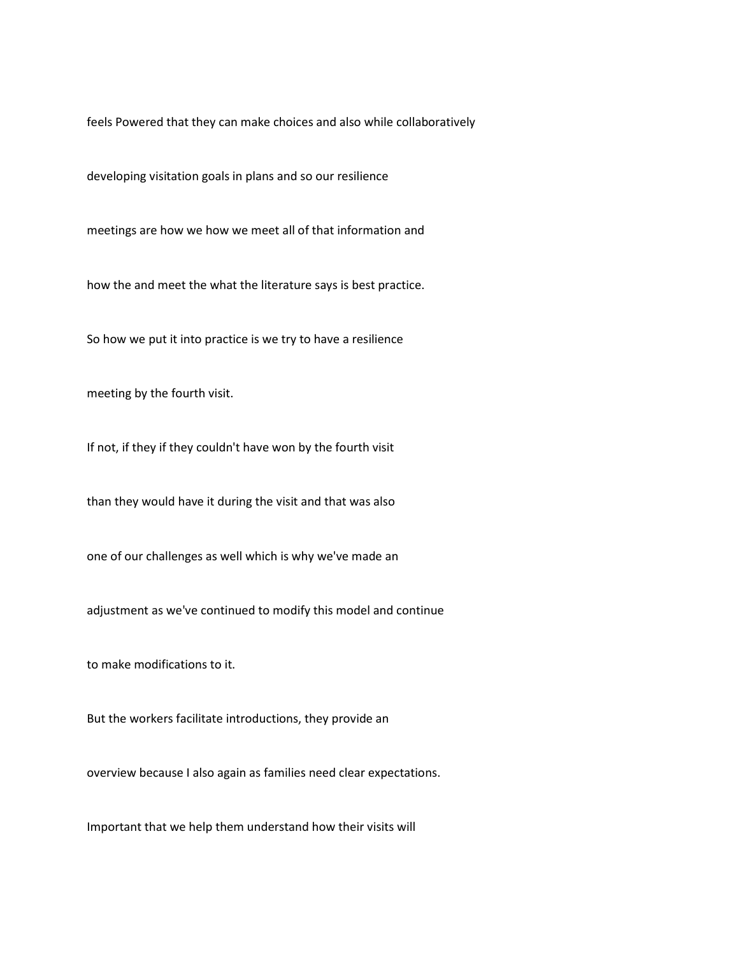feels Powered that they can make choices and also while collaboratively

developing visitation goals in plans and so our resilience

meetings are how we how we meet all of that information and

how the and meet the what the literature says is best practice.

So how we put it into practice is we try to have a resilience

meeting by the fourth visit.

If not, if they if they couldn't have won by the fourth visit

than they would have it during the visit and that was also

one of our challenges as well which is why we've made an

adjustment as we've continued to modify this model and continue

to make modifications to it.

But the workers facilitate introductions, they provide an

overview because I also again as families need clear expectations.

Important that we help them understand how their visits will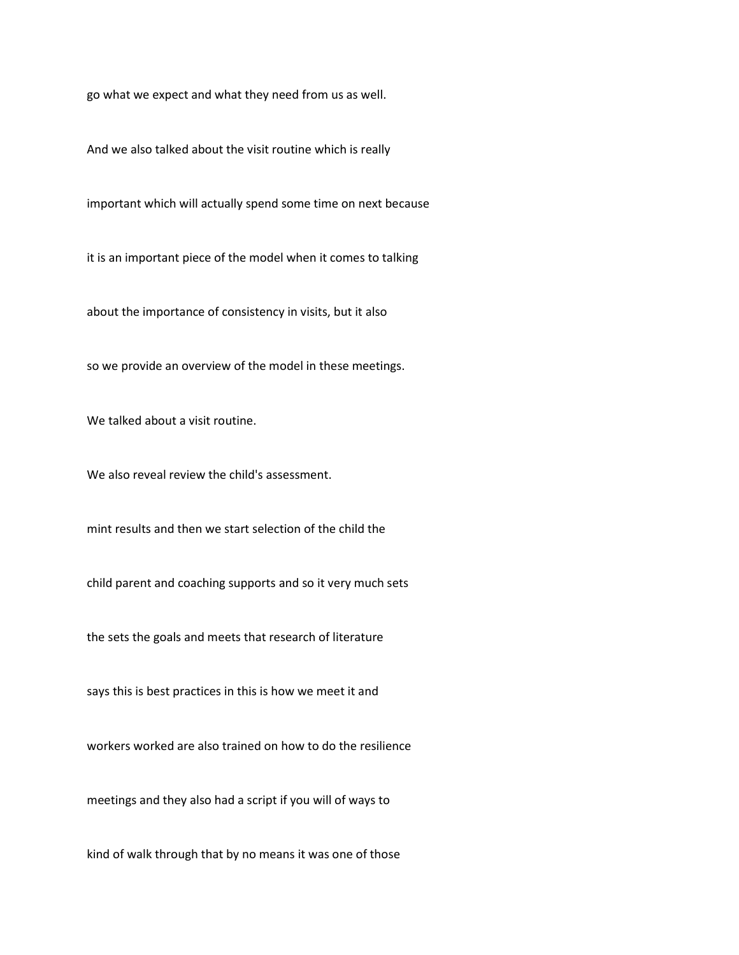go what we expect and what they need from us as well.

And we also talked about the visit routine which is really

important which will actually spend some time on next because

it is an important piece of the model when it comes to talking

about the importance of consistency in visits, but it also

so we provide an overview of the model in these meetings.

We talked about a visit routine.

We also reveal review the child's assessment.

mint results and then we start selection of the child the

child parent and coaching supports and so it very much sets

the sets the goals and meets that research of literature

says this is best practices in this is how we meet it and

workers worked are also trained on how to do the resilience

meetings and they also had a script if you will of ways to

kind of walk through that by no means it was one of those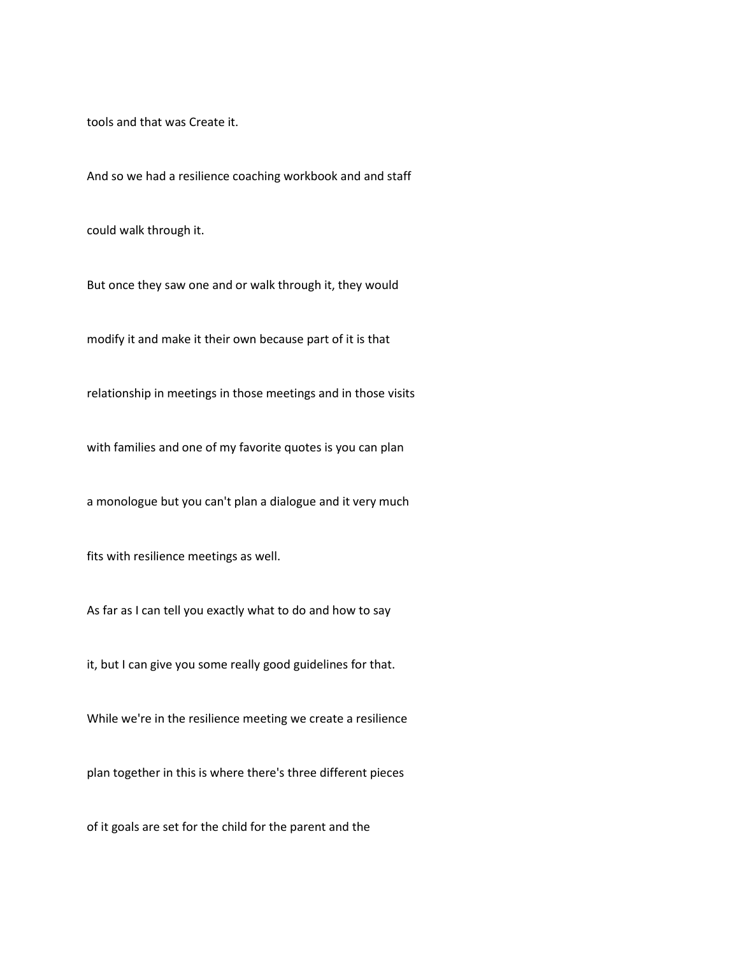tools and that was Create it.

And so we had a resilience coaching workbook and and staff

could walk through it.

But once they saw one and or walk through it, they would

modify it and make it their own because part of it is that

relationship in meetings in those meetings and in those visits

with families and one of my favorite quotes is you can plan

a monologue but you can't plan a dialogue and it very much

fits with resilience meetings as well.

As far as I can tell you exactly what to do and how to say

it, but I can give you some really good guidelines for that.

While we're in the resilience meeting we create a resilience

plan together in this is where there's three different pieces

of it goals are set for the child for the parent and the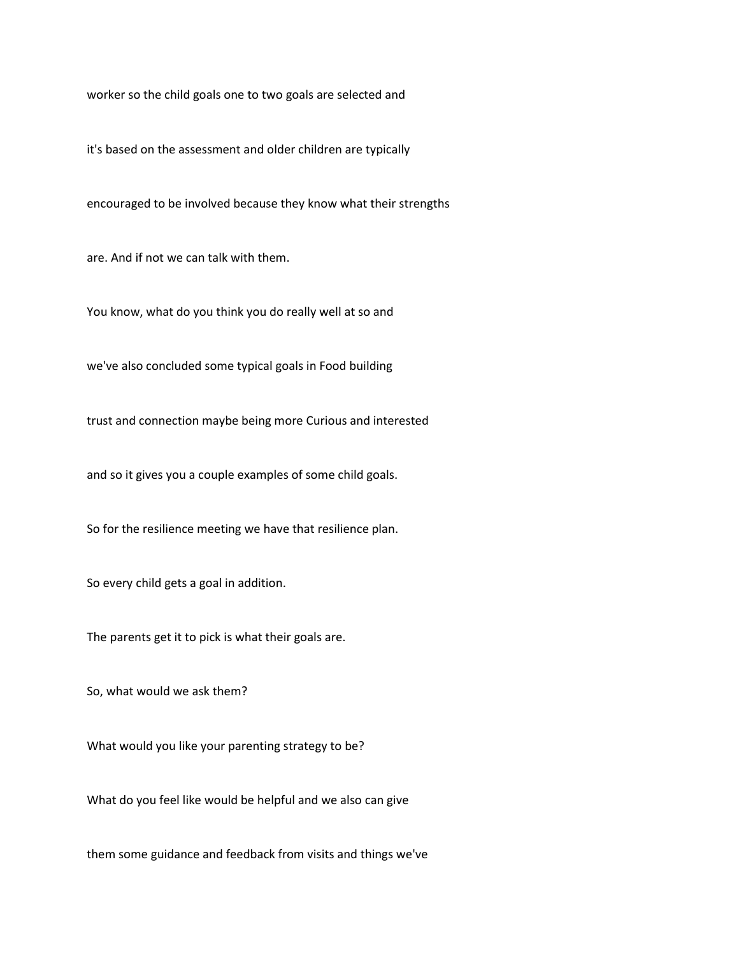worker so the child goals one to two goals are selected and

it's based on the assessment and older children are typically

encouraged to be involved because they know what their strengths

are. And if not we can talk with them.

You know, what do you think you do really well at so and

we've also concluded some typical goals in Food building

trust and connection maybe being more Curious and interested

and so it gives you a couple examples of some child goals.

So for the resilience meeting we have that resilience plan.

So every child gets a goal in addition.

The parents get it to pick is what their goals are.

So, what would we ask them?

What would you like your parenting strategy to be?

What do you feel like would be helpful and we also can give

them some guidance and feedback from visits and things we've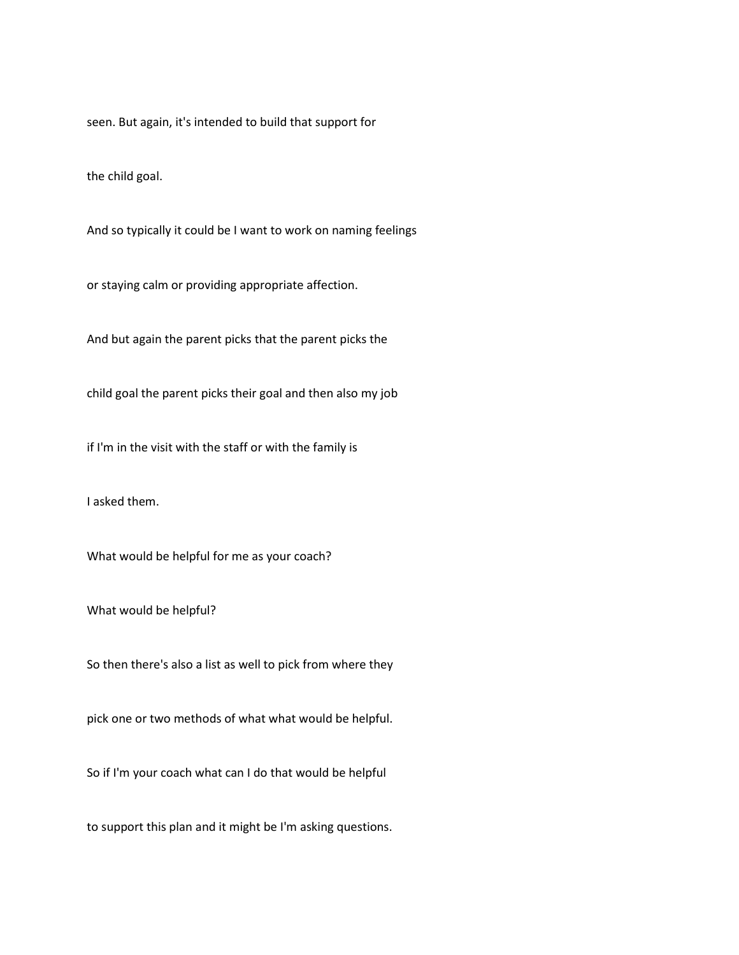seen. But again, it's intended to build that support for

the child goal.

And so typically it could be I want to work on naming feelings

or staying calm or providing appropriate affection.

And but again the parent picks that the parent picks the

child goal the parent picks their goal and then also my job

if I'm in the visit with the staff or with the family is

I asked them.

What would be helpful for me as your coach?

What would be helpful?

So then there's also a list as well to pick from where they

pick one or two methods of what what would be helpful.

So if I'm your coach what can I do that would be helpful

to support this plan and it might be I'm asking questions.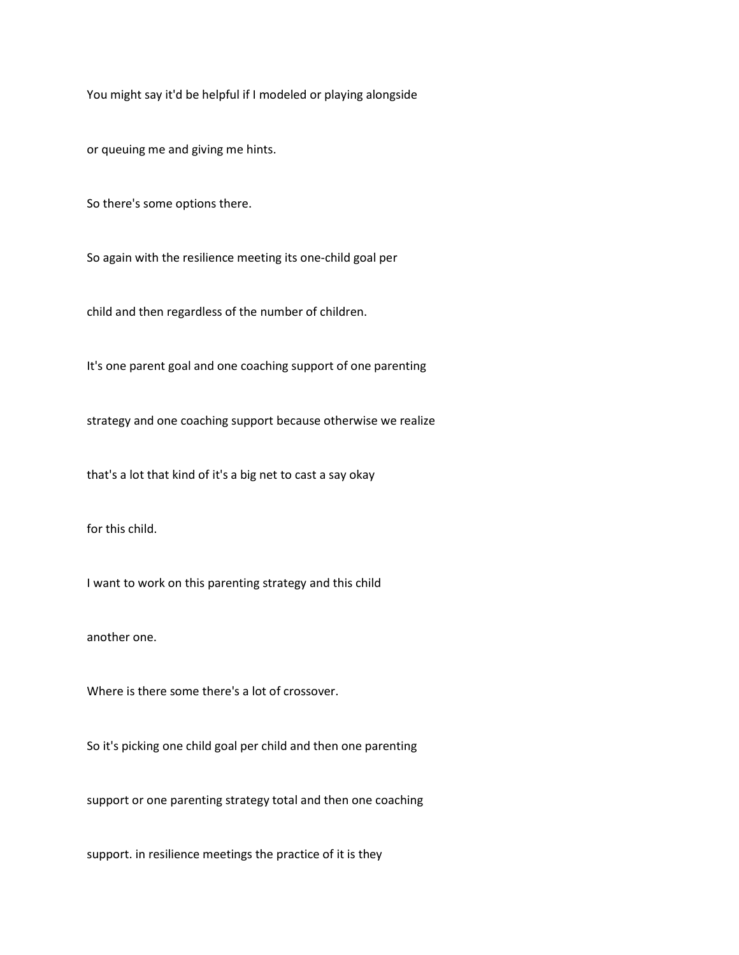You might say it'd be helpful if I modeled or playing alongside

or queuing me and giving me hints.

So there's some options there.

So again with the resilience meeting its one-child goal per

child and then regardless of the number of children.

It's one parent goal and one coaching support of one parenting

strategy and one coaching support because otherwise we realize

that's a lot that kind of it's a big net to cast a say okay

for this child.

I want to work on this parenting strategy and this child

another one.

Where is there some there's a lot of crossover.

So it's picking one child goal per child and then one parenting

support or one parenting strategy total and then one coaching

support. in resilience meetings the practice of it is they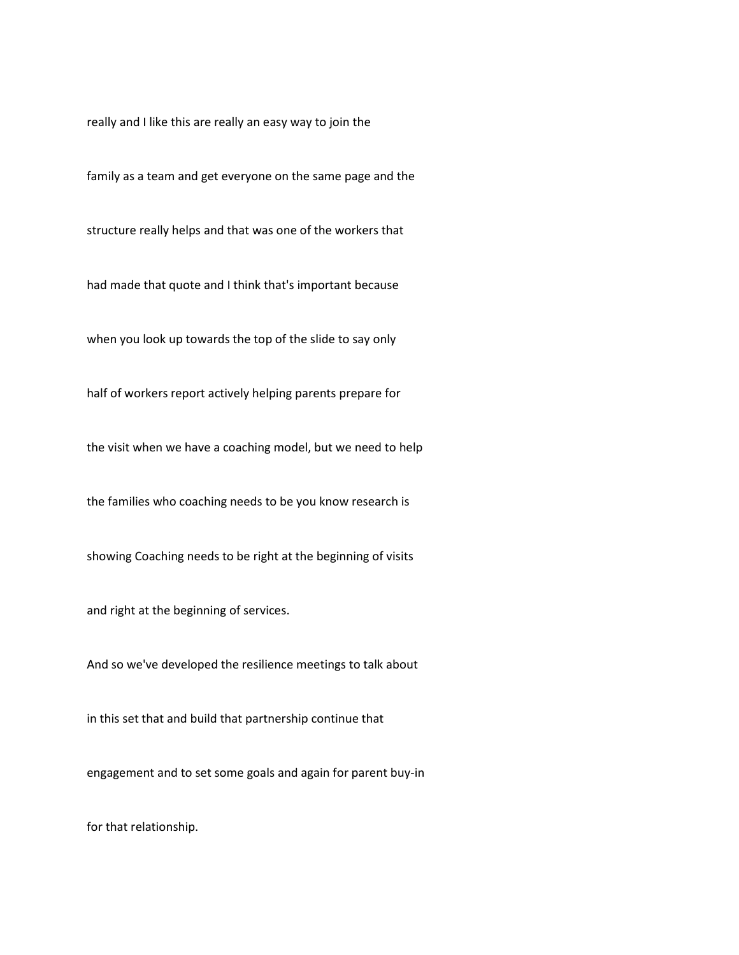really and I like this are really an easy way to join the

family as a team and get everyone on the same page and the

structure really helps and that was one of the workers that

had made that quote and I think that's important because

when you look up towards the top of the slide to say only

half of workers report actively helping parents prepare for

the visit when we have a coaching model, but we need to help

the families who coaching needs to be you know research is

showing Coaching needs to be right at the beginning of visits

and right at the beginning of services.

And so we've developed the resilience meetings to talk about

in this set that and build that partnership continue that

engagement and to set some goals and again for parent buy-in

for that relationship.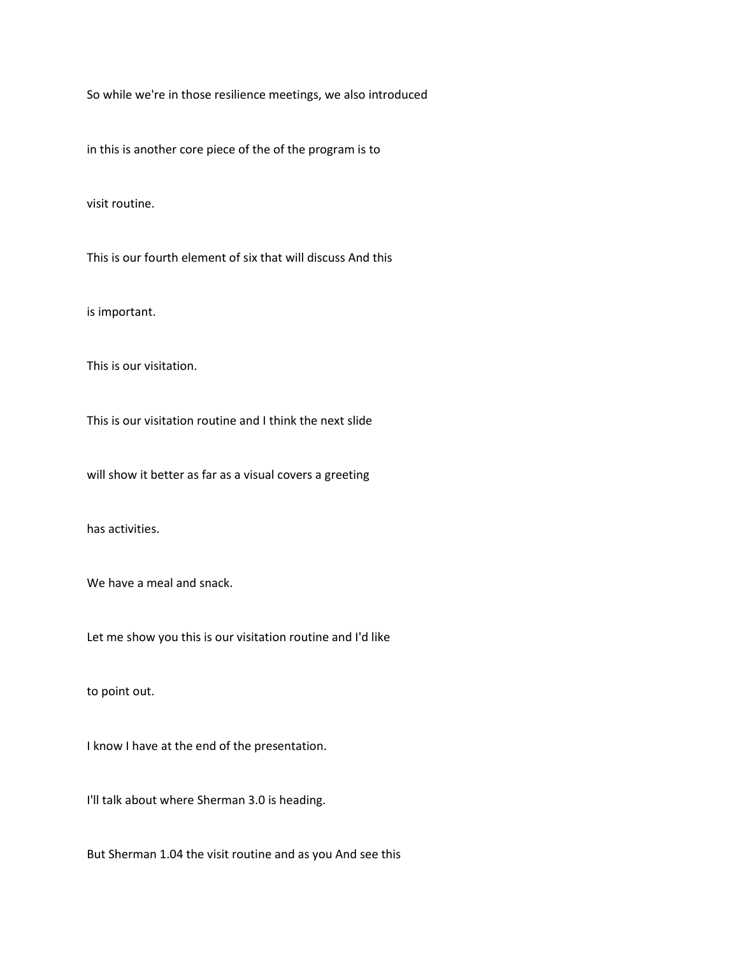So while we're in those resilience meetings, we also introduced

in this is another core piece of the of the program is to

visit routine.

This is our fourth element of six that will discuss And this

is important.

This is our visitation.

This is our visitation routine and I think the next slide

will show it better as far as a visual covers a greeting

has activities.

We have a meal and snack.

Let me show you this is our visitation routine and I'd like

to point out.

I know I have at the end of the presentation.

I'll talk about where Sherman 3.0 is heading.

But Sherman 1.04 the visit routine and as you And see this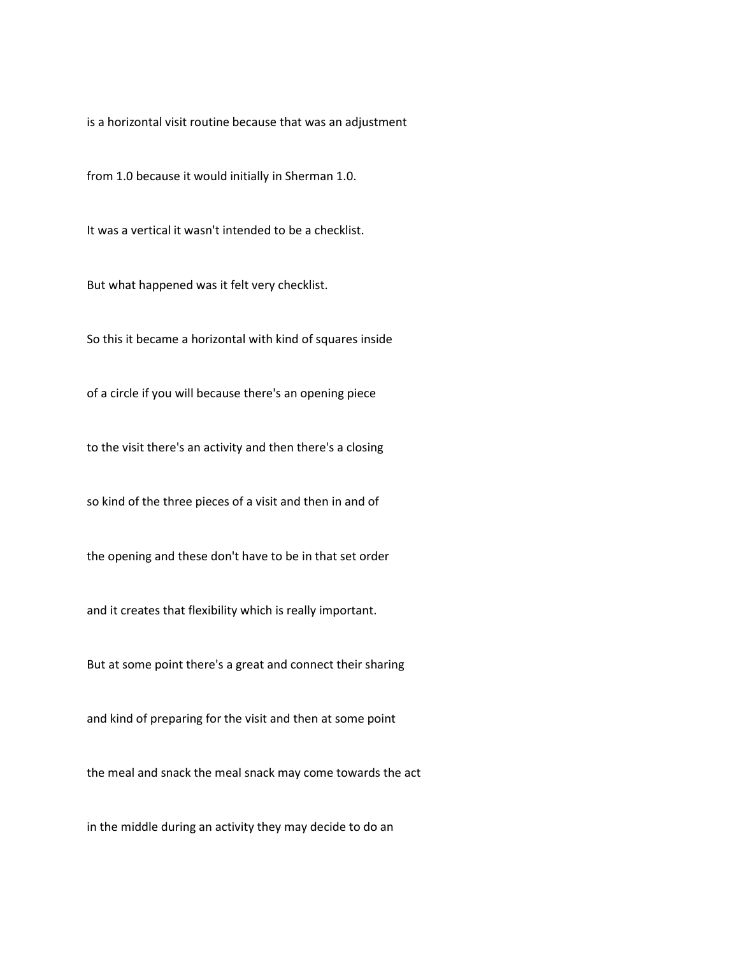is a horizontal visit routine because that was an adjustment

from 1.0 because it would initially in Sherman 1.0.

It was a vertical it wasn't intended to be a checklist.

But what happened was it felt very checklist.

So this it became a horizontal with kind of squares inside

of a circle if you will because there's an opening piece

to the visit there's an activity and then there's a closing

so kind of the three pieces of a visit and then in and of

the opening and these don't have to be in that set order

and it creates that flexibility which is really important.

But at some point there's a great and connect their sharing

and kind of preparing for the visit and then at some point

the meal and snack the meal snack may come towards the act

in the middle during an activity they may decide to do an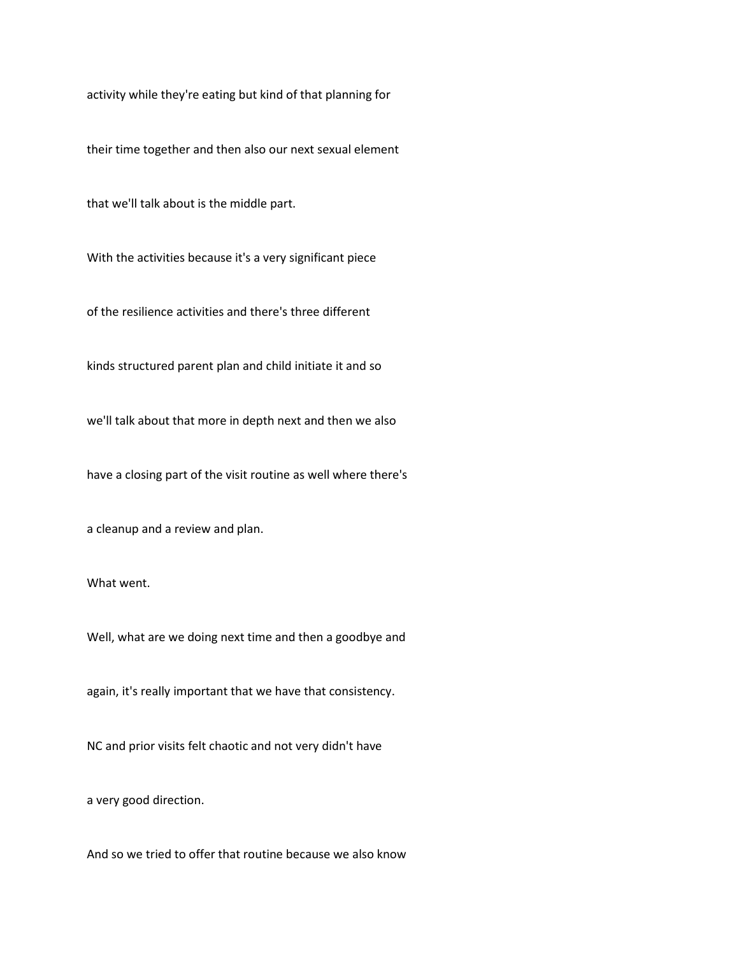activity while they're eating but kind of that planning for

their time together and then also our next sexual element

that we'll talk about is the middle part.

With the activities because it's a very significant piece

of the resilience activities and there's three different

kinds structured parent plan and child initiate it and so

we'll talk about that more in depth next and then we also

have a closing part of the visit routine as well where there's

a cleanup and a review and plan.

What went.

Well, what are we doing next time and then a goodbye and

again, it's really important that we have that consistency.

NC and prior visits felt chaotic and not very didn't have

a very good direction.

And so we tried to offer that routine because we also know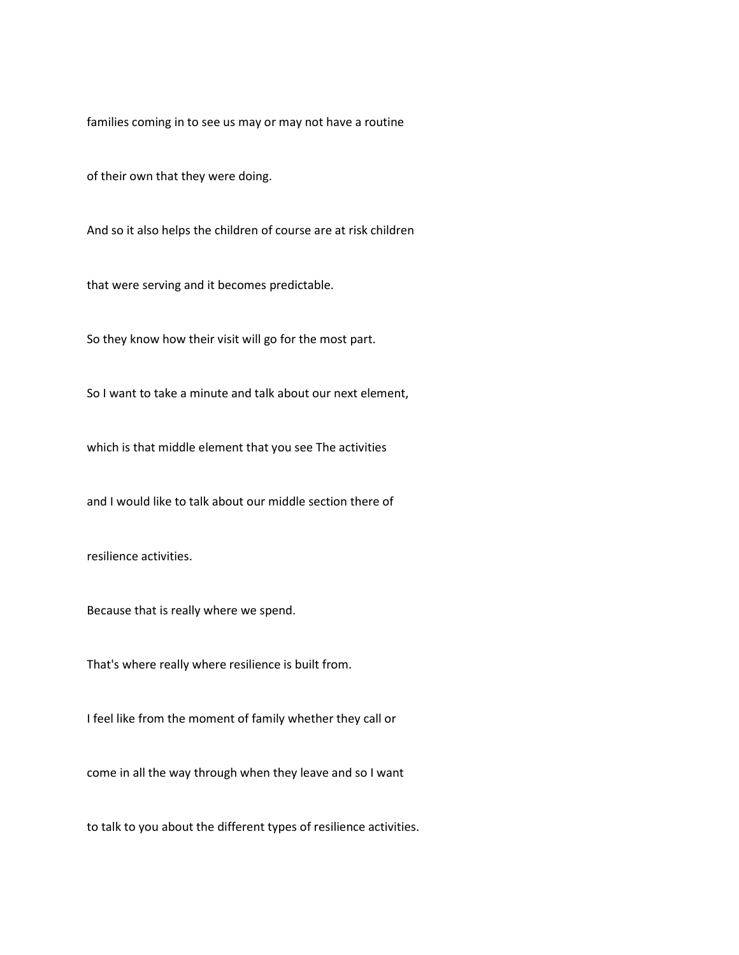families coming in to see us may or may not have a routine

of their own that they were doing.

And so it also helps the children of course are at risk children

that were serving and it becomes predictable.

So they know how their visit will go for the most part.

So I want to take a minute and talk about our next element,

which is that middle element that you see The activities

and I would like to talk about our middle section there of

resilience activities.

Because that is really where we spend.

That's where really where resilience is built from.

I feel like from the moment of family whether they call or

come in all the way through when they leave and so I want

to talk to you about the different types of resilience activities.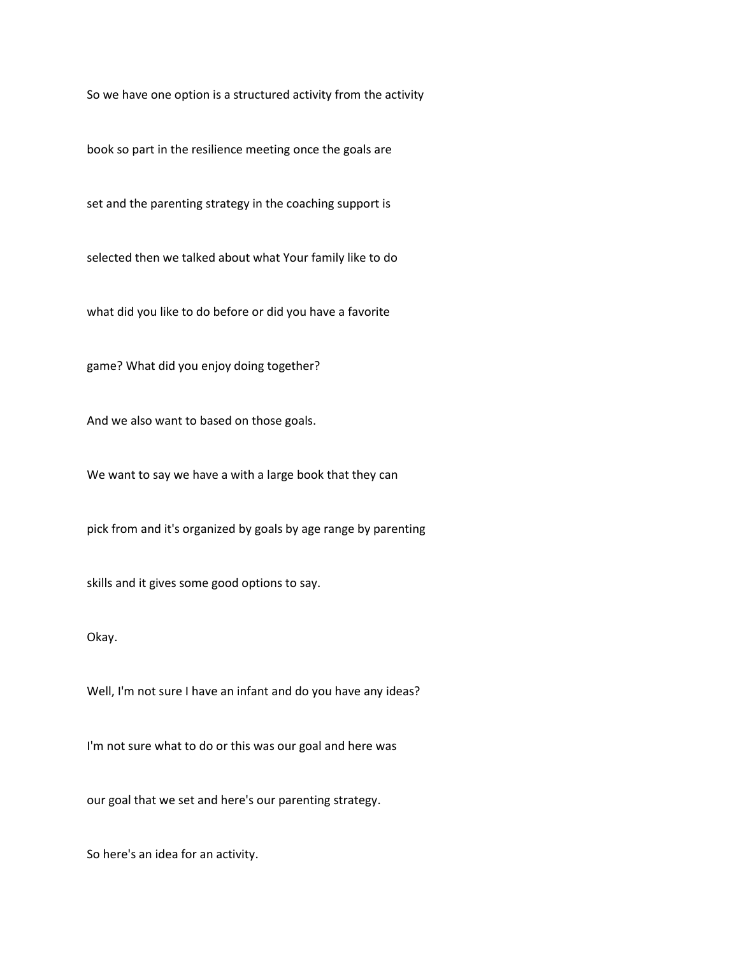So we have one option is a structured activity from the activity

book so part in the resilience meeting once the goals are

set and the parenting strategy in the coaching support is

selected then we talked about what Your family like to do

what did you like to do before or did you have a favorite

game? What did you enjoy doing together?

And we also want to based on those goals.

We want to say we have a with a large book that they can

pick from and it's organized by goals by age range by parenting

skills and it gives some good options to say.

Okay.

Well, I'm not sure I have an infant and do you have any ideas?

I'm not sure what to do or this was our goal and here was

our goal that we set and here's our parenting strategy.

So here's an idea for an activity.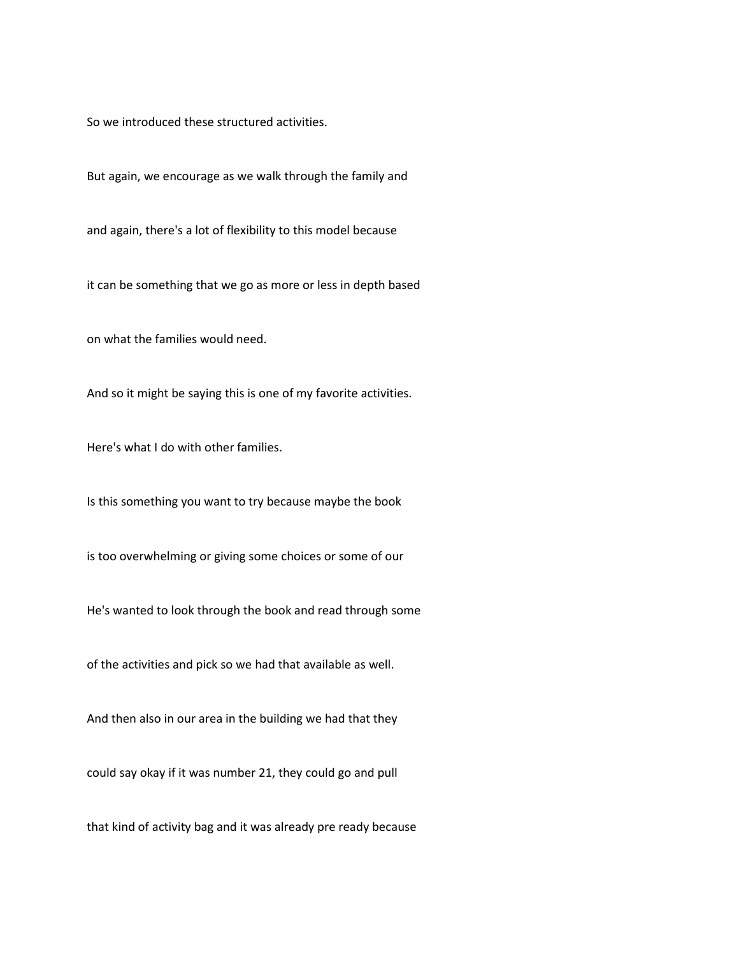So we introduced these structured activities.

But again, we encourage as we walk through the family and

and again, there's a lot of flexibility to this model because

it can be something that we go as more or less in depth based

on what the families would need.

And so it might be saying this is one of my favorite activities.

Here's what I do with other families.

Is this something you want to try because maybe the book

is too overwhelming or giving some choices or some of our

He's wanted to look through the book and read through some

of the activities and pick so we had that available as well.

And then also in our area in the building we had that they

could say okay if it was number 21, they could go and pull

that kind of activity bag and it was already pre ready because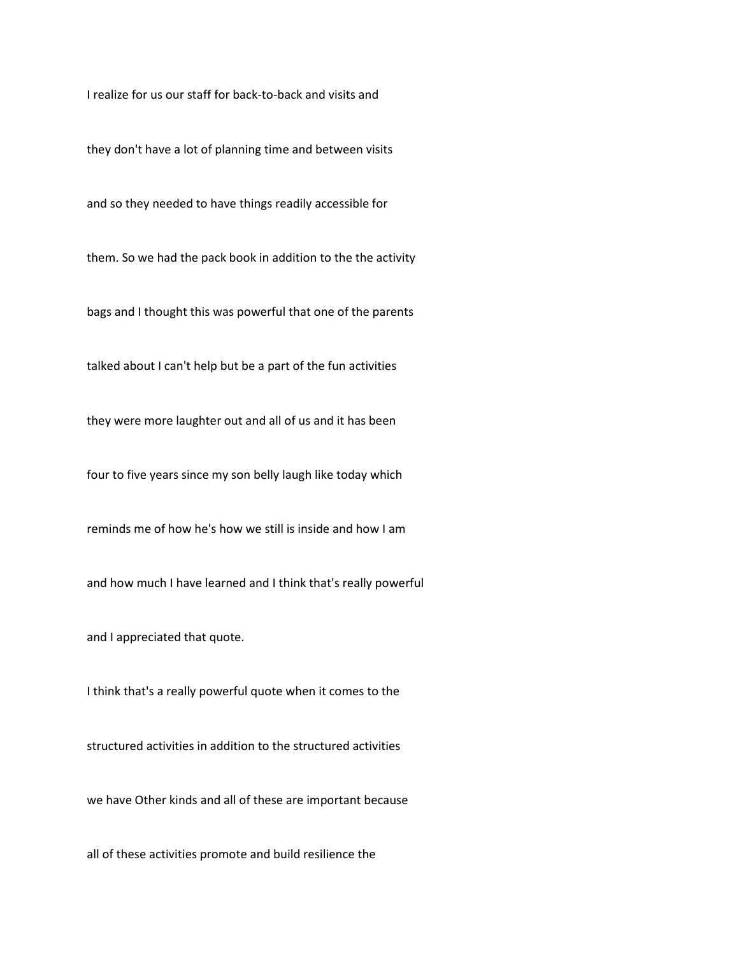I realize for us our staff for back-to-back and visits and

they don't have a lot of planning time and between visits

and so they needed to have things readily accessible for

them. So we had the pack book in addition to the the activity

bags and I thought this was powerful that one of the parents

talked about I can't help but be a part of the fun activities

they were more laughter out and all of us and it has been

four to five years since my son belly laugh like today which

reminds me of how he's how we still is inside and how I am

and how much I have learned and I think that's really powerful

and I appreciated that quote.

I think that's a really powerful quote when it comes to the

structured activities in addition to the structured activities

we have Other kinds and all of these are important because

all of these activities promote and build resilience the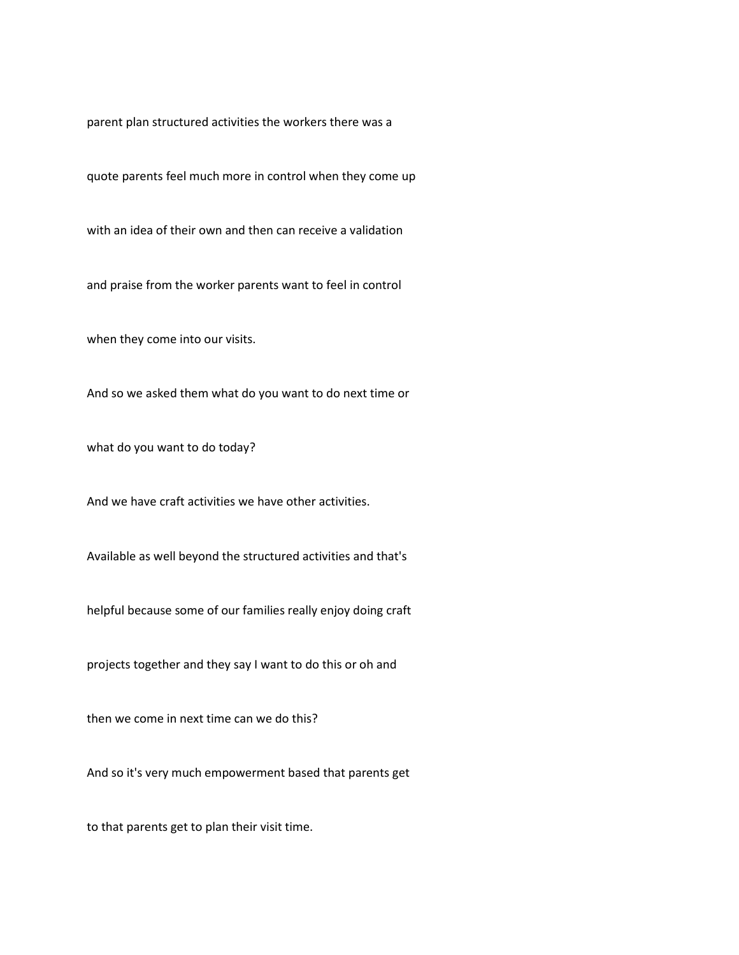parent plan structured activities the workers there was a

quote parents feel much more in control when they come up

with an idea of their own and then can receive a validation

and praise from the worker parents want to feel in control

when they come into our visits.

And so we asked them what do you want to do next time or

what do you want to do today?

And we have craft activities we have other activities.

Available as well beyond the structured activities and that's

helpful because some of our families really enjoy doing craft

projects together and they say I want to do this or oh and

then we come in next time can we do this?

And so it's very much empowerment based that parents get

to that parents get to plan their visit time.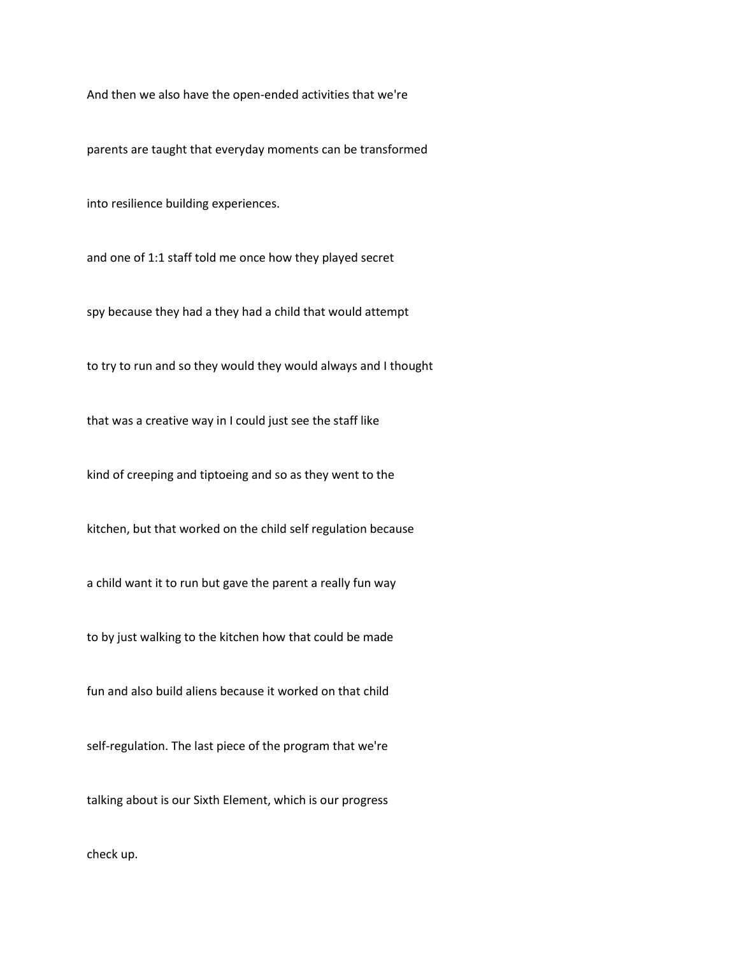And then we also have the open-ended activities that we're

parents are taught that everyday moments can be transformed

into resilience building experiences.

and one of 1:1 staff told me once how they played secret

spy because they had a they had a child that would attempt

to try to run and so they would they would always and I thought

that was a creative way in I could just see the staff like

kind of creeping and tiptoeing and so as they went to the

kitchen, but that worked on the child self regulation because

a child want it to run but gave the parent a really fun way

to by just walking to the kitchen how that could be made

fun and also build aliens because it worked on that child

self-regulation. The last piece of the program that we're

talking about is our Sixth Element, which is our progress

check up.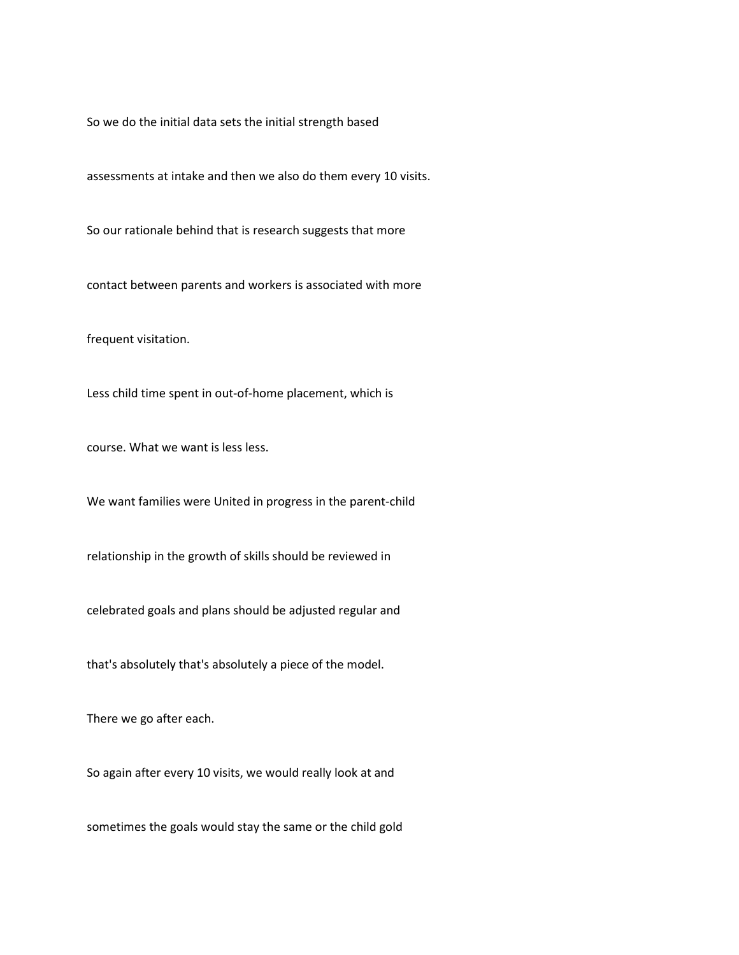So we do the initial data sets the initial strength based

assessments at intake and then we also do them every 10 visits.

So our rationale behind that is research suggests that more

contact between parents and workers is associated with more

frequent visitation.

Less child time spent in out-of-home placement, which is

course. What we want is less less.

We want families were United in progress in the parent-child

relationship in the growth of skills should be reviewed in

celebrated goals and plans should be adjusted regular and

that's absolutely that's absolutely a piece of the model.

There we go after each.

So again after every 10 visits, we would really look at and

sometimes the goals would stay the same or the child gold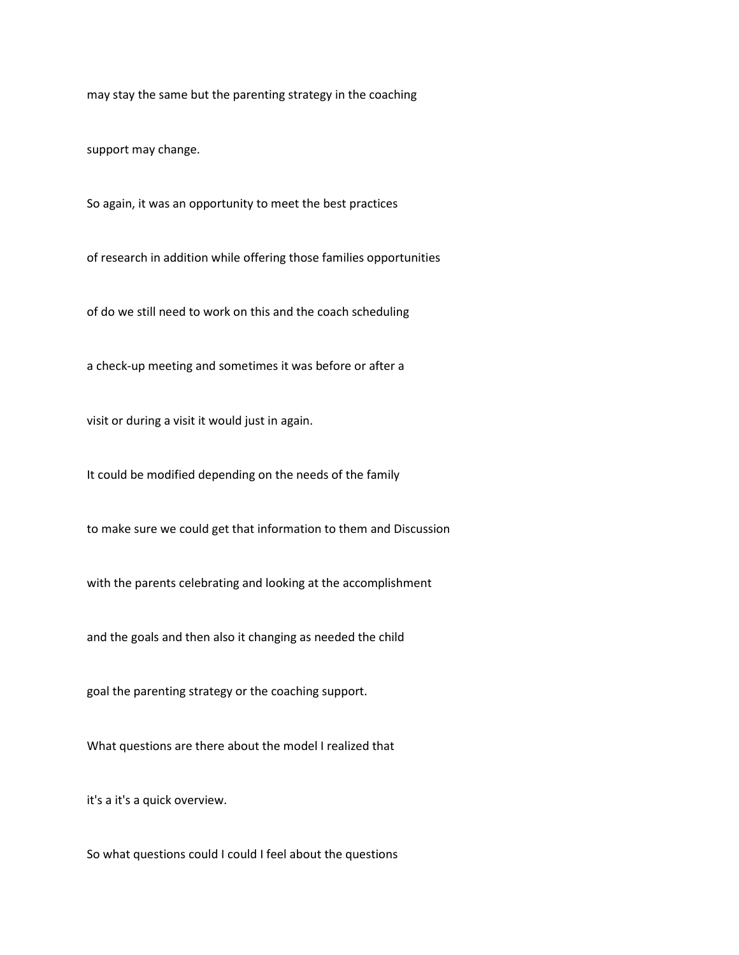may stay the same but the parenting strategy in the coaching

support may change.

So again, it was an opportunity to meet the best practices

of research in addition while offering those families opportunities

of do we still need to work on this and the coach scheduling

a check-up meeting and sometimes it was before or after a

visit or during a visit it would just in again.

It could be modified depending on the needs of the family

to make sure we could get that information to them and Discussion

with the parents celebrating and looking at the accomplishment

and the goals and then also it changing as needed the child

goal the parenting strategy or the coaching support.

What questions are there about the model I realized that

it's a it's a quick overview.

So what questions could I could I feel about the questions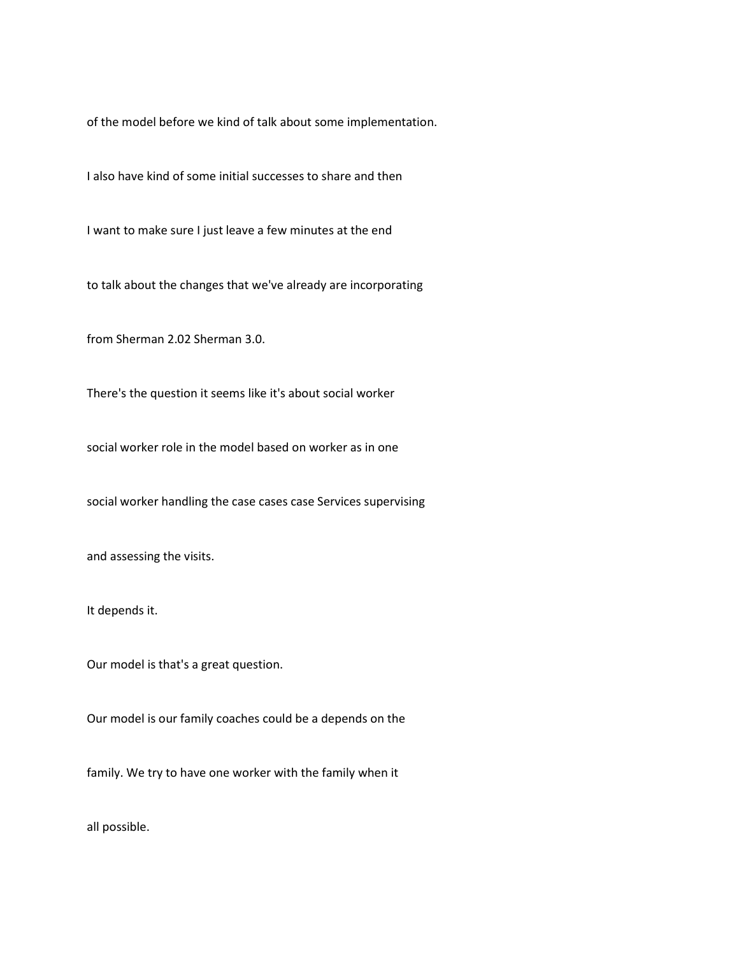of the model before we kind of talk about some implementation.

I also have kind of some initial successes to share and then

I want to make sure I just leave a few minutes at the end

to talk about the changes that we've already are incorporating

from Sherman 2.02 Sherman 3.0.

There's the question it seems like it's about social worker

social worker role in the model based on worker as in one

social worker handling the case cases case Services supervising

and assessing the visits.

It depends it.

Our model is that's a great question.

Our model is our family coaches could be a depends on the

family. We try to have one worker with the family when it

all possible.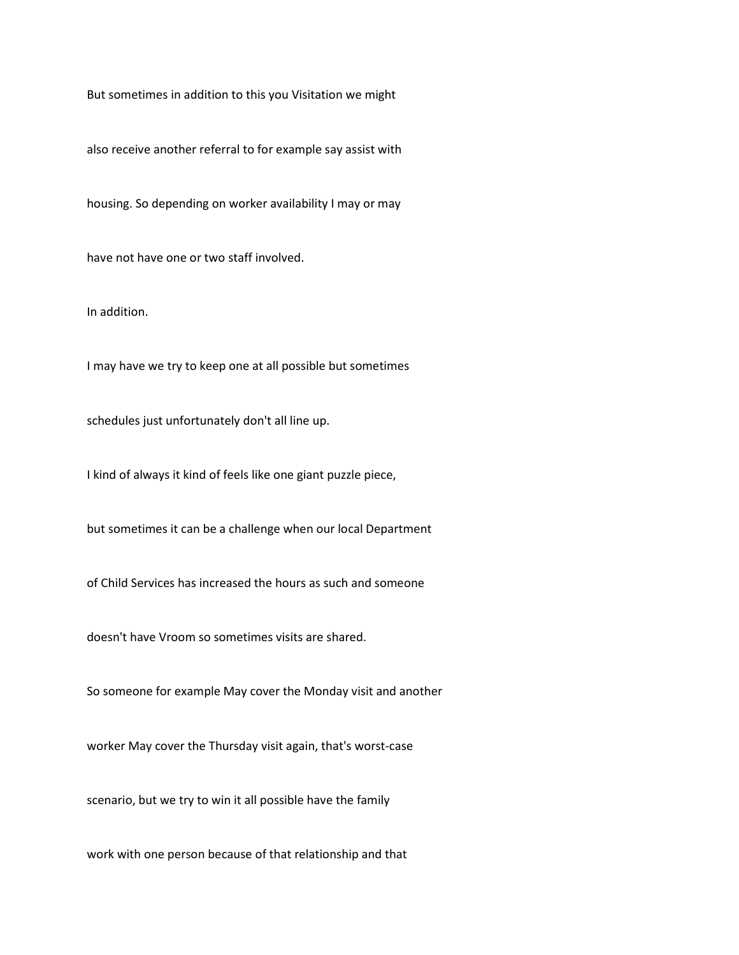But sometimes in addition to this you Visitation we might

also receive another referral to for example say assist with

housing. So depending on worker availability I may or may

have not have one or two staff involved.

In addition.

I may have we try to keep one at all possible but sometimes

schedules just unfortunately don't all line up.

I kind of always it kind of feels like one giant puzzle piece,

but sometimes it can be a challenge when our local Department

of Child Services has increased the hours as such and someone

doesn't have Vroom so sometimes visits are shared.

So someone for example May cover the Monday visit and another

worker May cover the Thursday visit again, that's worst-case

scenario, but we try to win it all possible have the family

work with one person because of that relationship and that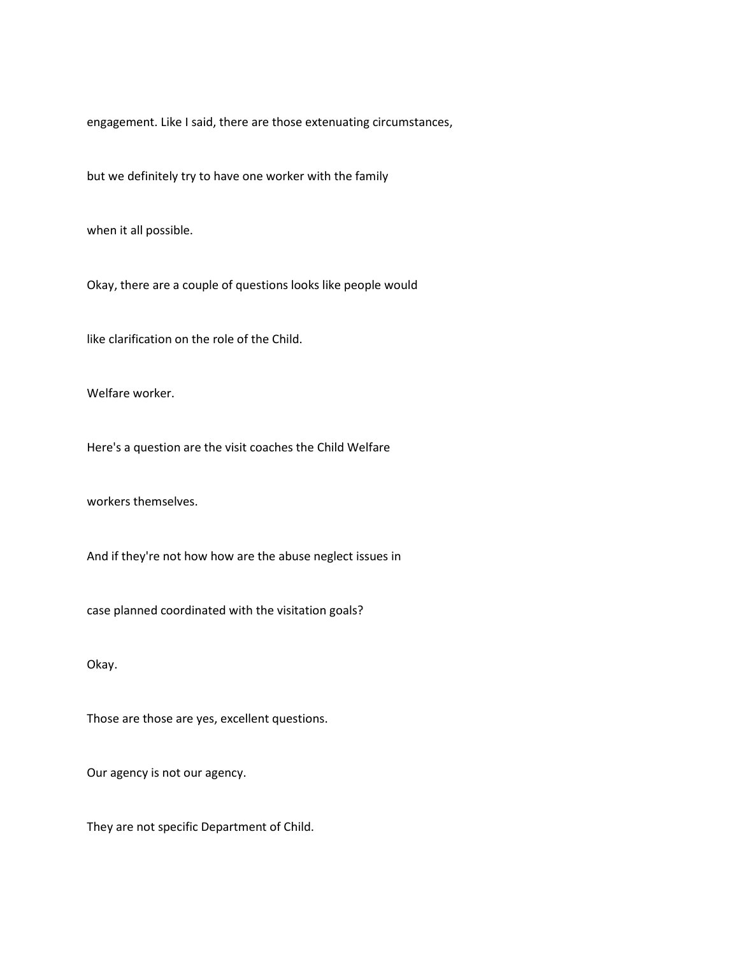engagement. Like I said, there are those extenuating circumstances,

but we definitely try to have one worker with the family

when it all possible.

Okay, there are a couple of questions looks like people would

like clarification on the role of the Child.

Welfare worker.

Here's a question are the visit coaches the Child Welfare

workers themselves.

And if they're not how how are the abuse neglect issues in

case planned coordinated with the visitation goals?

Okay.

Those are those are yes, excellent questions.

Our agency is not our agency.

They are not specific Department of Child.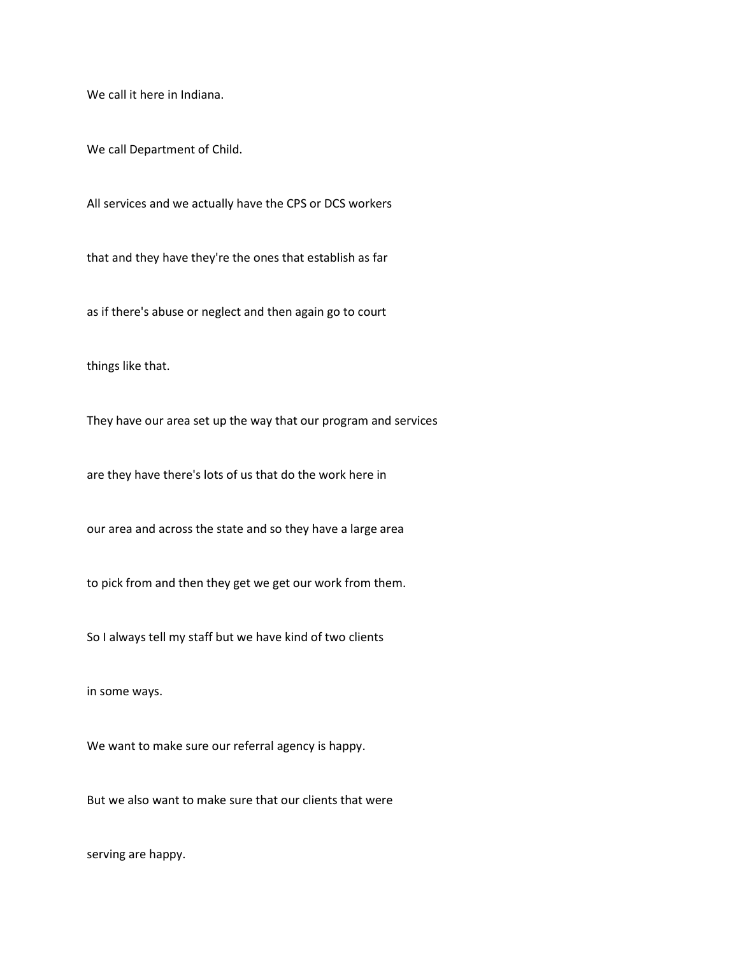We call it here in Indiana.

We call Department of Child.

All services and we actually have the CPS or DCS workers

that and they have they're the ones that establish as far

as if there's abuse or neglect and then again go to court

things like that.

They have our area set up the way that our program and services

are they have there's lots of us that do the work here in

our area and across the state and so they have a large area

to pick from and then they get we get our work from them.

So I always tell my staff but we have kind of two clients

in some ways.

We want to make sure our referral agency is happy.

But we also want to make sure that our clients that were

serving are happy.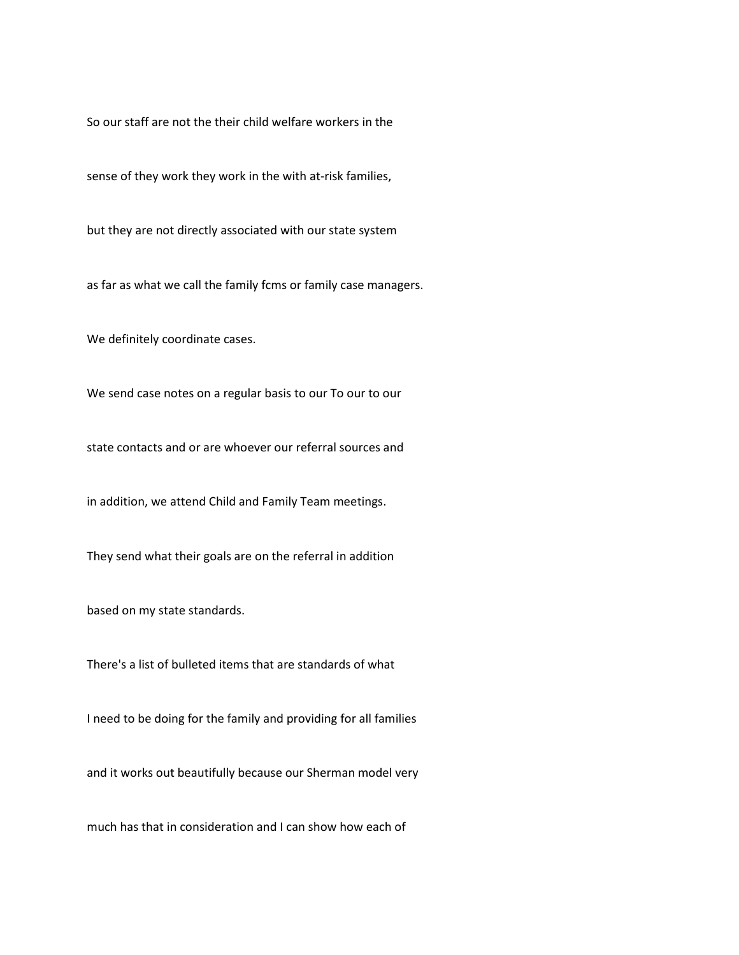So our staff are not the their child welfare workers in the

sense of they work they work in the with at-risk families,

but they are not directly associated with our state system

as far as what we call the family fcms or family case managers.

We definitely coordinate cases.

We send case notes on a regular basis to our To our to our

state contacts and or are whoever our referral sources and

in addition, we attend Child and Family Team meetings.

They send what their goals are on the referral in addition

based on my state standards.

There's a list of bulleted items that are standards of what

I need to be doing for the family and providing for all families

and it works out beautifully because our Sherman model very

much has that in consideration and I can show how each of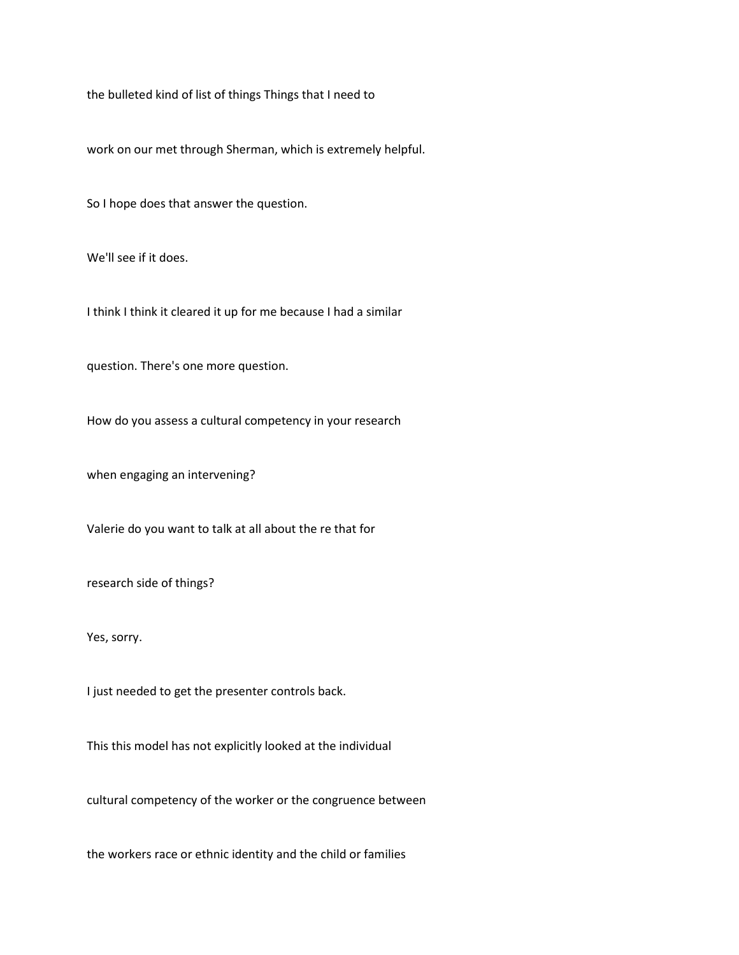the bulleted kind of list of things Things that I need to

work on our met through Sherman, which is extremely helpful.

So I hope does that answer the question.

We'll see if it does.

I think I think it cleared it up for me because I had a similar

question. There's one more question.

How do you assess a cultural competency in your research

when engaging an intervening?

Valerie do you want to talk at all about the re that for

research side of things?

Yes, sorry.

I just needed to get the presenter controls back.

This this model has not explicitly looked at the individual

cultural competency of the worker or the congruence between

the workers race or ethnic identity and the child or families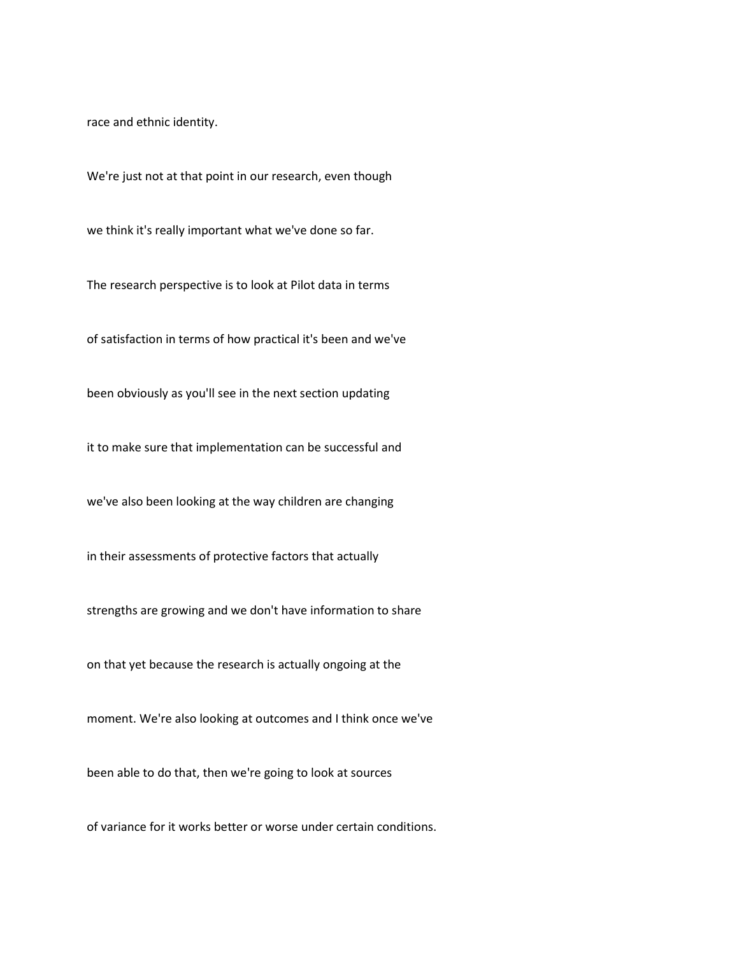race and ethnic identity.

We're just not at that point in our research, even though

we think it's really important what we've done so far.

The research perspective is to look at Pilot data in terms

of satisfaction in terms of how practical it's been and we've

been obviously as you'll see in the next section updating

it to make sure that implementation can be successful and

we've also been looking at the way children are changing

in their assessments of protective factors that actually

strengths are growing and we don't have information to share

on that yet because the research is actually ongoing at the

moment. We're also looking at outcomes and I think once we've

been able to do that, then we're going to look at sources

of variance for it works better or worse under certain conditions.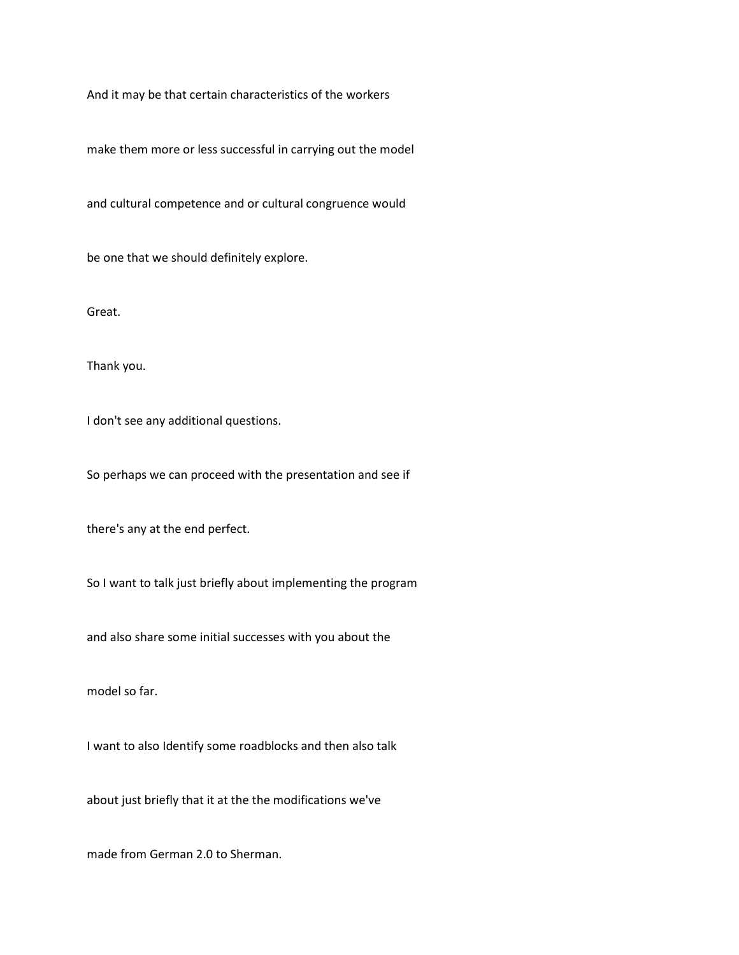And it may be that certain characteristics of the workers

make them more or less successful in carrying out the model

and cultural competence and or cultural congruence would

be one that we should definitely explore.

Great.

Thank you.

I don't see any additional questions.

So perhaps we can proceed with the presentation and see if

there's any at the end perfect.

So I want to talk just briefly about implementing the program

and also share some initial successes with you about the

model so far.

I want to also Identify some roadblocks and then also talk

about just briefly that it at the the modifications we've

made from German 2.0 to Sherman.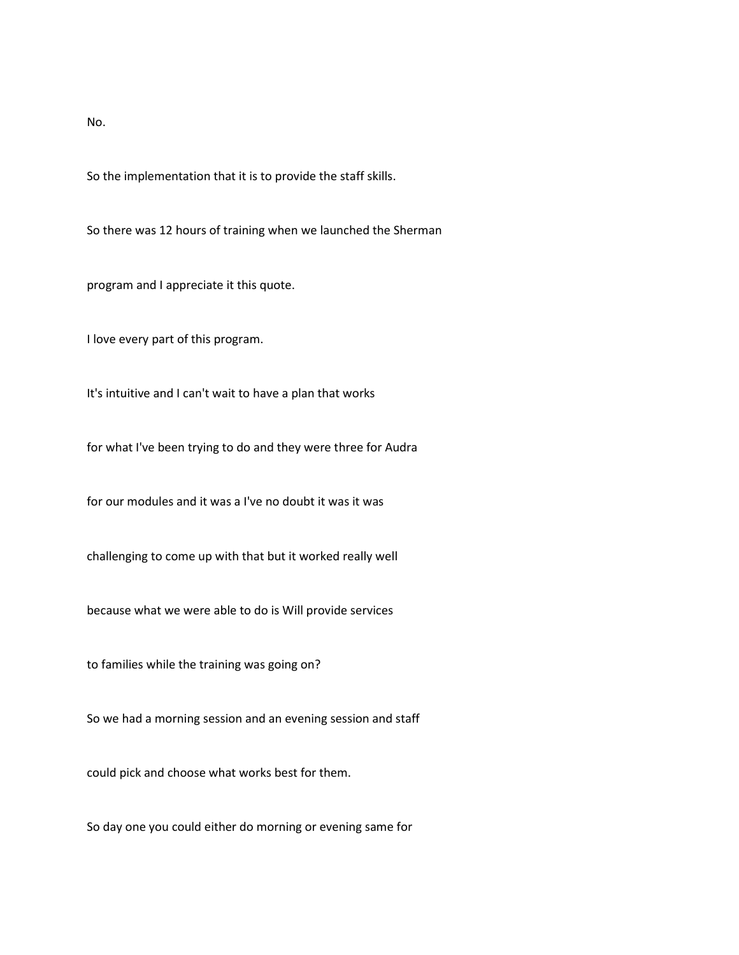No.

So the implementation that it is to provide the staff skills.

So there was 12 hours of training when we launched the Sherman

program and I appreciate it this quote.

I love every part of this program.

It's intuitive and I can't wait to have a plan that works

for what I've been trying to do and they were three for Audra

for our modules and it was a I've no doubt it was it was

challenging to come up with that but it worked really well

because what we were able to do is Will provide services

to families while the training was going on?

So we had a morning session and an evening session and staff

could pick and choose what works best for them.

So day one you could either do morning or evening same for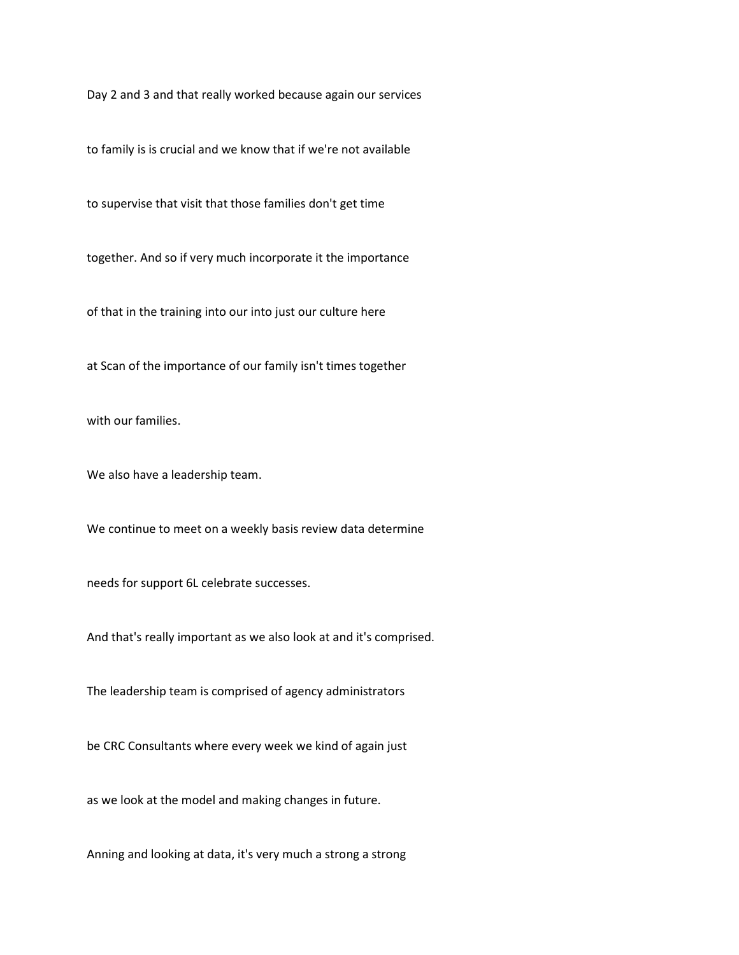Day 2 and 3 and that really worked because again our services

to family is is crucial and we know that if we're not available

to supervise that visit that those families don't get time

together. And so if very much incorporate it the importance

of that in the training into our into just our culture here

at Scan of the importance of our family isn't times together

with our families.

We also have a leadership team.

We continue to meet on a weekly basis review data determine

needs for support 6L celebrate successes.

And that's really important as we also look at and it's comprised.

The leadership team is comprised of agency administrators

be CRC Consultants where every week we kind of again just

as we look at the model and making changes in future.

Anning and looking at data, it's very much a strong a strong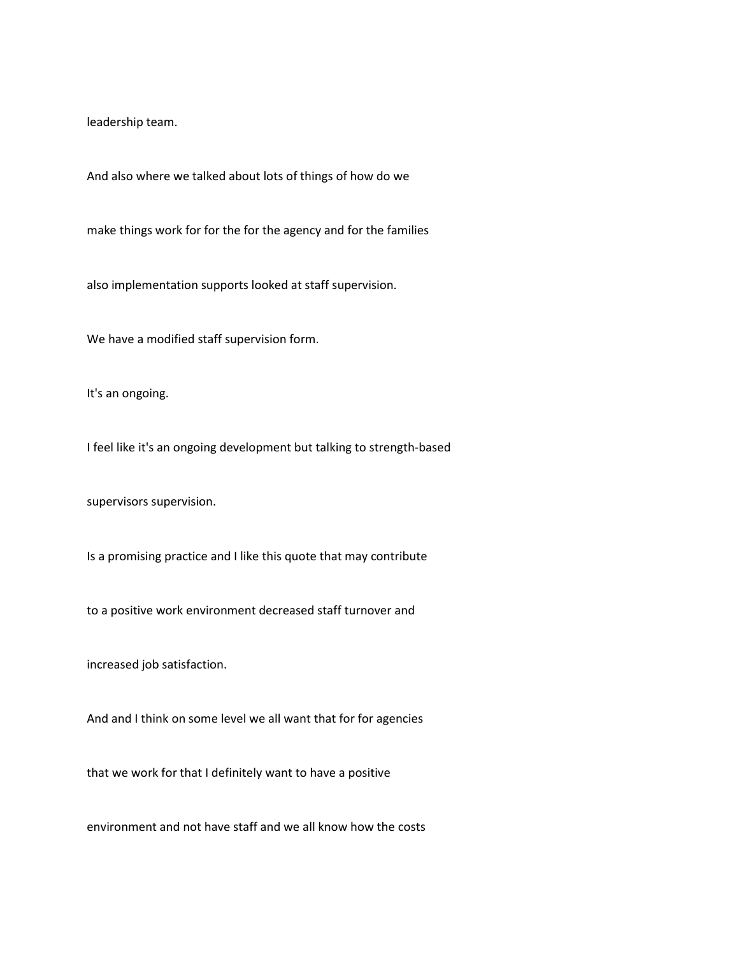leadership team.

And also where we talked about lots of things of how do we

make things work for for the for the agency and for the families

also implementation supports looked at staff supervision.

We have a modified staff supervision form.

It's an ongoing.

I feel like it's an ongoing development but talking to strength-based

supervisors supervision.

Is a promising practice and I like this quote that may contribute

to a positive work environment decreased staff turnover and

increased job satisfaction.

And and I think on some level we all want that for for agencies

that we work for that I definitely want to have a positive

environment and not have staff and we all know how the costs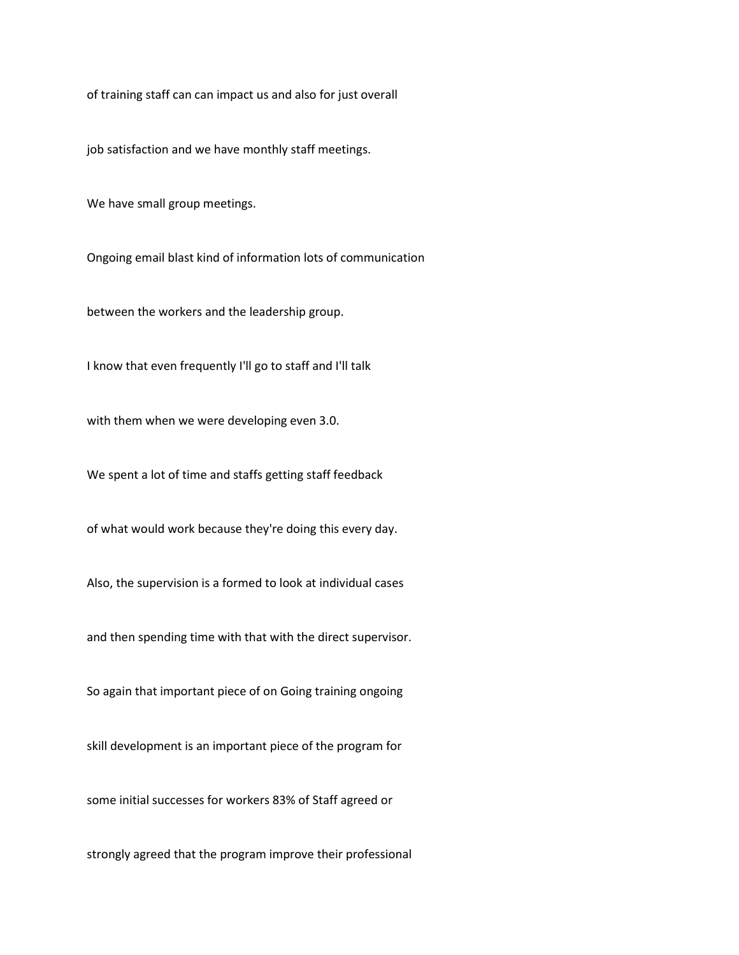of training staff can can impact us and also for just overall

job satisfaction and we have monthly staff meetings.

We have small group meetings.

Ongoing email blast kind of information lots of communication

between the workers and the leadership group.

I know that even frequently I'll go to staff and I'll talk

with them when we were developing even 3.0.

We spent a lot of time and staffs getting staff feedback

of what would work because they're doing this every day.

Also, the supervision is a formed to look at individual cases

and then spending time with that with the direct supervisor.

So again that important piece of on Going training ongoing

skill development is an important piece of the program for

some initial successes for workers 83% of Staff agreed or

strongly agreed that the program improve their professional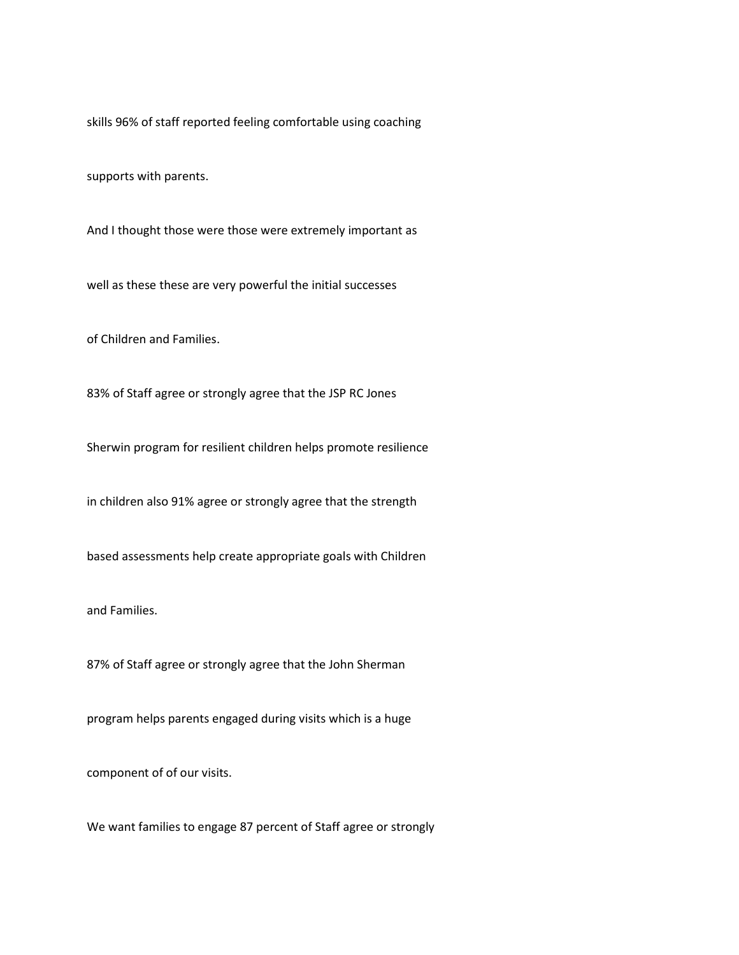skills 96% of staff reported feeling comfortable using coaching

supports with parents.

And I thought those were those were extremely important as

well as these these are very powerful the initial successes

of Children and Families.

83% of Staff agree or strongly agree that the JSP RC Jones

Sherwin program for resilient children helps promote resilience

in children also 91% agree or strongly agree that the strength

based assessments help create appropriate goals with Children

and Families.

87% of Staff agree or strongly agree that the John Sherman

program helps parents engaged during visits which is a huge

component of of our visits.

We want families to engage 87 percent of Staff agree or strongly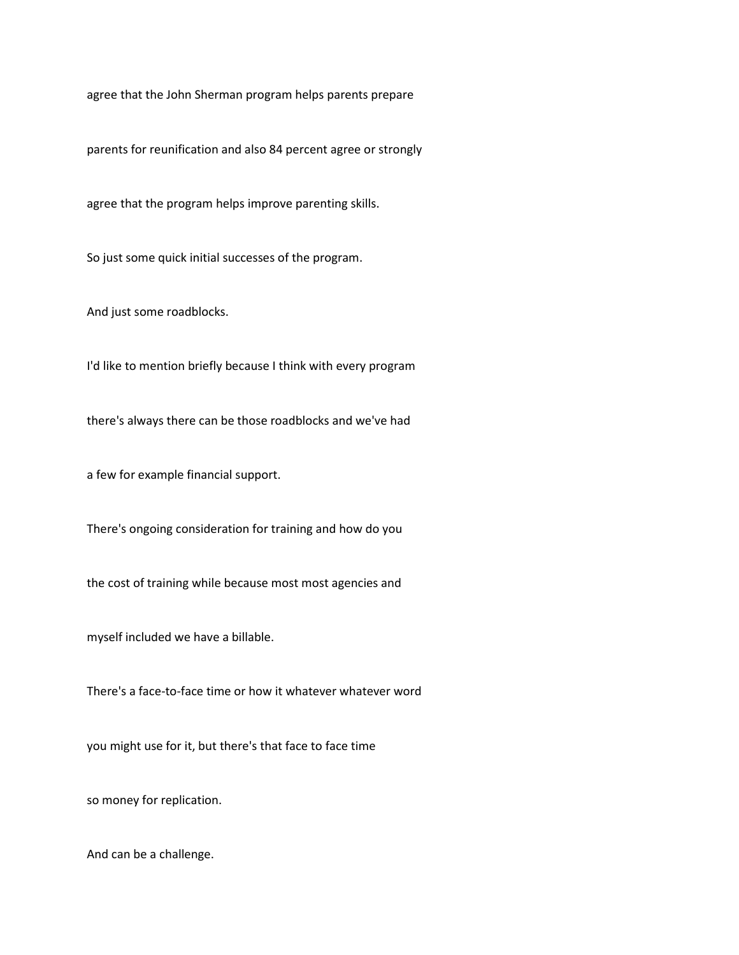agree that the John Sherman program helps parents prepare

parents for reunification and also 84 percent agree or strongly

agree that the program helps improve parenting skills.

So just some quick initial successes of the program.

And just some roadblocks.

I'd like to mention briefly because I think with every program

there's always there can be those roadblocks and we've had

a few for example financial support.

There's ongoing consideration for training and how do you

the cost of training while because most most agencies and

myself included we have a billable.

There's a face-to-face time or how it whatever whatever word

you might use for it, but there's that face to face time

so money for replication.

And can be a challenge.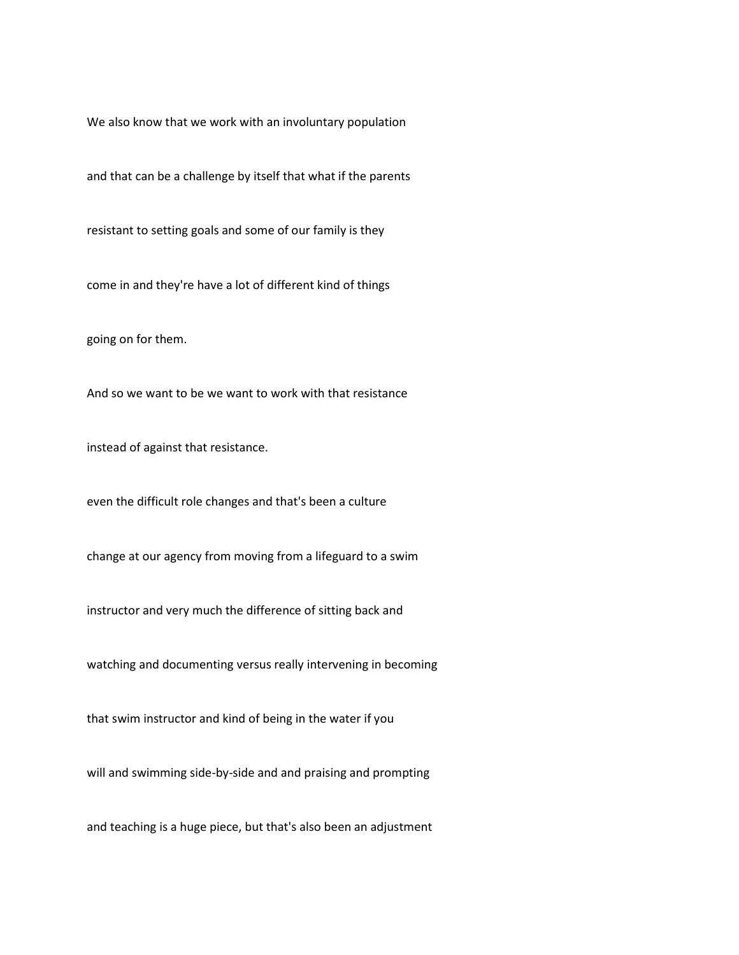We also know that we work with an involuntary population

and that can be a challenge by itself that what if the parents

resistant to setting goals and some of our family is they

come in and they're have a lot of different kind of things

going on for them.

And so we want to be we want to work with that resistance

instead of against that resistance.

even the difficult role changes and that's been a culture

change at our agency from moving from a lifeguard to a swim

instructor and very much the difference of sitting back and

watching and documenting versus really intervening in becoming

that swim instructor and kind of being in the water if you

will and swimming side-by-side and and praising and prompting

and teaching is a huge piece, but that's also been an adjustment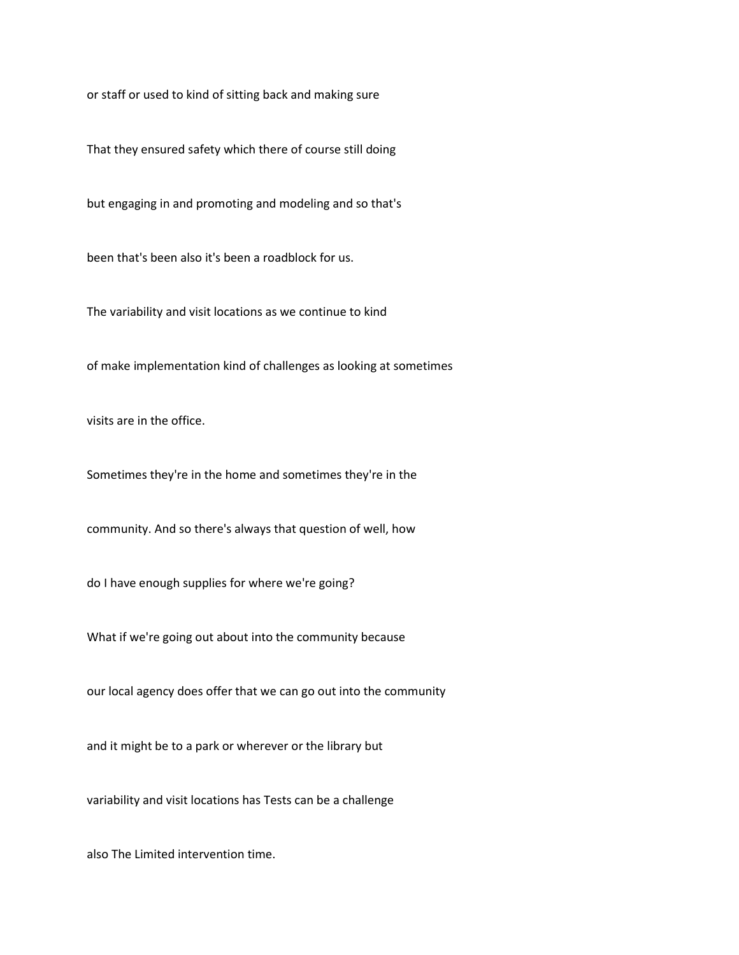or staff or used to kind of sitting back and making sure

That they ensured safety which there of course still doing

but engaging in and promoting and modeling and so that's

been that's been also it's been a roadblock for us.

The variability and visit locations as we continue to kind

of make implementation kind of challenges as looking at sometimes

visits are in the office.

Sometimes they're in the home and sometimes they're in the

community. And so there's always that question of well, how

do I have enough supplies for where we're going?

What if we're going out about into the community because

our local agency does offer that we can go out into the community

and it might be to a park or wherever or the library but

variability and visit locations has Tests can be a challenge

also The Limited intervention time.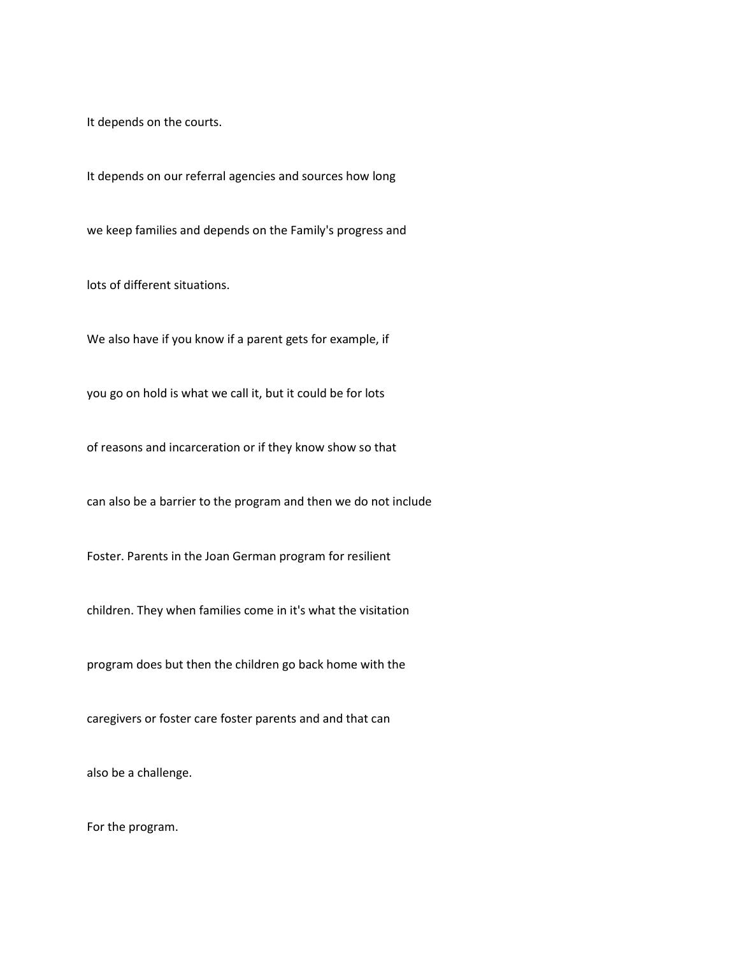It depends on the courts.

It depends on our referral agencies and sources how long

we keep families and depends on the Family's progress and

lots of different situations.

We also have if you know if a parent gets for example, if

you go on hold is what we call it, but it could be for lots

of reasons and incarceration or if they know show so that

can also be a barrier to the program and then we do not include

Foster. Parents in the Joan German program for resilient

children. They when families come in it's what the visitation

program does but then the children go back home with the

caregivers or foster care foster parents and and that can

also be a challenge.

For the program.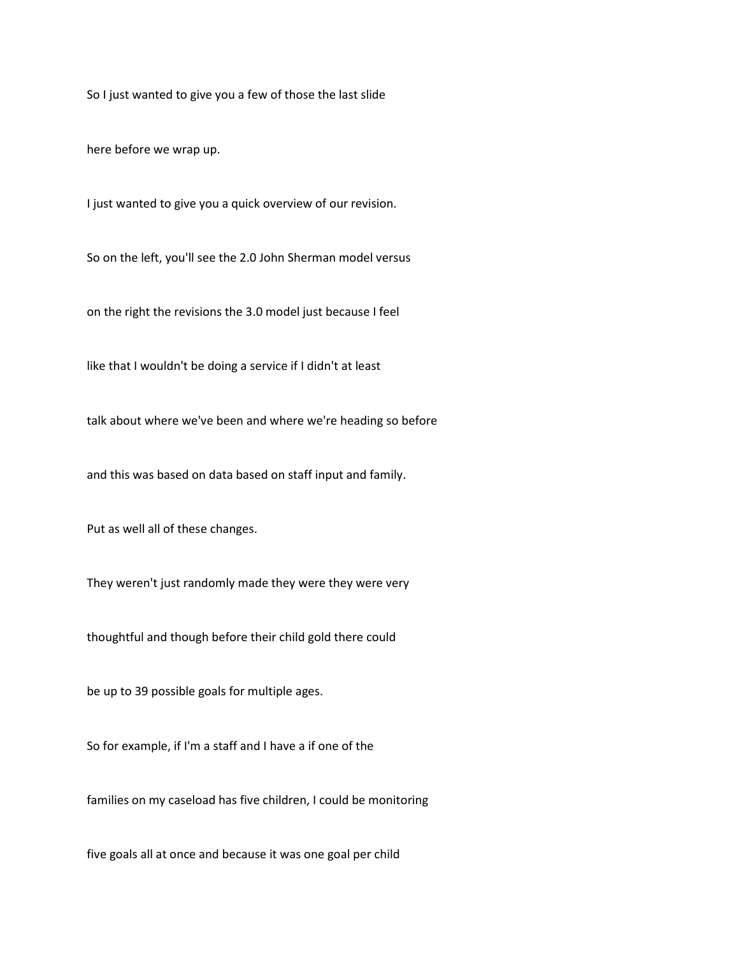So I just wanted to give you a few of those the last slide

here before we wrap up.

I just wanted to give you a quick overview of our revision.

So on the left, you'll see the 2.0 John Sherman model versus

on the right the revisions the 3.0 model just because I feel

like that I wouldn't be doing a service if I didn't at least

talk about where we've been and where we're heading so before

and this was based on data based on staff input and family.

Put as well all of these changes.

They weren't just randomly made they were they were very

thoughtful and though before their child gold there could

be up to 39 possible goals for multiple ages.

So for example, if I'm a staff and I have a if one of the

families on my caseload has five children, I could be monitoring

five goals all at once and because it was one goal per child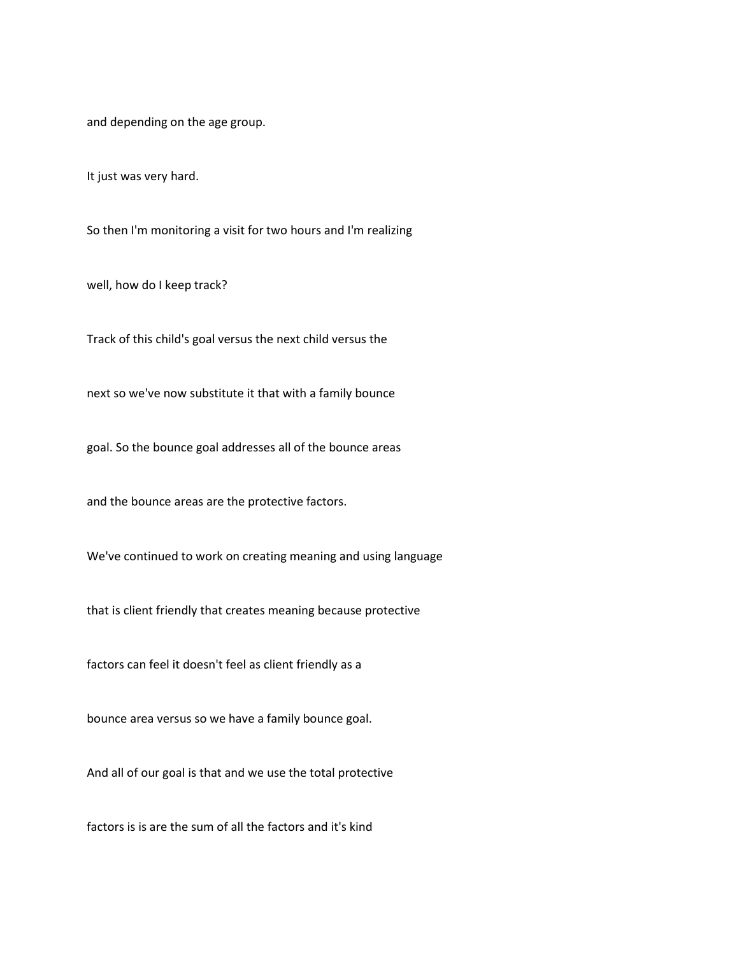and depending on the age group.

It just was very hard.

So then I'm monitoring a visit for two hours and I'm realizing

well, how do I keep track?

Track of this child's goal versus the next child versus the

next so we've now substitute it that with a family bounce

goal. So the bounce goal addresses all of the bounce areas

and the bounce areas are the protective factors.

We've continued to work on creating meaning and using language

that is client friendly that creates meaning because protective

factors can feel it doesn't feel as client friendly as a

bounce area versus so we have a family bounce goal.

And all of our goal is that and we use the total protective

factors is is are the sum of all the factors and it's kind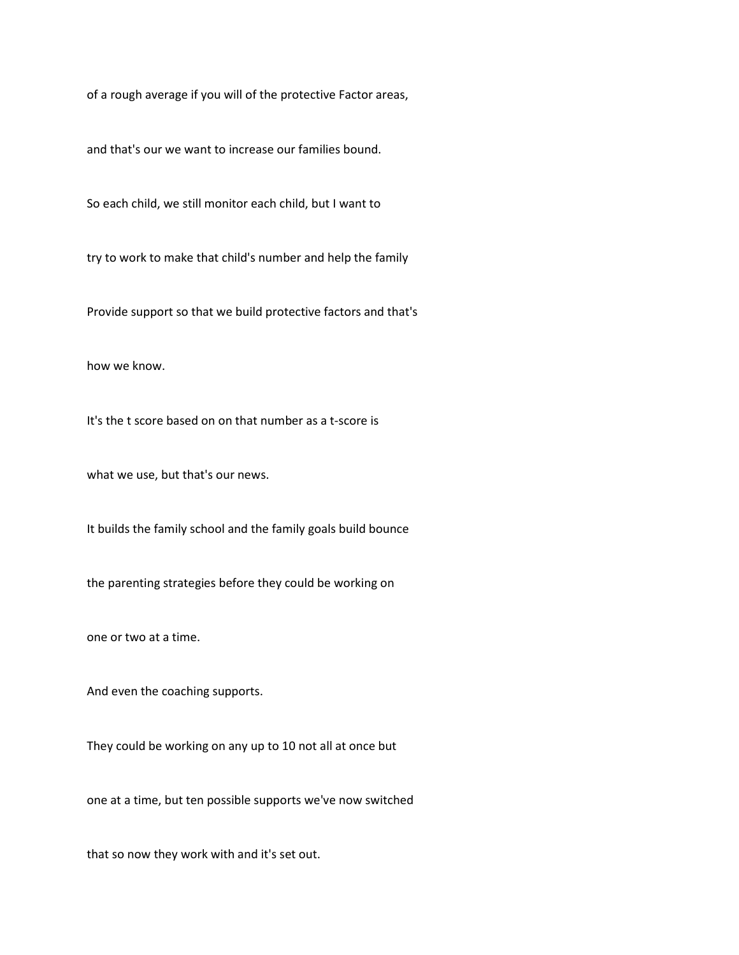of a rough average if you will of the protective Factor areas,

and that's our we want to increase our families bound.

So each child, we still monitor each child, but I want to

try to work to make that child's number and help the family

Provide support so that we build protective factors and that's

how we know.

It's the t score based on on that number as a t-score is

what we use, but that's our news.

It builds the family school and the family goals build bounce

the parenting strategies before they could be working on

one or two at a time.

And even the coaching supports.

They could be working on any up to 10 not all at once but

one at a time, but ten possible supports we've now switched

that so now they work with and it's set out.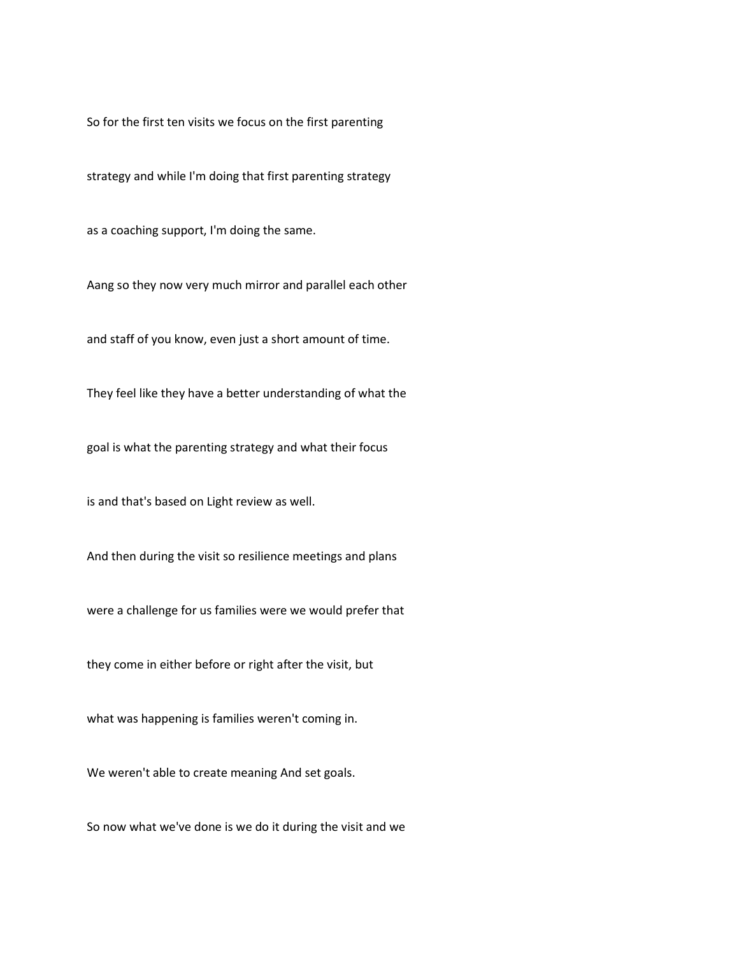So for the first ten visits we focus on the first parenting

strategy and while I'm doing that first parenting strategy

as a coaching support, I'm doing the same.

Aang so they now very much mirror and parallel each other

and staff of you know, even just a short amount of time.

They feel like they have a better understanding of what the

goal is what the parenting strategy and what their focus

is and that's based on Light review as well.

And then during the visit so resilience meetings and plans

were a challenge for us families were we would prefer that

they come in either before or right after the visit, but

what was happening is families weren't coming in.

We weren't able to create meaning And set goals.

So now what we've done is we do it during the visit and we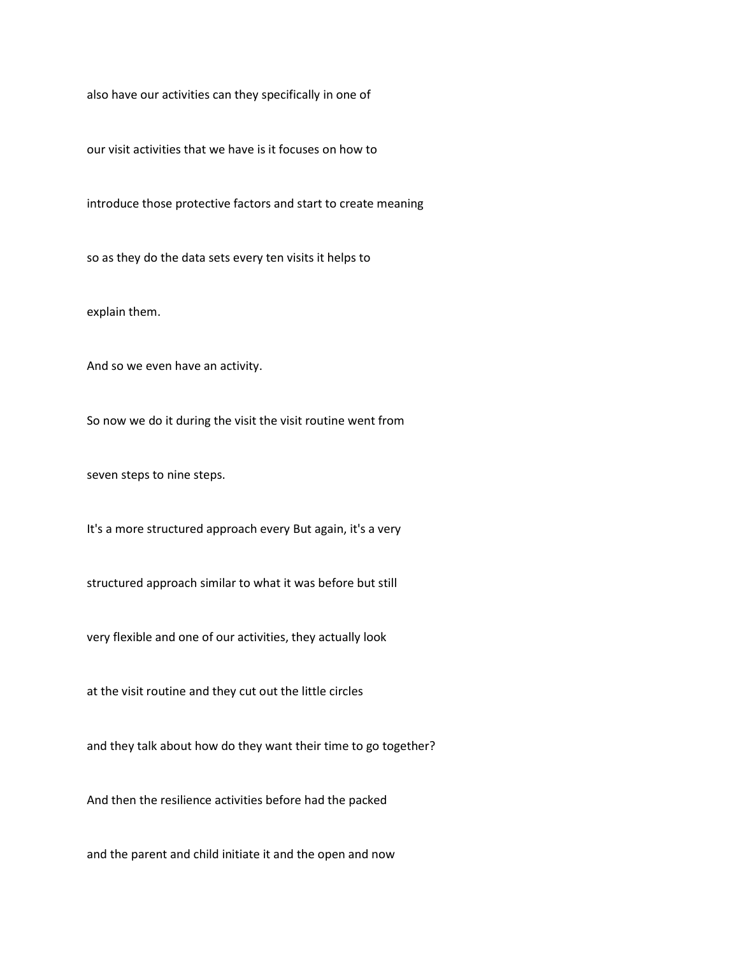also have our activities can they specifically in one of

our visit activities that we have is it focuses on how to

introduce those protective factors and start to create meaning

so as they do the data sets every ten visits it helps to

explain them.

And so we even have an activity.

So now we do it during the visit the visit routine went from

seven steps to nine steps.

It's a more structured approach every But again, it's a very

structured approach similar to what it was before but still

very flexible and one of our activities, they actually look

at the visit routine and they cut out the little circles

and they talk about how do they want their time to go together?

And then the resilience activities before had the packed

and the parent and child initiate it and the open and now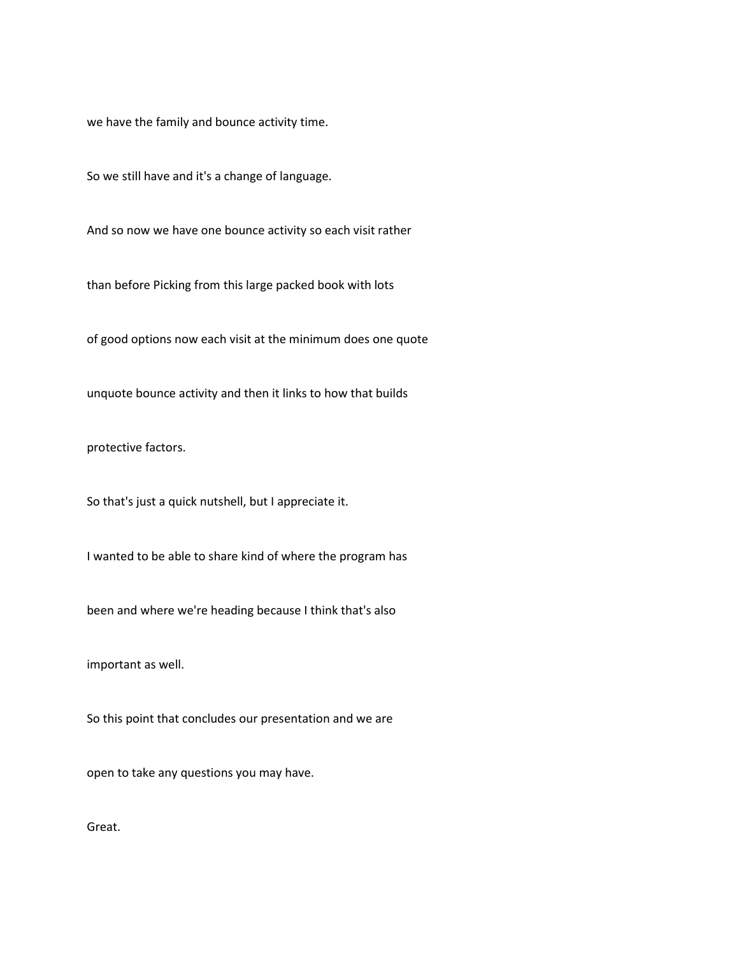we have the family and bounce activity time.

So we still have and it's a change of language.

And so now we have one bounce activity so each visit rather

than before Picking from this large packed book with lots

of good options now each visit at the minimum does one quote

unquote bounce activity and then it links to how that builds

protective factors.

So that's just a quick nutshell, but I appreciate it.

I wanted to be able to share kind of where the program has

been and where we're heading because I think that's also

important as well.

So this point that concludes our presentation and we are

open to take any questions you may have.

Great.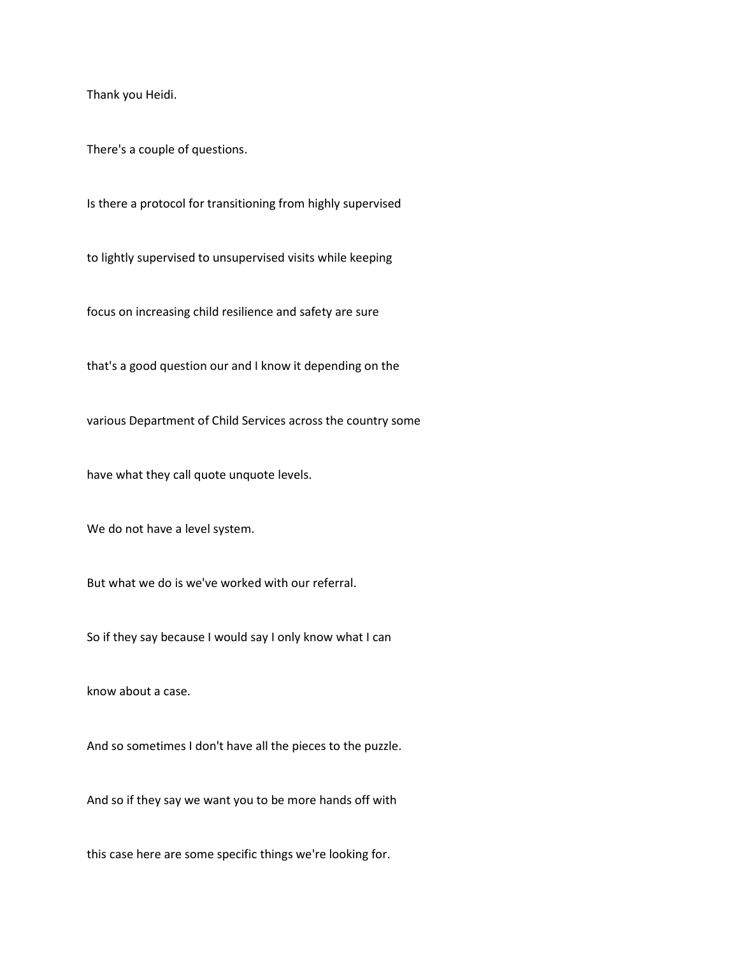Thank you Heidi.

There's a couple of questions.

Is there a protocol for transitioning from highly supervised

to lightly supervised to unsupervised visits while keeping

focus on increasing child resilience and safety are sure

that's a good question our and I know it depending on the

various Department of Child Services across the country some

have what they call quote unquote levels.

We do not have a level system.

But what we do is we've worked with our referral.

So if they say because I would say I only know what I can

know about a case.

And so sometimes I don't have all the pieces to the puzzle.

And so if they say we want you to be more hands off with

this case here are some specific things we're looking for.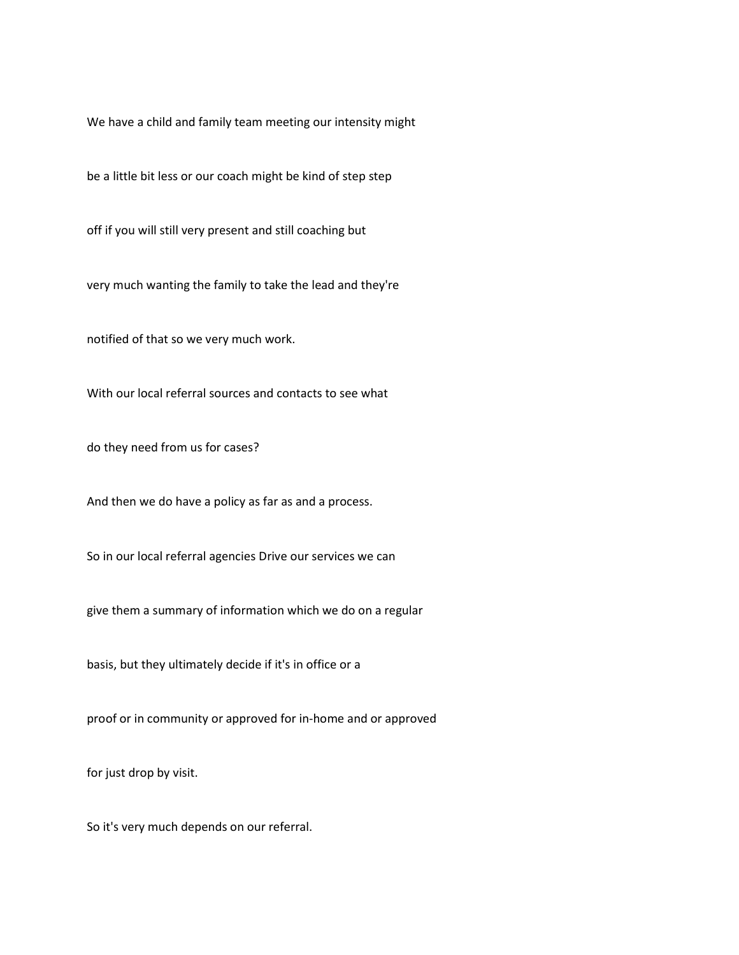We have a child and family team meeting our intensity might

be a little bit less or our coach might be kind of step step

off if you will still very present and still coaching but

very much wanting the family to take the lead and they're

notified of that so we very much work.

With our local referral sources and contacts to see what

do they need from us for cases?

And then we do have a policy as far as and a process.

So in our local referral agencies Drive our services we can

give them a summary of information which we do on a regular

basis, but they ultimately decide if it's in office or a

proof or in community or approved for in-home and or approved

for just drop by visit.

So it's very much depends on our referral.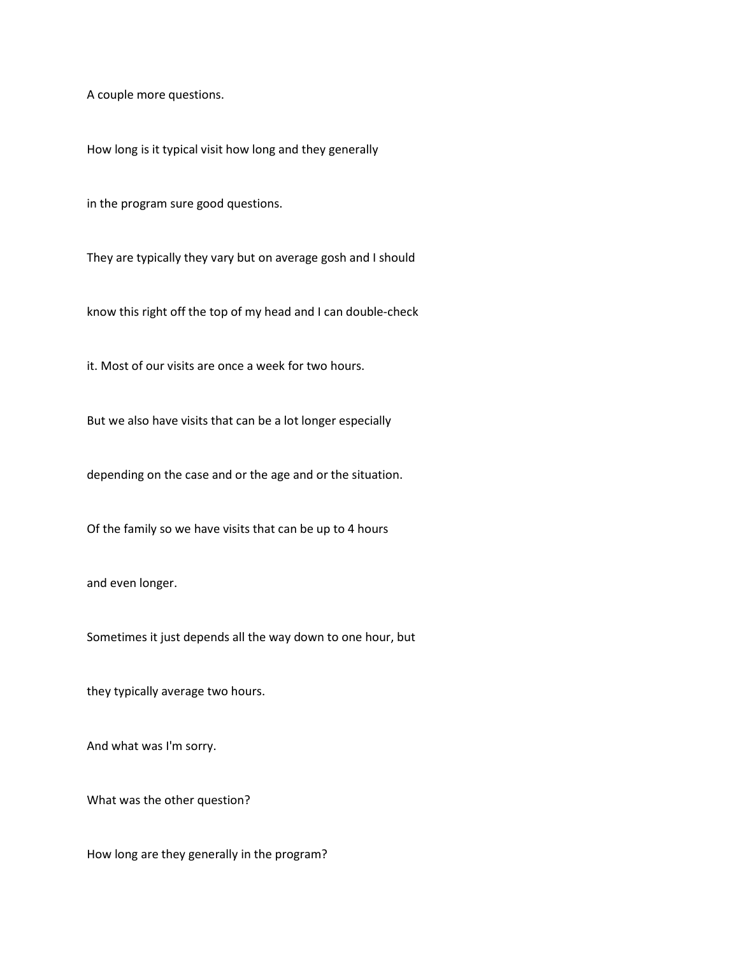A couple more questions.

How long is it typical visit how long and they generally

in the program sure good questions.

They are typically they vary but on average gosh and I should

know this right off the top of my head and I can double-check

it. Most of our visits are once a week for two hours.

But we also have visits that can be a lot longer especially

depending on the case and or the age and or the situation.

Of the family so we have visits that can be up to 4 hours

and even longer.

Sometimes it just depends all the way down to one hour, but

they typically average two hours.

And what was I'm sorry.

What was the other question?

How long are they generally in the program?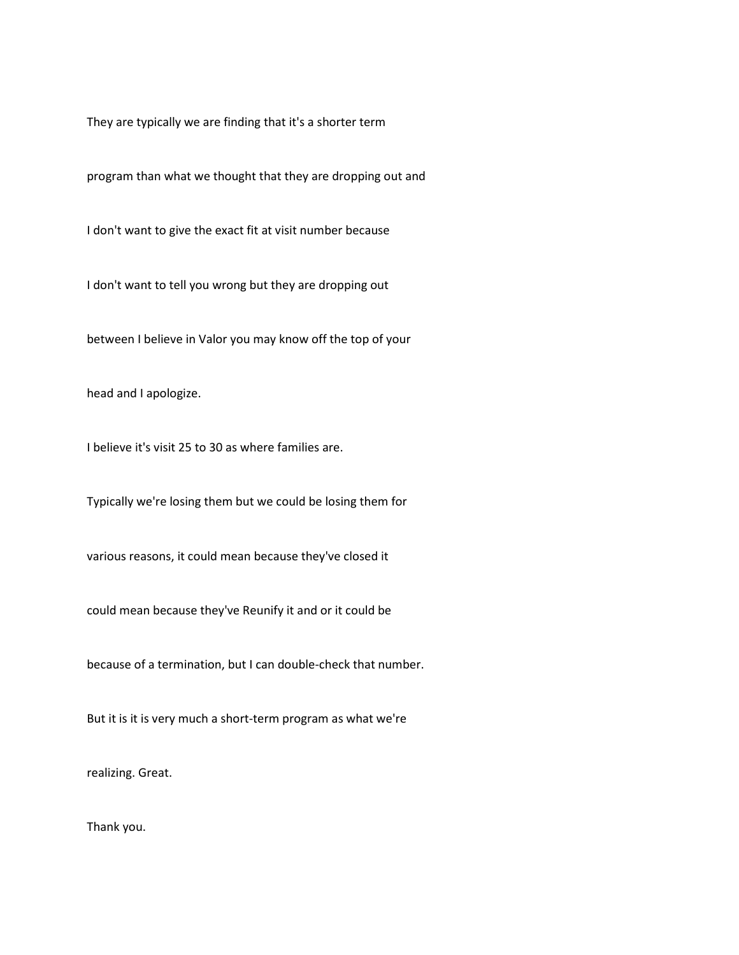They are typically we are finding that it's a shorter term

program than what we thought that they are dropping out and

I don't want to give the exact fit at visit number because

I don't want to tell you wrong but they are dropping out

between I believe in Valor you may know off the top of your

head and I apologize.

I believe it's visit 25 to 30 as where families are.

Typically we're losing them but we could be losing them for

various reasons, it could mean because they've closed it

could mean because they've Reunify it and or it could be

because of a termination, but I can double-check that number.

But it is it is very much a short-term program as what we're

realizing. Great.

Thank you.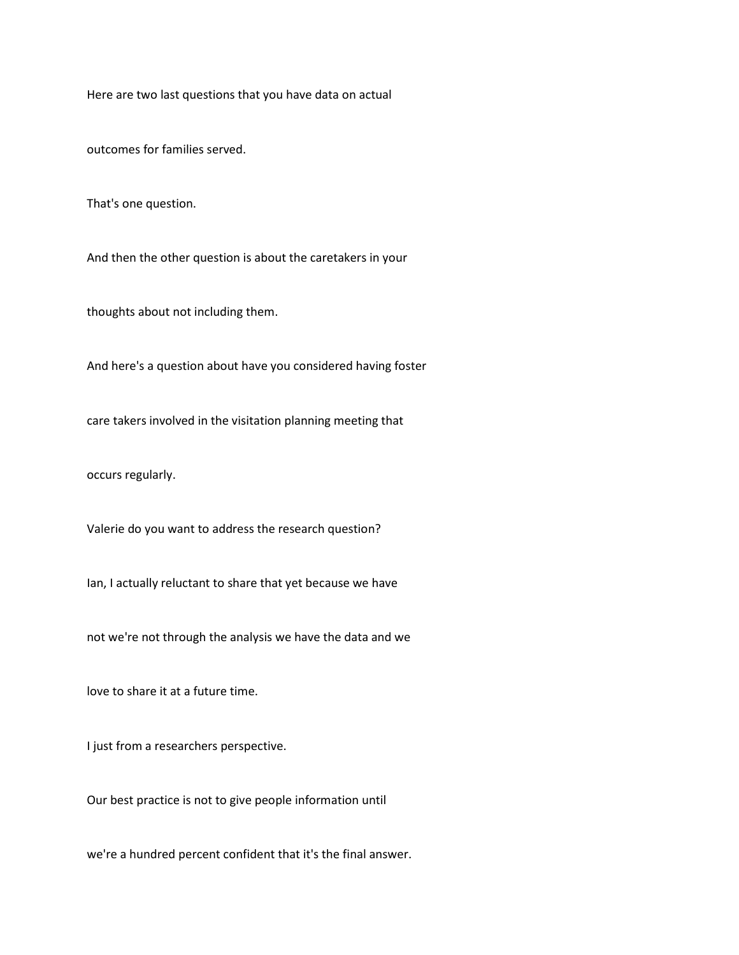Here are two last questions that you have data on actual

outcomes for families served.

That's one question.

And then the other question is about the caretakers in your

thoughts about not including them.

And here's a question about have you considered having foster

care takers involved in the visitation planning meeting that

occurs regularly.

Valerie do you want to address the research question?

Ian, I actually reluctant to share that yet because we have

not we're not through the analysis we have the data and we

love to share it at a future time.

I just from a researchers perspective.

Our best practice is not to give people information until

we're a hundred percent confident that it's the final answer.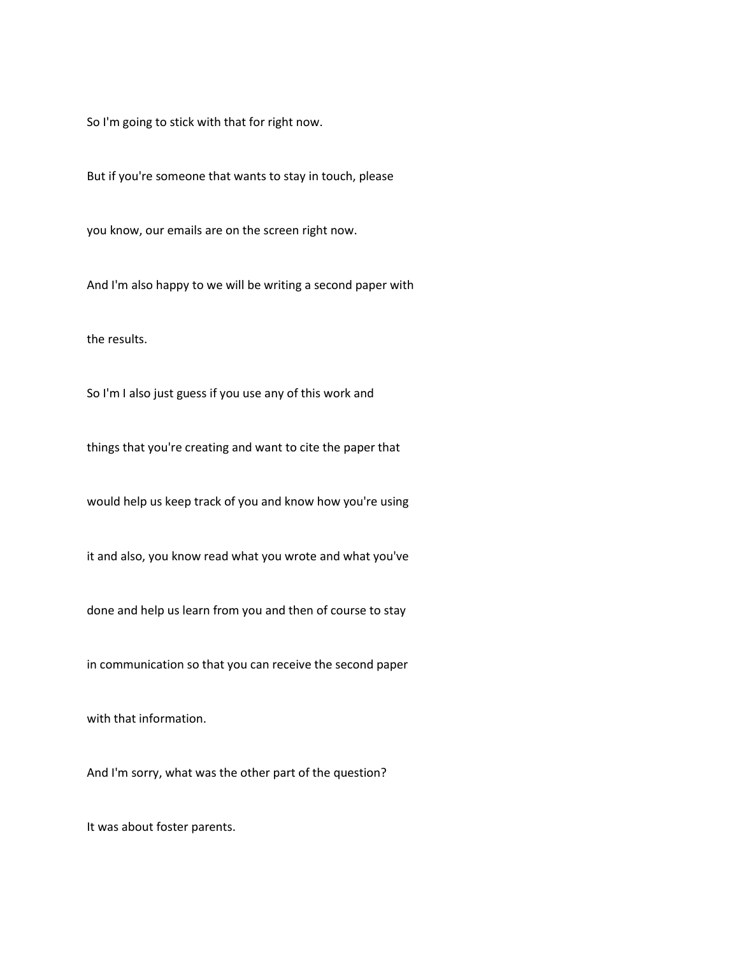So I'm going to stick with that for right now.

But if you're someone that wants to stay in touch, please

you know, our emails are on the screen right now.

And I'm also happy to we will be writing a second paper with

the results.

So I'm I also just guess if you use any of this work and

things that you're creating and want to cite the paper that

would help us keep track of you and know how you're using

it and also, you know read what you wrote and what you've

done and help us learn from you and then of course to stay

in communication so that you can receive the second paper

with that information.

And I'm sorry, what was the other part of the question?

It was about foster parents.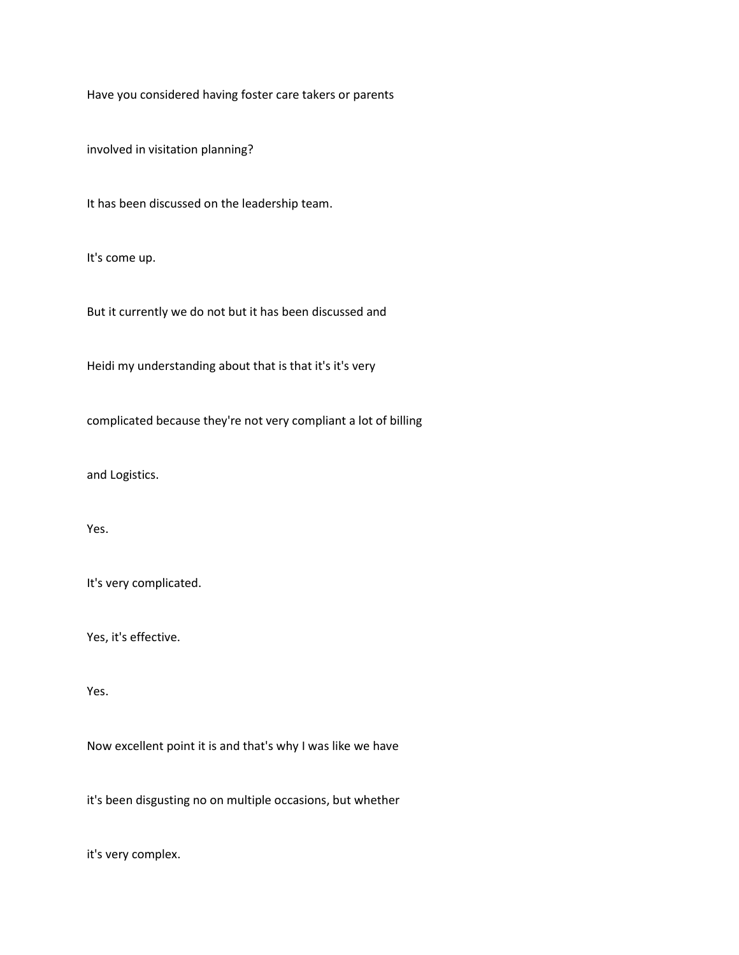Have you considered having foster care takers or parents

involved in visitation planning?

It has been discussed on the leadership team.

It's come up.

But it currently we do not but it has been discussed and

Heidi my understanding about that is that it's it's very

complicated because they're not very compliant a lot of billing

and Logistics.

Yes.

It's very complicated.

Yes, it's effective.

Yes.

Now excellent point it is and that's why I was like we have

it's been disgusting no on multiple occasions, but whether

it's very complex.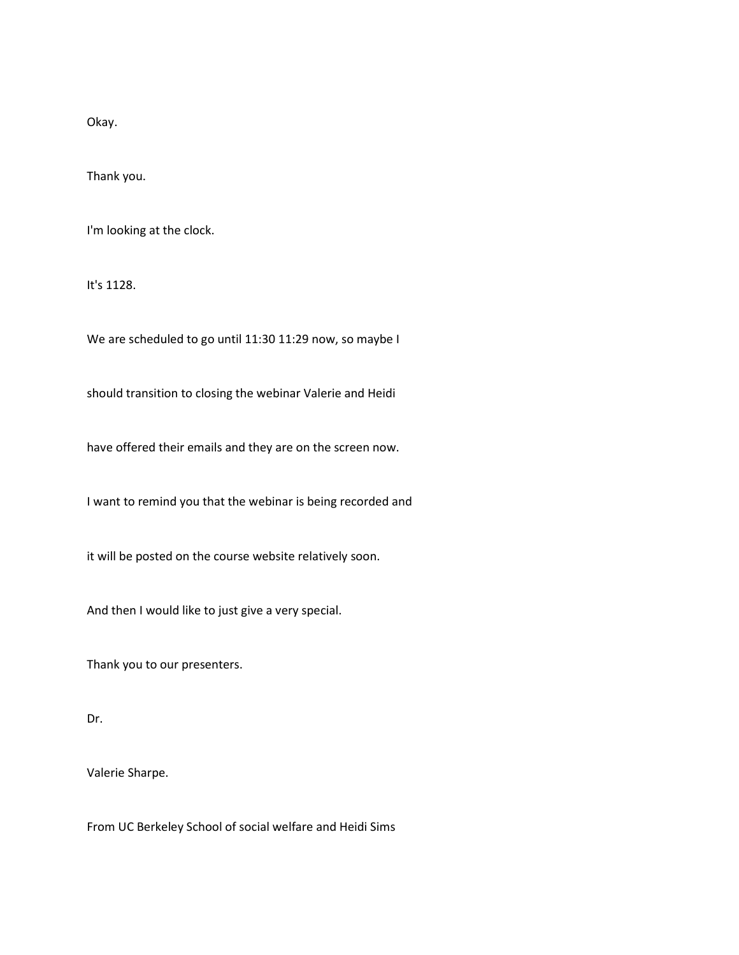Okay.

Thank you.

I'm looking at the clock.

It's 1128.

We are scheduled to go until 11:30 11:29 now, so maybe I

should transition to closing the webinar Valerie and Heidi

have offered their emails and they are on the screen now.

I want to remind you that the webinar is being recorded and

it will be posted on the course website relatively soon.

And then I would like to just give a very special.

Thank you to our presenters.

Dr.

Valerie Sharpe.

From UC Berkeley School of social welfare and Heidi Sims